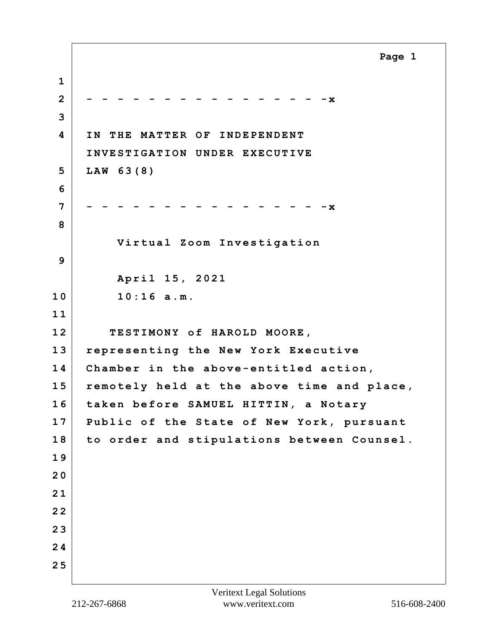**Page 1**

**1 2 - - - - - - - - - - - - - - - -x 3 4 IN THE MATTER OF INDEPENDENT INVESTIGATION UNDER EXECUTIVE 5 LAW 63(8) 6 7 - - - - - - - - - - - - - - - -x 8 Virtual Zoom Investigation 9 April 15, 2021 10 10:16 a.m. 1 1 12 TESTIMONY of HAROLD MOORE, 13 representing the New York Executive 14 Chamber in the above-entitled action, 15 remotely held at the above time and place, 16 taken before SAMUEL HITTIN, a Notary 17 Public of the State of New York, pursuant 18 to order and stipulations between Counsel. 1 9 2 0 2 1 2 2 2 3 2 4 2 5**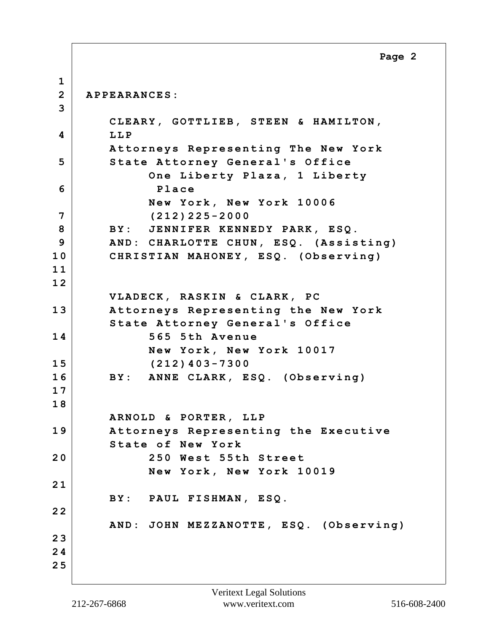**Page 2**

**1 2 APPEARANCES: 3 CLEARY, GOTTLIEB, STEEN & HAMILTON, 4 LLP Attorneys Representing The New York 5** State Attorney General's Office  **One Liberty Plaza, 1 Liberty 6 Place New York, New York 10006 7 (212)225-2000 8 BY: JENNIFER KENNEDY PARK, ESQ. 9 AND: CHARLOTTE CHUN, ESQ. (Assisting) 10 CHRISTIAN MAHONEY, ESQ. (Observing) 1 1 1 2 VLADECK, RASKIN & CLARK, PC 13 Attorneys Representing the New York State Attorney General's Office 14 565 5th Avenue New York, New York 10017 15 (212)403-7300 16 BY: ANNE CLARK, ESQ. (Observing) 1 7 1 8 ARNOLD & PORTER, LLP 19 Attorneys Representing the Executive State of New York 20 250 West 55th Street New York, New York 10019 2 1 BY: PAUL FISHMAN, ESQ. 2 2 AND: JOHN MEZZANOTTE, ESQ. (Observing) 2 3 2 4 2 5**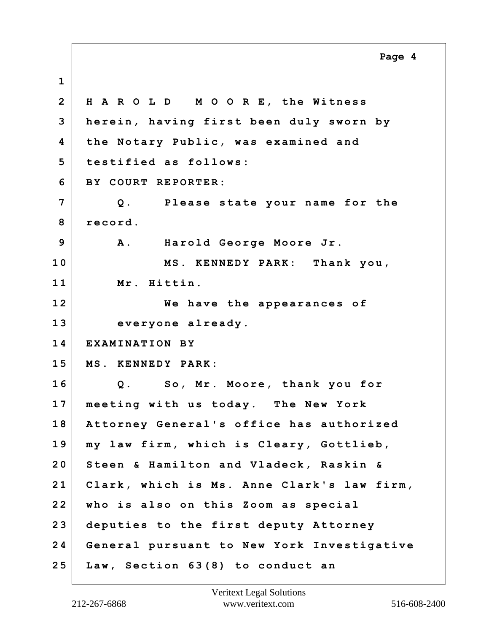**1 2 H A R O L D M O O R E, the Witness 3 herein, having first been duly sworn by 4 the Notary Public, was examined and 5 testified as follows: 6 BY COURT REPORTER: 7 Q. Please state your name for the** 8 record. **9 A. Harold George Moore Jr. 10 MS. KENNEDY PARK: Thank you, 11 Mr. Hittin. 12 We have the appearances of 13 everyone already. 14 EXAMINATION BY 15 MS. KENNEDY PARK: 16 Q. So, Mr. Moore, thank you for 17 meeting with us today. The New York 18 Attorney General's office has authorized 19 my law firm, which is Cleary, Gottlieb, 20 Steen & Hamilton and Vladeck, Raskin & 21 Clark, which is Ms. Anne Clark's law firm, 22 who is also on this Zoom as special 23 deputies to the first deputy Attorney 24 General pursuant to New York Investigative 25 Law, Section 63(8) to conduct an Page 4**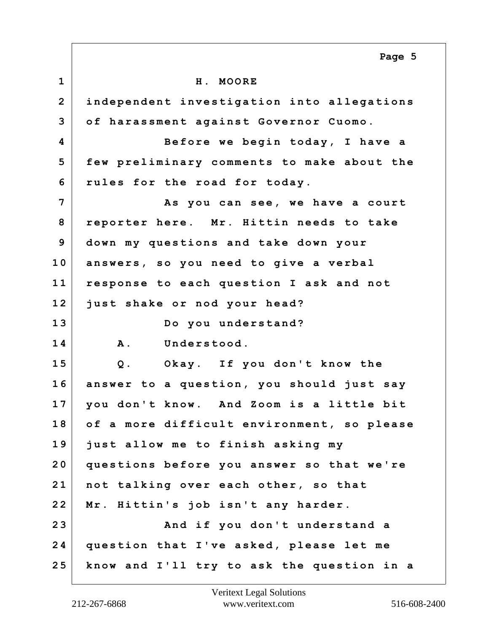**1 H. MOORE 2 independent investigation into allegations 3 of harassment against Governor Cuomo. 4 Before we begin today, I have a 5 few preliminary comments to make about the 6 rules for the road for today. 7 As you can see, we have a court 8 reporter here. Mr. Hittin needs to take 9 down my questions and take down your 10 answers, so you need to give a verbal 11 response to each question I ask and not 12 just shake or nod your head? 13 Do you understand? 14 A. Understood. 15 Q. Okay. If you don't know the 16 answer to a question, you should just say 17 you don't know. And Zoom is a little bit 18 of a more difficult environment, so please 19 just allow me to finish asking my 20 questions before you answer so that we're 21 not talking over each other, so that 22 Mr. Hittin's job isn't any harder. 23 And if you don't understand a 24 question that I've asked, please let me 25 know and I'll try to ask the question in a Page 5**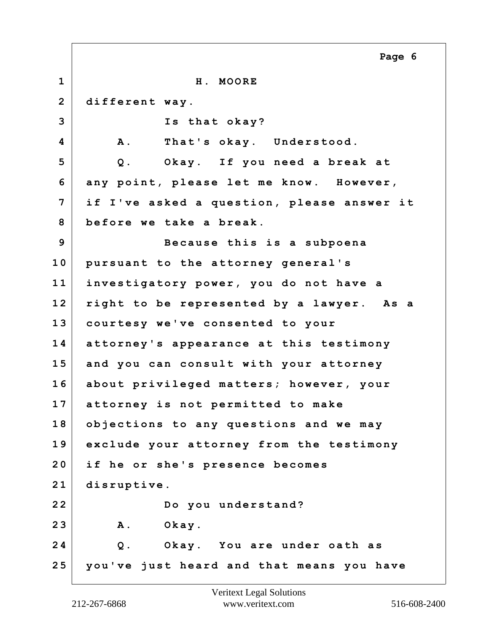**1 H. MOORE 2 different way. 3 Is that okay? 4 A. That's okay. Understood. 5 Q. Okay. If you need a break at 6 any point, please let me know. However, 7 if I've asked a question, please answer it 8 before we take a break. 9 Because this is a subpoena 10 pursuant to the attorney general's 11 investigatory power, you do not have a 12 right to be represented by a lawyer. As a 13 courtesy we've consented to your 14 attorney's appearance at this testimony 15 and you can consult with your attorney 16 about privileged matters; however, your 17 attorney is not permitted to make 18 objections to any questions and we may 19 exclude your attorney from the testimony 20 if he or she's presence becomes 21 disruptive. 22 Do you understand? 23 A. Okay. 24 Q. Okay. You are under oath as 25 you've just heard and that means you have Page 6**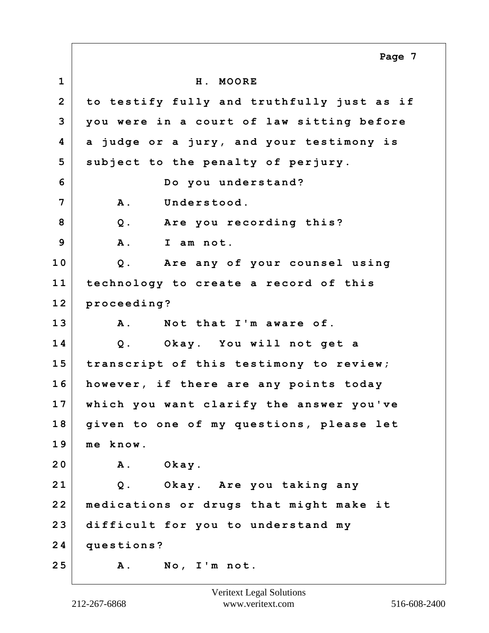**1 H. MOORE 2 to testify fully and truthfully just as if 3 you were in a court of law sitting before 4 a judge or a jury, and your testimony is 5 subject to the penalty of perjury. 6 Do you understand? 7 A. Understood. 8 Q. Are you recording this? 9 A. I am not. 10 Q. Are any of your counsel using 11 technology to create a record of this 12 proceeding? 13 A. Not that I'm aware of. 14 Q. Okay. You will not get a 15 transcript of this testimony to review; 16 however, if there are any points today 17 which you want clarify the answer you've 18 given to one of my questions, please let 19 me know. 20 A. Okay. 21 Q. Okay. Are you taking any 22 medications or drugs that might make it 23 difficult for you to understand my 24 questions? 25 A. No, I'm not. Page 7**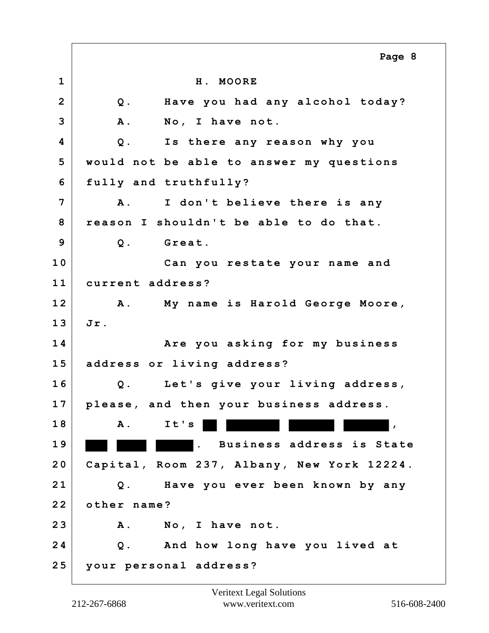|                         | Page 8                                     |
|-------------------------|--------------------------------------------|
| $\mathbf 1$             | H. MOORE                                   |
| $\overline{2}$          | Have you had any alcohol today?<br>Q.      |
| 3                       | <b>A</b> .<br>No, I have not.              |
| $\overline{\mathbf{4}}$ | $Q$ .<br>Is there any reason why you       |
| 5                       | would not be able to answer my questions   |
| 6                       | fully and truthfully?                      |
| 7                       | I don't believe there is any<br><b>A</b> . |
| 8                       | reason I shouldn't be able to do that.     |
| 9                       | Great.<br>$Q$ .                            |
| 10                      | Can you restate your name and              |
| 11                      | current address?                           |
| 12                      | A. My name is Harold George Moore,         |
| 13                      | Jr.                                        |
| 14                      | Are you asking for my business             |
| 15                      | address or living address?                 |
| 16                      | Let's give your living address,<br>$Q$ .   |
| 17                      | please, and then your business address.    |
| 18                      | It's<br><b>A</b> .                         |
| 19                      | Business address is State                  |
| 20                      | Capital, Room 237, Albany, New York 12224. |
| 21                      | Have you ever been known by any<br>$Q$ .   |
| 22                      | other name?                                |
| 23                      | No, I have not.<br>Α.                      |
| 24                      | And how long have you lived at<br>$Q$ .    |
| 25                      | your personal address?                     |

 $\Gamma$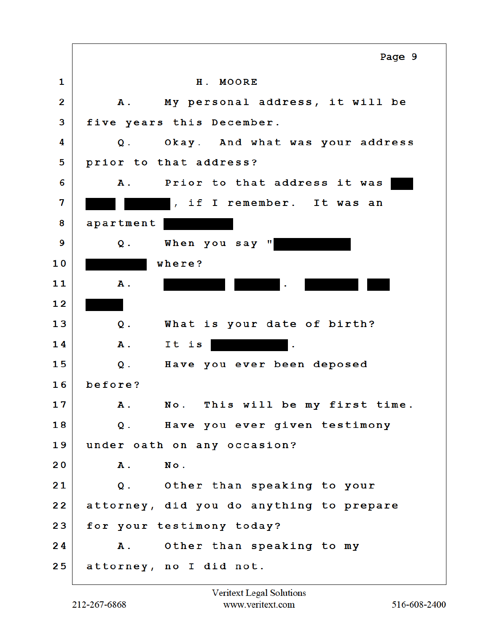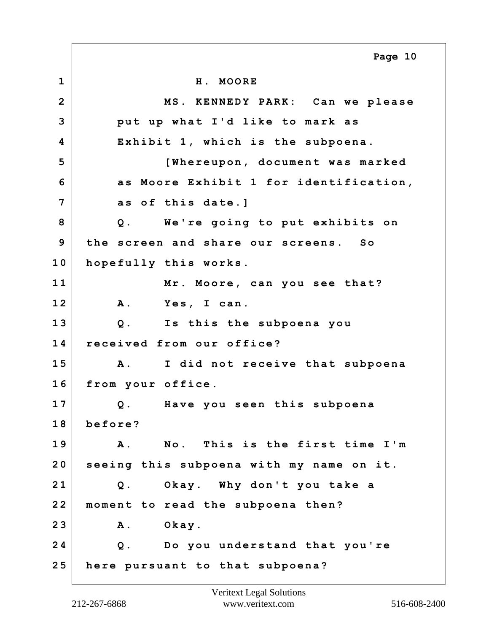**1 H. MOORE 2 MS. KENNEDY PARK: Can we please 3 put up what I'd like to mark as 4 Exhibit 1, which is the subpoena. 5 [Whereupon, document was marked 6 as Moore Exhibit 1 for identification, 7 as of this date.] 8 Q. We're going to put exhibits on 9 the screen and share our screens. So 10 hopefully this works. 11 Mr. Moore, can you see that? 12 A. Yes, I can. 13 Q. Is this the subpoena you 14 received from our office? 15 A. I did not receive that subpoena 16 from your office. 17 Q. Have you seen this subpoena 18 before? 19 A. No. This is the first time I'm 20 seeing this subpoena with my name on it. 21 Q. Okay. Why don't you take a 22 moment to read the subpoena then? 23 A. Okay. 24 Q. Do you understand that you're 25 here pursuant to that subpoena? Page 10**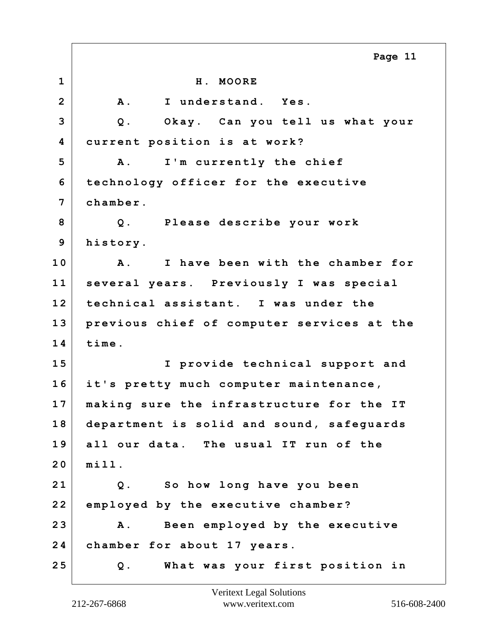**1 H. MOORE 2 A. I understand. Yes. 3 Q. Okay. Can you tell us what your 4 current position is at work? 5 A. I'm currently the chief 6 technology officer for the executive 7 chamber. 8 Q. Please describe your work 9 history. 10 A. I have been with the chamber for 11 several years. Previously I was special 12 technical assistant. I was under the 13 previous chief of computer services at the 14 time. 15 I provide technical support and 16 it's pretty much computer maintenance, 17 making sure the infrastructure for the IT 18 department is solid and sound, safeguards 19 all our data. The usual IT run of the 20 mill. 21 Q. So how long have you been 22 employed by the executive chamber? 23 A. Been employed by the executive 24 chamber for about 17 years. 25 Q. What was your first position in Page 11**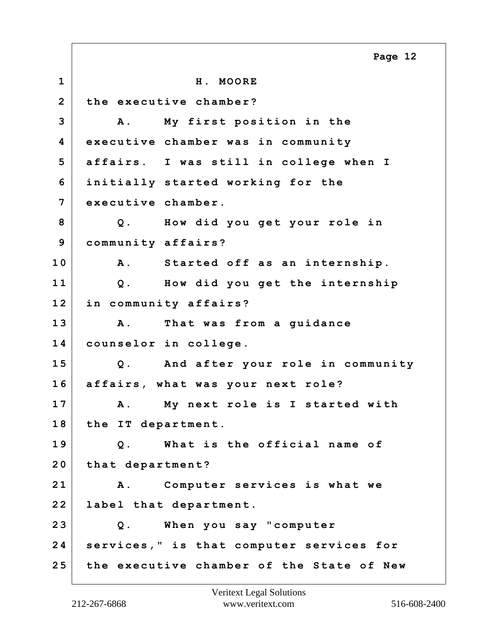**1 H. MOORE 2 the executive chamber? 3 A. My first position in the 4 executive chamber was in community 5 affairs. I was still in college when I 6 initially started working for the 7 executive chamber. 8 Q. How did you get your role in 9 community affairs? 10 A. Started off as an internship. 11 Q. How did you get the internship 12 in community affairs? 13 A. That was from a guidance 14 counselor in college. 15 Q. And after your role in community 16 affairs, what was your next role? 17 A. My next role is I started with 18 the IT department. 19 Q. What is the official name of 20 that department? 21 A. Computer services is what we 22 label that department. 23 Q. When you say "computer 24 services," is that computer services for 25 the executive chamber of the State of New Page 12**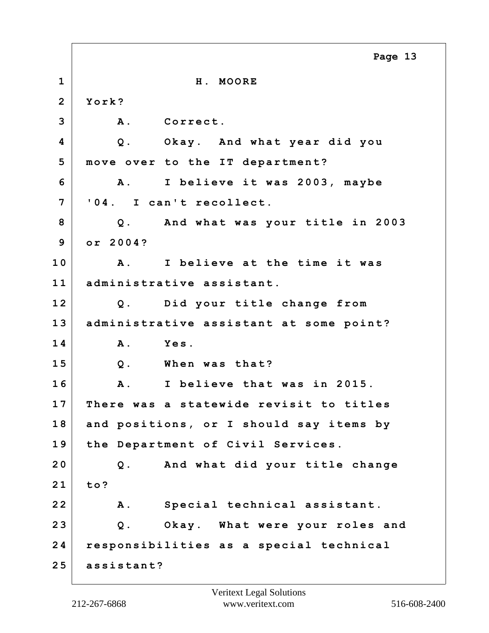|                | Page 13                                    |
|----------------|--------------------------------------------|
| $\mathbf{1}$   | H. MOORE                                   |
| $\overline{2}$ | York?                                      |
| 3              | <b>A</b> .<br>Correct.                     |
| 4              | Okay. And what year did you<br>$Q$ .       |
| 5              | move over to the IT department?            |
| 6              | I believe it was 2003, maybe<br><b>A</b> . |
| 7              | '04. I can't recollect.                    |
| 8              | And what was your title in 2003<br>$Q$ .   |
| 9              | or 2004?                                   |
| 10             | I believe at the time it was<br>A.         |
| 11             | administrative assistant.                  |
| 12             | Did your title change from<br>$Q$ .        |
| 13             | administrative assistant at some point?    |
| 14             | Yes.<br><b>A</b> .                         |
| 15             | When was that?<br>$Q$ .                    |
| 16             | I believe that was in 2015.<br>A .         |
| 17             | There was a statewide revisit to titles    |
| 18             | and positions, or I should say items by    |
| 19             | the Department of Civil Services.          |
| 20             | And what did your title change<br>$Q$ .    |
| 21             | to?                                        |
| 22             | Special technical assistant.<br><b>A</b> . |
| 23             | Okay. What were your roles and<br>$Q$ .    |
| 24             | responsibilities as a special technical    |
| 25             | assistant?                                 |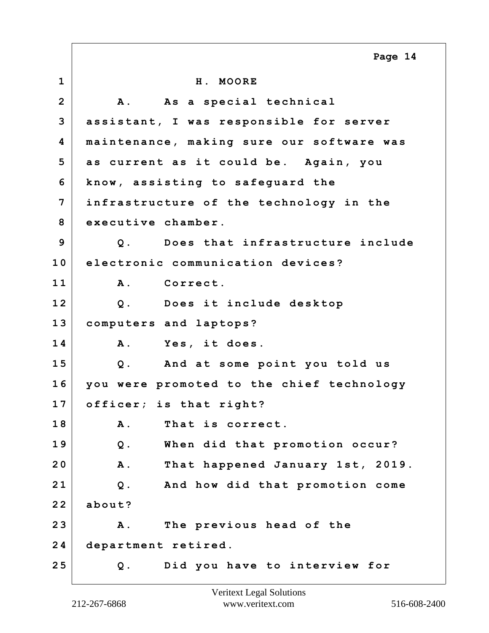**1 H. MOORE** 2 | A. As a special technical **3 assistant, I was responsible for server 4 maintenance, making sure our software was 5 as current as it could be. Again, you 6 know, assisting to safeguard the 7 infrastructure of the technology in the 8 executive chamber. 9 Q. Does that infrastructure include 10 electronic communication devices? 11 A. Correct. 12 Q. Does it include desktop 13 computers and laptops? 14 A. Yes, it does. 15 Q. And at some point you told us 16 you were promoted to the chief technology 17 officer; is that right? 18 A. That is correct. 19 Q. When did that promotion occur? 20 A. That happened January 1st, 2019. 21 Q. And how did that promotion come 22 about? 23 A. The previous head of the 24 department retired. 25 Q. Did you have to interview for Page 14**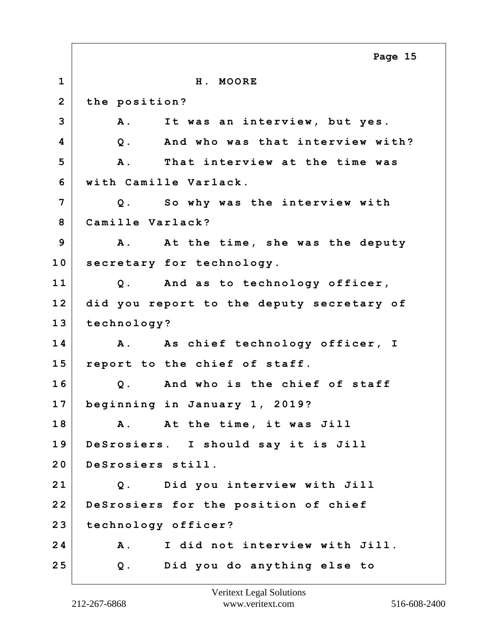**1 H. MOORE 2 the position? 3 A. It was an interview, but yes. 4 Q. And who was that interview with? 5 A. That interview at the time was 6 with Camille Varlack. 7 Q. So why was the interview with 8 Camille Varlack? 9 A. At the time, she was the deputy 10 secretary for technology. 11 Q. And as to technology officer, 12 did you report to the deputy secretary of 13 technology? 14 A. As chief technology officer, I 15 report to the chief of staff. 16 Q. And who is the chief of staff 17 beginning in January 1, 2019? 18 A. At the time, it was Jill 19 DeSrosiers. I should say it is Jill 20 DeSrosiers still. 21 Q. Did you interview with Jill 22 DeSrosiers for the position of chief 23 technology officer? 24 A. I did not interview with Jill. 25 Q. Did you do anything else to Page 15**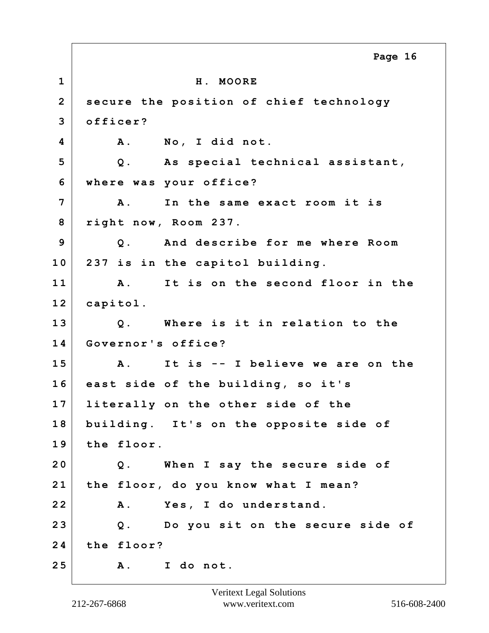**1 H. MOORE 2 secure the position of chief technology 3 officer? 4 A. No, I did not. 5 Q. As special technical assistant, 6 where was your office? 7 A. In the same exact room it is 8 right now, Room 237. 9 Q. And describe for me where Room 10 237 is in the capitol building. 11 A. It is on the second floor in the 12 capitol. 13 Q. Where is it in relation to the 14 Governor's office? 15 A. It is -- I believe we are on the 16 east side of the building, so it's 17 literally on the other side of the 18 building. It's on the opposite side of 19 the floor. 20 Q. When I say the secure side of 21 the floor, do you know what I mean? 22 A. Yes, I do understand. 23 Q. Do you sit on the secure side of 24 the floor? 25 A. I do not. Page 16**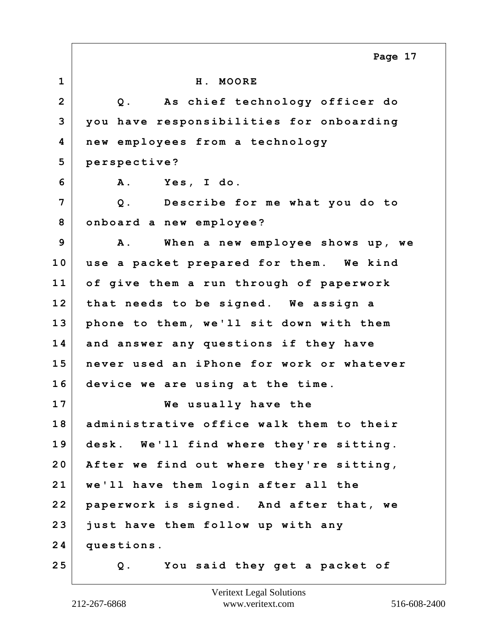|                | Page 17                                        |
|----------------|------------------------------------------------|
| $\mathbf 1$    | H. MOORE                                       |
| $\overline{2}$ | As chief technology officer do<br>$Q$ .        |
| 3              | you have responsibilities for onboarding       |
| 4              | new employees from a technology                |
| 5              | perspective?                                   |
| 6              | Yes, I do.<br><b>A</b> .                       |
| 7              | Describe for me what you do to<br>$Q$ .        |
| 8              | onboard a new employee?                        |
| 9              | When a new employee shows up, we<br><b>A</b> . |
| 10             | use a packet prepared for them. We kind        |
| 11             | of give them a run through of paperwork        |
| 12             | that needs to be signed. We assign a           |
| 13             | phone to them, we'll sit down with them        |
| 14             | and answer any questions if they have          |
| 15             | never used an iPhone for work or whatever      |
| 16             | device we are using at the time.               |
| 17             | We usually have the                            |
| 18             | administrative office walk them to their       |
| 19             | desk. We'll find where they're sitting.        |
| 20             | After we find out where they're sitting,       |
| 21             | we'll have them login after all the            |
| 22             | paperwork is signed. And after that, we        |
| 23             | just have them follow up with any              |
| 24             | questions.                                     |
| 25             | You said they get a packet of<br>Q.            |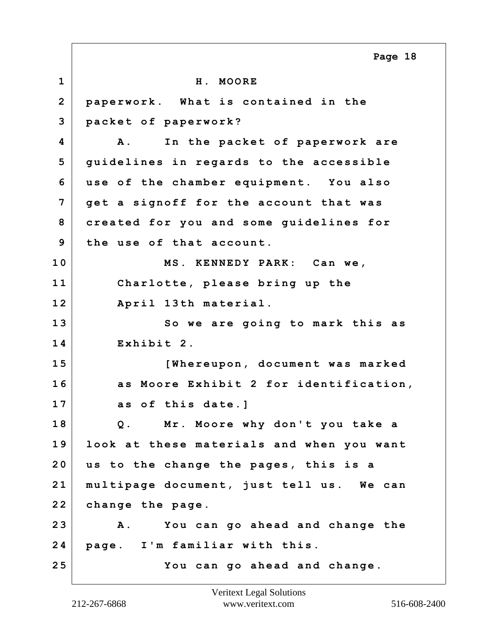**1 H. MOORE 2 paperwork. What is contained in the 3 packet of paperwork? 4 A. In the packet of paperwork are 5 guidelines in regards to the accessible 6 use of the chamber equipment. You also 7 get a signoff for the account that was 8 created for you and some guidelines for 9 the use of that account. 10 MS. KENNEDY PARK: Can we, 11 Charlotte, please bring up the 12 April 13th material. 13 So we are going to mark this as 14 Exhibit 2. 15 [Whereupon, document was marked 16 as Moore Exhibit 2 for identification, 17 as of this date.] 18 Q. Mr. Moore why don't you take a 19 look at these materials and when you want 20 us to the change the pages, this is a 21 multipage document, just tell us. We can 22 change the page. 23 A. You can go ahead and change the 24 page. I'm familiar with this. 25 You can go ahead and change. Page 18**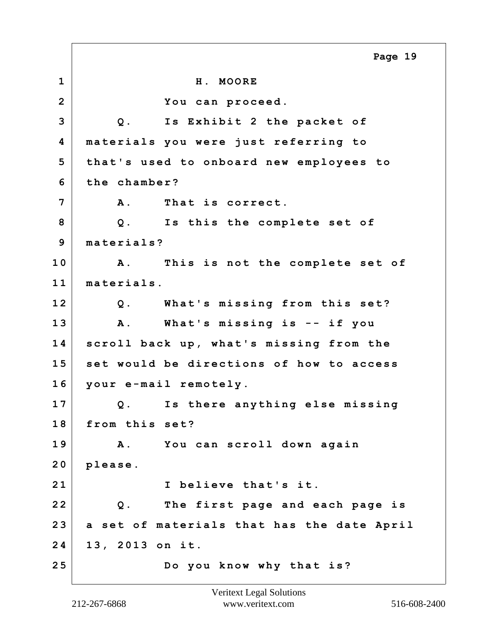**1 H. MOORE 2 You can proceed. 3 Q. Is Exhibit 2 the packet of 4 materials you were just referring to 5 that's used to onboard new employees to 6 the chamber? 7 A. That is correct. 8 Q. Is this the complete set of 9 materials? 10 A. This is not the complete set of 11 materials. 12 Q. What's missing from this set? 13 A. What's missing is -- if you 14 scroll back up, what's missing from the 15 set would be directions of how to access 16 your e-mail remotely. 17 Q. Is there anything else missing 18 from this set? 19 A. You can scroll down again 20 please. 21 I believe that's it. 22 Q. The first page and each page is 23 a set of materials that has the date April 24 13, 2013 on it. 25 Do you know why that is? Page 19**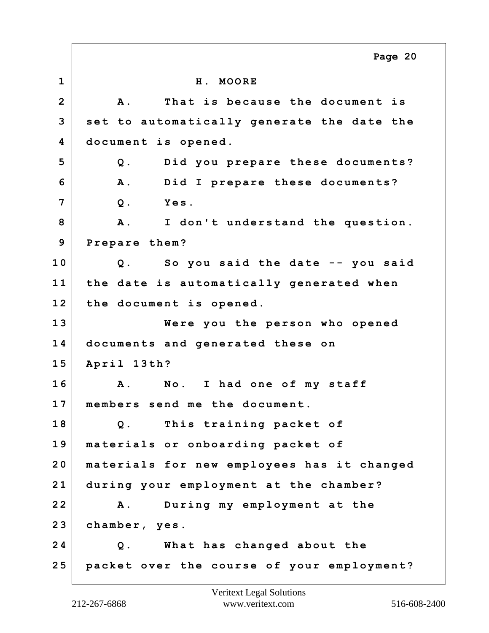**1 H. MOORE 2 A. That is because the document is 3 set to automatically generate the date the 4 document is opened. 5 Q. Did you prepare these documents? 6 A. Did I prepare these documents? 7 Q. Yes. 8 A. I don't understand the question. 9 Prepare them? 10 Q. So you said the date -- you said 11 the date is automatically generated when 12 the document is opened. 13 Were you the person who opened 14 documents and generated these on 15 April 13th? 16 A. No. I had one of my staff 17 members send me the document. 18 Q. This training packet of 19 materials or onboarding packet of 20 materials for new employees has it changed 21 during your employment at the chamber? 22 A. During my employment at the 23 chamber, yes. 24 Q. What has changed about the 25 packet over the course of your employment? Page 20**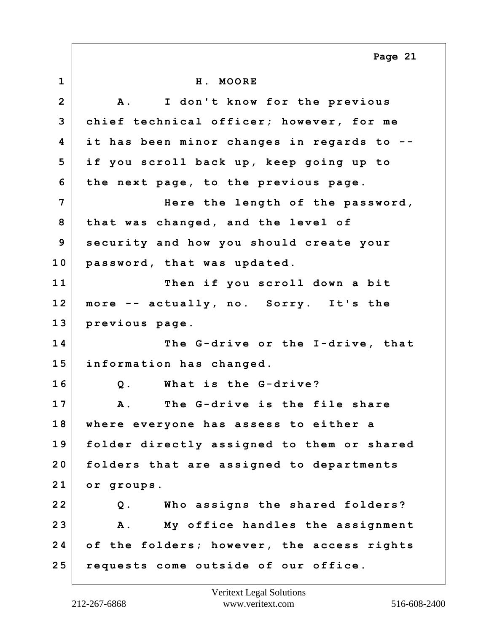**1 H. MOORE 2 A. I don't know for the previous 3 chief technical officer; however, for me 4 it has been minor changes in regards to -- 5 if you scroll back up, keep going up to 6 the next page, to the previous page. 7 Here the length of the password, 8 that was changed, and the level of 9 security and how you should create your 10 password, that was updated. 11 Then if you scroll down a bit 12 more -- actually, no. Sorry. It's the 13 previous page. 14 The G-drive or the I-drive, that 15 information has changed. 16 Q. What is the G-drive? 17 A. The G-drive is the file share 18 where everyone has assess to either a 19 folder directly assigned to them or shared 20 folders that are assigned to departments 21 or groups. 22 Q. Who assigns the shared folders? 23 A. My office handles the assignment 24 of the folders; however, the access rights 25 requests come outside of our office. Page 21**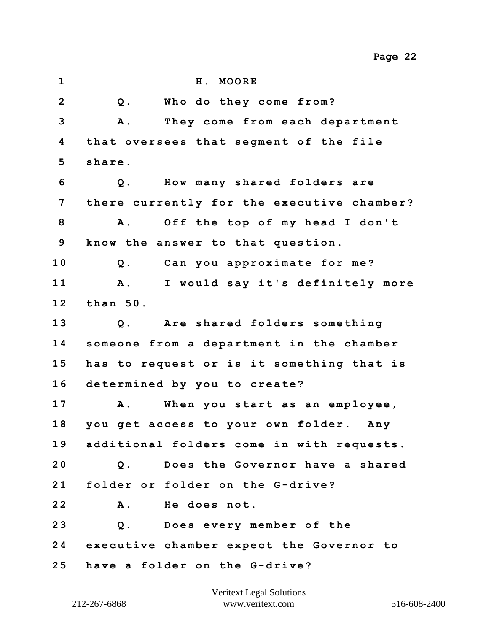**1 H. MOORE 2 Q. Who do they come from? 3 A. They come from each department 4 that oversees that segment of the file 5 share. 6 Q. How many shared folders are 7 there currently for the executive chamber? 8 A. Off the top of my head I don't 9 know the answer to that question. 10 Q. Can you approximate for me? 11 A. I would say it's definitely more 12 than 50. 13 Q. Are shared folders something 14 someone from a department in the chamber 15 has to request or is it something that is 16 determined by you to create? 17 A. When you start as an employee, 18 you get access to your own folder. Any 19 additional folders come in with requests. 20 Q. Does the Governor have a shared 21 folder or folder on the G-drive? 22 A. He does not. 23 Q. Does every member of the 24 executive chamber expect the Governor to 25 have a folder on the G-drive? Page 22**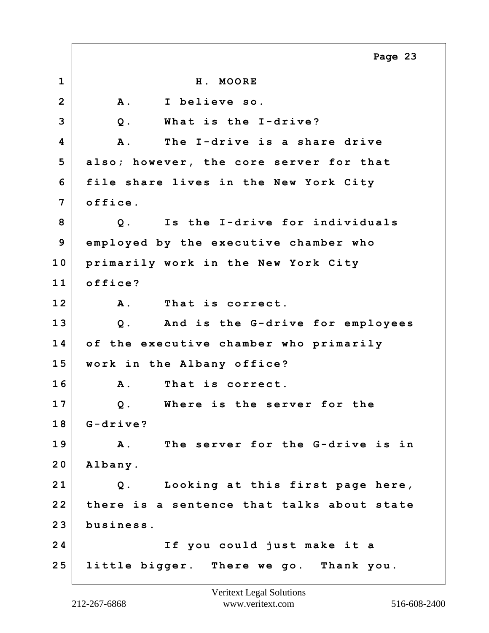|                | Page 23                                        |
|----------------|------------------------------------------------|
| $\mathbf 1$    | H. MOORE                                       |
| $\overline{2}$ | I believe so.<br><b>A</b> .                    |
| 3              | What is the I-drive?<br>$Q$ .                  |
| 4              | The I-drive is a share drive<br>Α.             |
| 5              | also; however, the core server for that        |
| 6              | file share lives in the New York City          |
| 7              | office.                                        |
| 8              | Is the I-drive for individuals<br>$Q$ .        |
| 9              | employed by the executive chamber who          |
| 10             | primarily work in the New York City            |
| 11             | office?                                        |
| 12             | <b>A</b> .<br>That is correct.                 |
| 13             | And is the G-drive for employees<br>$Q$ .      |
| 14             | of the executive chamber who primarily         |
| 15             | work in the Albany office?                     |
| 16             | That is correct.<br>A.                         |
| 17             | Where is the server for the<br>$Q$ .           |
| 18             | $G-drive?$                                     |
| 19             | The server for the G-drive is in<br><b>A</b> . |
| 20             | Albany.                                        |
| 21             | Looking at this first page here,<br>$Q$ .      |
| 22             | there is a sentence that talks about state     |
| 23             | business.                                      |
| 24             | If you could just make it a                    |
| 25             | little bigger. There we go. Thank you.         |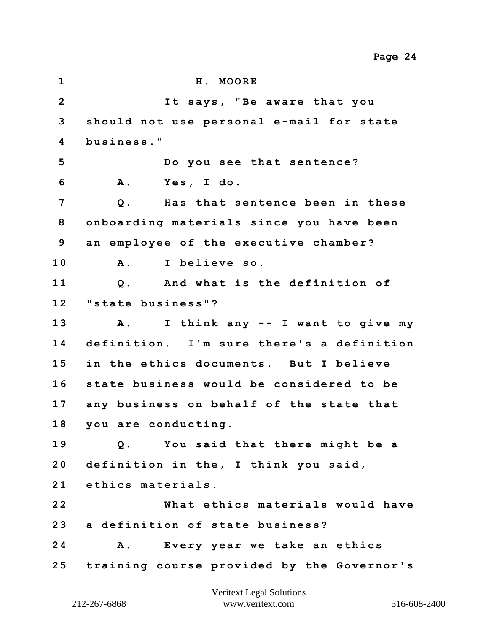**1 H. MOORE 2 It says, "Be aware that you 3 should not use personal e-mail for state 4 business." 5 Do you see that sentence? 6 A. Yes, I do. 7 Q. Has that sentence been in these 8 onboarding materials since you have been 9 an employee of the executive chamber? 10 A. I believe so. 11 Q. And what is the definition of 12 "state business"? 13 A. I think any -- I want to give my 14 definition. I'm sure there's a definition 15 in the ethics documents. But I believe 16 state business would be considered to be 17 any business on behalf of the state that 18 you are conducting. 19 Q. You said that there might be a 20 definition in the, I think you said, 21 ethics materials. 22 What ethics materials would have 23 a definition of state business? 24 A. Every year we take an ethics 25 training course provided by the Governor's Page 24**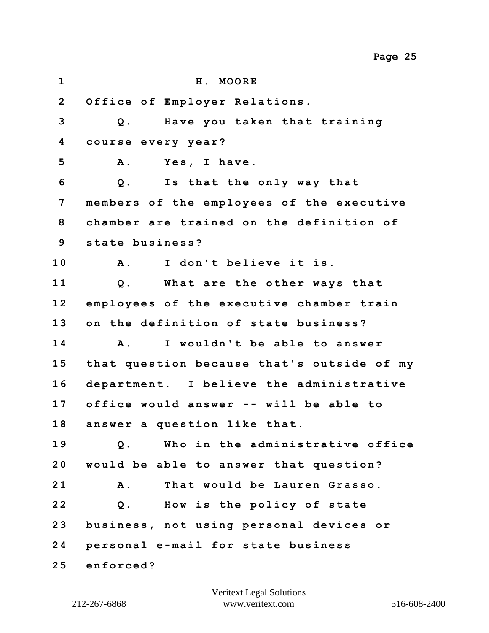|                | Page 25                                    |
|----------------|--------------------------------------------|
| $\mathbf 1$    | H. MOORE                                   |
| $\overline{2}$ | Office of Employer Relations.              |
| 3              | Have you taken that training<br>Q.         |
| 4              | course every year?                         |
| 5              | Yes, I have.<br><b>A</b> .                 |
| 6              | Is that the only way that<br>$Q$ .         |
| 7              | members of the employees of the executive  |
| 8              | chamber are trained on the definition of   |
| 9              | state business?                            |
| 10             | I don't believe it is.<br><b>A</b> .       |
| 11             | What are the other ways that<br>$Q$ .      |
| 12             | employees of the executive chamber train   |
| 13             | on the definition of state business?       |
| 14             | I wouldn't be able to answer<br><b>A</b> . |
| 15             | that question because that's outside of my |
| 16             | department. I believe the administrative   |
| 17             | office would answer -- will be able to     |
| 18             | answer a question like that.               |
| 19             | Who in the administrative office<br>$Q$ .  |
| 20             | would be able to answer that question?     |
| 21             | That would be Lauren Grasso.<br><b>A</b> . |
| 22             | How is the policy of state<br>$Q$ .        |
| 23             | business, not using personal devices or    |
| 24             | personal e-mail for state business         |
| 25             | enforced?                                  |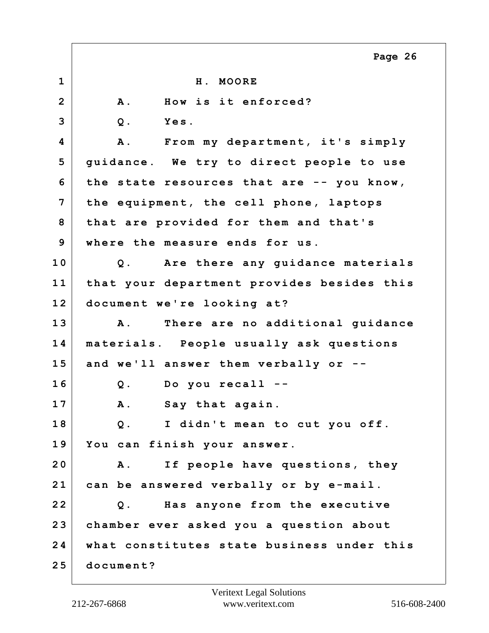|                | Page 26                                            |
|----------------|----------------------------------------------------|
| $\mathbf 1$    | H. MOORE                                           |
| $\overline{2}$ | How is it enforced?<br><b>A</b> .                  |
| 3              | Yes.<br>$Q$ .                                      |
| 4              | <b>A</b> .<br>From my department, it's simply      |
| 5              | guidance. We try to direct people to use           |
| 6              | the state resources that are -- you know,          |
| 7              | the equipment, the cell phone, laptops             |
| 8              | that are provided for them and that's              |
| 9              | where the measure ends for us.                     |
| 10             | Q. Are there any guidance materials                |
| 11             | that your department provides besides this         |
| 12             | document we're looking at?                         |
| 13             | There are no additional guidance<br>$\mathbf{A}$ . |
| 14             | materials. People usually ask questions            |
| 15             | and we'll answer them verbally or --               |
| 16             | Do you recall --<br>$Q$ .                          |
| 17             | A. Say that again.                                 |
| 18             | I didn't mean to cut you off.<br>$Q$ .             |
| 19             | You can finish your answer.                        |
| 20             | <b>A</b> .<br>If people have questions, they       |
| 21             | can be answered verbally or by e-mail.             |
| 22             | Has anyone from the executive<br>$Q$ .             |
| 23             | chamber ever asked you a question about            |
| 24             | what constitutes state business under this         |
| 25             | document?                                          |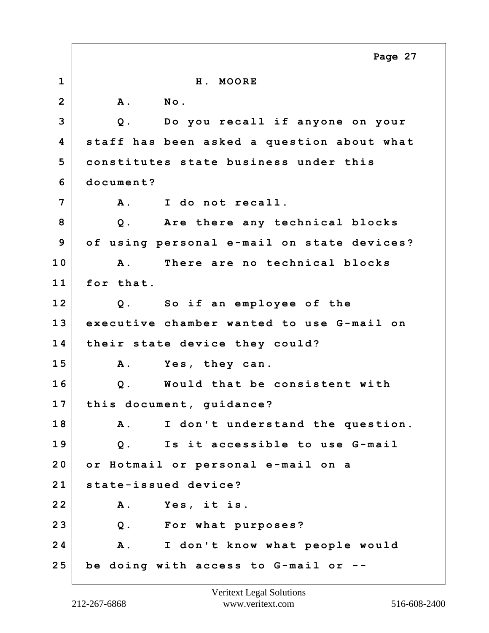|                | Page 27                                         |
|----------------|-------------------------------------------------|
| $\mathbf{1}$   | H. MOORE                                        |
| $\overline{2}$ | No.<br><b>A</b> .                               |
| 3              | Do you recall if anyone on your<br>Q.           |
| 4              | staff has been asked a question about what      |
| 5              | constitutes state business under this           |
| 6              | document?                                       |
| 7              | I do not recall.<br><b>A</b> .                  |
| 8              | Are there any technical blocks<br>$Q$ .         |
| 9              | of using personal e-mail on state devices?      |
| 10             | There are no technical blocks<br>$\mathbf{A}$ . |
| 11             | for that.                                       |
| 12             | So if an employee of the<br>$Q$ .               |
| 13             | executive chamber wanted to use G-mail on       |
| 14             | their state device they could?                  |
| 15             | Yes, they can.<br>Α.                            |
| 16             | Would that be consistent with<br>$Q$ .          |
| 17             | this document, guidance?                        |
| 18             | A .<br>I don't understand the question.         |
| 19             | Is it accessible to use G-mail<br>$Q$ .         |
| 20             | or Hotmail or personal e-mail on a              |
| 21             | state-issued device?                            |
| 22             | Yes, it is.<br>Α.                               |
| 23             | Q. For what purposes?                           |
| 24             | I don't know what people would<br><b>A</b> .    |
| 25             | be doing with access to G-mail or               |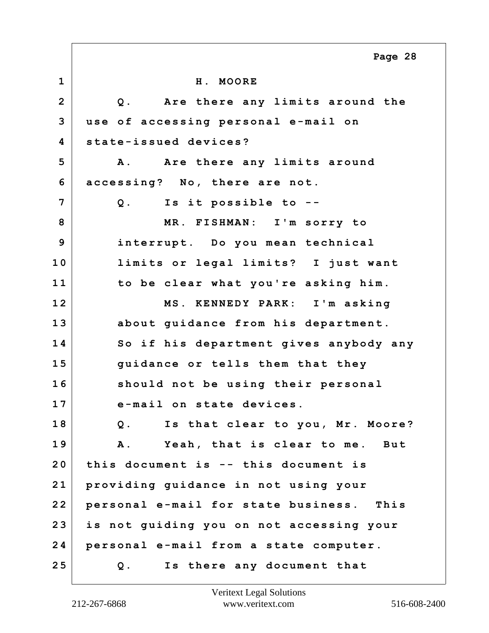|                | Page 28                                            |
|----------------|----------------------------------------------------|
| $\mathbf 1$    | H. MOORE                                           |
| $\overline{2}$ | Are there any limits around the<br>Q.              |
| 3              | use of accessing personal e-mail on                |
| 4              | state-issued devices?                              |
| 5              | A. Are there any limits around                     |
| 6              | accessing? No, there are not.                      |
| 7              | Q. Is it possible to --                            |
| 8              | MR. FISHMAN: I'm sorry to                          |
| 9              | interrupt. Do you mean technical                   |
| 10             | limits or legal limits? I just want                |
| 11             | to be clear what you're asking him.                |
| 12             | MS. KENNEDY PARK: I'm asking                       |
| 13             | about guidance from his department.                |
| 14             | So if his department gives anybody any             |
| 15             | guidance or tells them that they                   |
| 16             | should not be using their personal                 |
| 17             | e-mail on state devices.                           |
| 18             | Is that clear to you, Mr. Moore?<br>$Q$ .          |
| 19             | Yeah, that is clear to me. But<br><b>A</b> .       |
| 20             | this document is -- this document is               |
| 21             | providing guidance in not using your               |
| 22             | personal e-mail for state business.<br><b>This</b> |
| 23             | is not guiding you on not accessing your           |
| 24             | personal e-mail from a state computer.             |
| 25             | Is there any document that<br>$Q$ .                |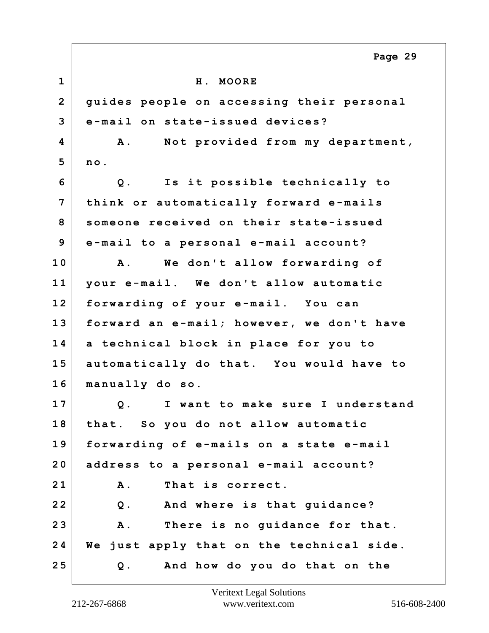**1 H. MOORE 2 guides people on accessing their personal 3 e-mail on state-issued devices? 4 A. Not provided from my department, 5 no. 6 Q. Is it possible technically to 7 think or automatically forward e-mails 8 someone received on their state-issued 9 e-mail to a personal e-mail account? 10 A. We don't allow forwarding of 11 your e-mail. We don't allow automatic 12 forwarding of your e-mail. You can 13 forward an e-mail; however, we don't have 14 a technical block in place for you to 15 automatically do that. You would have to 16 manually do so. 17 Q. I want to make sure I understand 18 that. So you do not allow automatic 19 forwarding of e-mails on a state e-mail 20 address to a personal e-mail account? 21 A. That is correct. 22 Q. And where is that guidance? 23 A. There is no guidance for that. 24 We just apply that on the technical side. 25 Q. And how do you do that on the Page 29**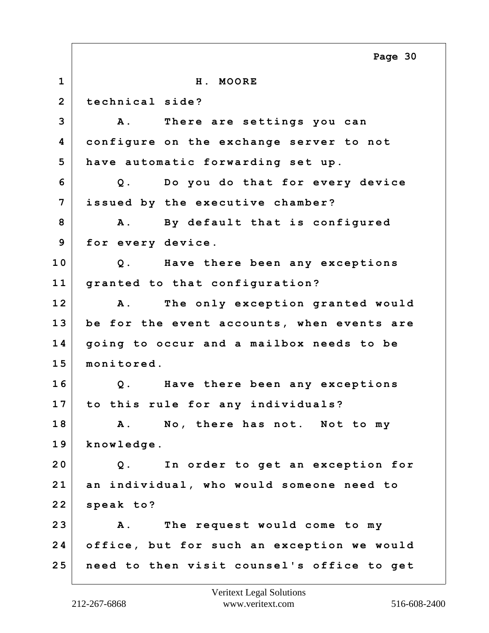**1 H. MOORE 2 technical side? 3 A. There are settings you can 4 configure on the exchange server to not 5 have automatic forwarding set up. 6 Q. Do you do that for every device 7 issued by the executive chamber? 8 A. By default that is configured 9 for every device. 10 Q. Have there been any exceptions 11 granted to that configuration? 12 A. The only exception granted would 13 be for the event accounts, when events are 14 going to occur and a mailbox needs to be 15 monitored. 16 Q. Have there been any exceptions 17 to this rule for any individuals? 18 A. No, there has not. Not to my 19 knowledge. 20 Q. In order to get an exception for 21 an individual, who would someone need to 22 speak to? 23 A. The request would come to my 24 office, but for such an exception we would 25 need to then visit counsel's office to get Page 30**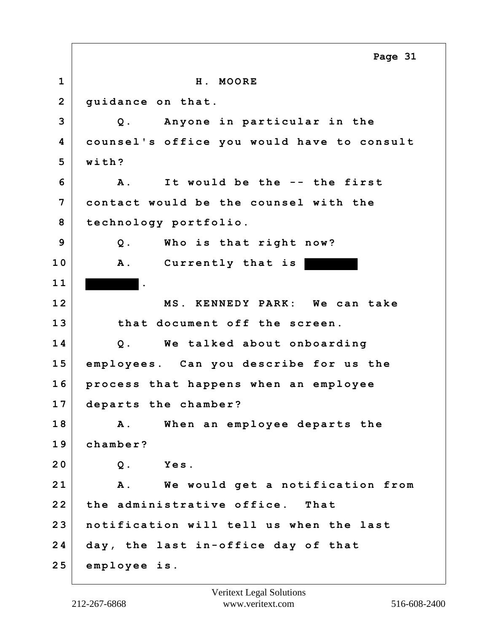**1 H. MOORE 2 guidance on that. 3 Q. Anyone in particular in the 4 counsel's office you would have to consult 5 with? 6 A. It would be the -- the first 7 contact would be the counsel with the 8 technology portfolio. 9 Q. Who is that right now? 10 A. Currently that is 1 1 . 12 MS. KENNEDY PARK: We can take 13 that document off the screen. 14 Q. We talked about onboarding 15 employees. Can you describe for us the 16 process that happens when an employee 17 departs the chamber? 18 A. When an employee departs the 19 chamber? 20 Q. Yes. 21 A. We would get a notification from 22 the administrative office. That 23 notification will tell us when the last 24 day, the last in-office day of that 25 employee is. Page 31**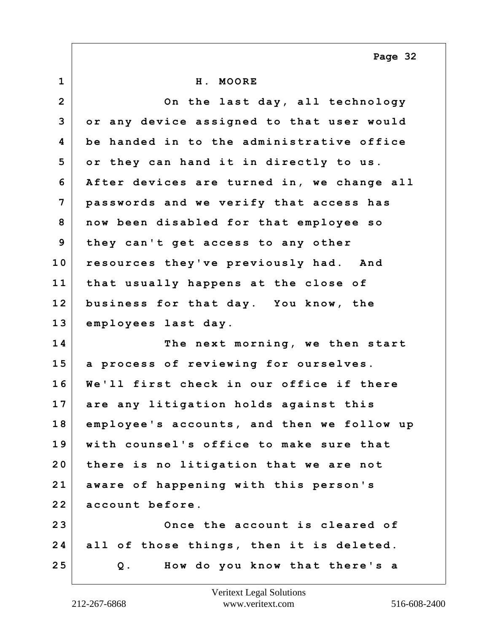**Page 32**

| $\mathbf{1}$   | H. MOORE                                   |
|----------------|--------------------------------------------|
| $\overline{2}$ | On the last day, all technology            |
| 3              | or any device assigned to that user would  |
| 4              | be handed in to the administrative office  |
| 5              | or they can hand it in directly to us.     |
| 6              | After devices are turned in, we change all |
| 7              | passwords and we verify that access has    |
| 8              | now been disabled for that employee so     |
| 9              | they can't get access to any other         |
| 10             | resources they've previously had. And      |
| 11             | that usually happens at the close of       |
| 12             | business for that day. You know, the       |
| 13             | employees last day.                        |
| 14             | The next morning, we then start            |
| 15             | a process of reviewing for ourselves.      |
| 16             | We'll first check in our office if there   |
| 17             | are any litigation holds against this      |
| 18             | employee's accounts, and then we follow up |
| 19             | with counsel's office to make sure that    |
| 20             | there is no litigation that we are not     |
| 21             | aware of happening with this person's      |
| 22             | account before.                            |
| 23             | Once the account is cleared of             |
| 24             | all of those things, then it is deleted.   |
| 25             | How do you know that there's a<br>Q.       |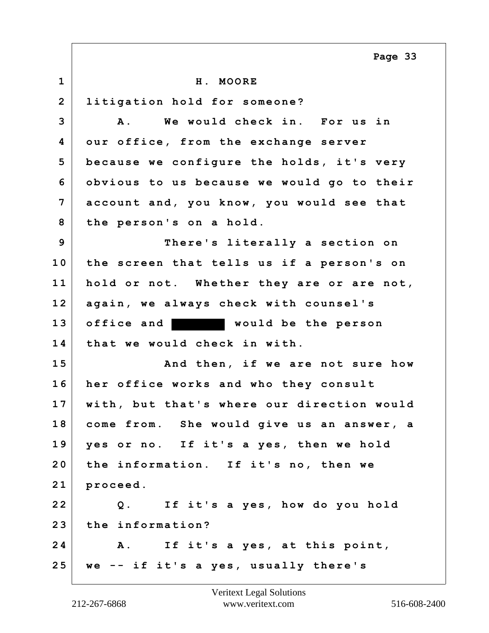**1 H. MOORE 2 litigation hold for someone? 3 A. We would check in. For us in 4 our office, from the exchange server 5 because we configure the holds, it's very 6 obvious to us because we would go to their 7 account and, you know, you would see that 8 the person's on a hold. 9 There's literally a section on 10 the screen that tells us if a person's on 11 hold or not. Whether they are or are not, 12 again, we always check with counsel's 13 office and would be the person 14 that we would check in with. 15 And then, if we are not sure how 16 her office works and who they consult 17 with, but that's where our direction would 18 come from. She would give us an answer, a 19 yes or no. If it's a yes, then we hold 20 the information. If it's no, then we 21 proceed. 22 Q. If it's a yes, how do you hold 23 the information? 24 A. If it's a yes, at this point, 25 we -- if it's a yes, usually there's Page 33**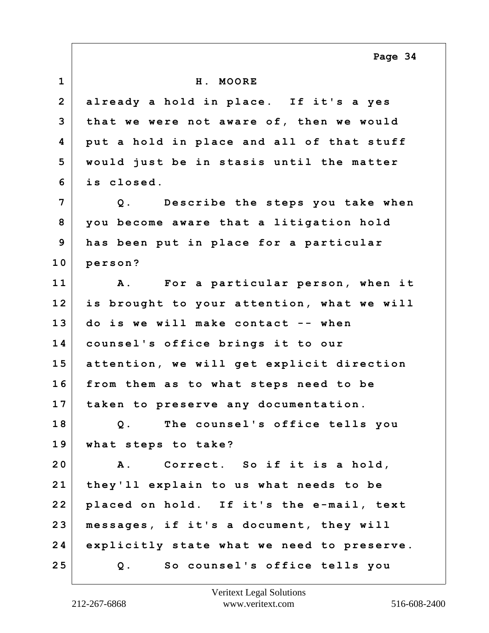**1 H. MOORE 2 already a hold in place. If it's a yes 3 that we were not aware of, then we would 4 put a hold in place and all of that stuff 5 would just be in stasis until the matter 6 is closed. 7 Q. Describe the steps you take when 8 you become aware that a litigation hold 9 has been put in place for a particular 10 person? 11 A. For a particular person, when it 12 is brought to your attention, what we will 13 do is we will make contact -- when 14 counsel's office brings it to our 15 attention, we will get explicit direction 16 from them as to what steps need to be 17 taken to preserve any documentation. 18 Q. The counsel's office tells you 19 what steps to take? 20 A. Correct. So if it is a hold, 21 they'll explain to us what needs to be 22 placed on hold. If it's the e-mail, text 23 messages, if it's a document, they will 24 explicitly state what we need to preserve. 25 Q. So counsel's office tells you Page 34**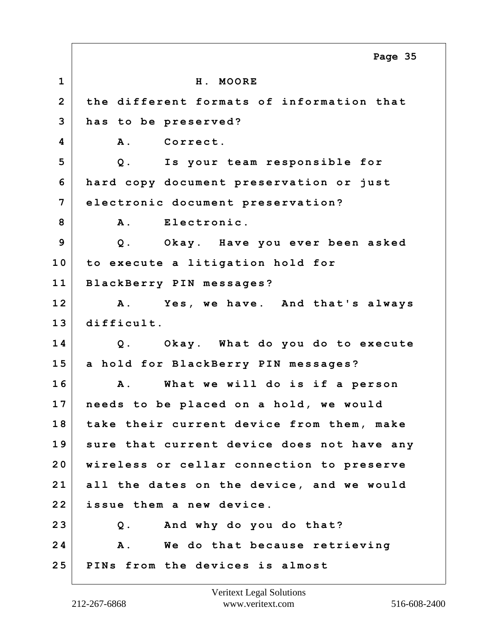**1 H. MOORE 2 the different formats of information that 3 has to be preserved? 4 A. Correct. 5 Q. Is your team responsible for 6 hard copy document preservation or just 7 electronic document preservation?** 8 A. Electronic. **9 Q. Okay. Have you ever been asked 10 to execute a litigation hold for 11 BlackBerry PIN messages? 12 A. Yes, we have. And that's always 13 difficult. 14 Q. Okay. What do you do to execute 15 a hold for BlackBerry PIN messages? 16 A. What we will do is if a person 17 needs to be placed on a hold, we would 18 take their current device from them, make 19 sure that current device does not have any 20 wireless or cellar connection to preserve 21 all the dates on the device, and we would 22 issue them a new device. 23 Q. And why do you do that? 24 A. We do that because retrieving 25 PINs from the devices is almost Page 35**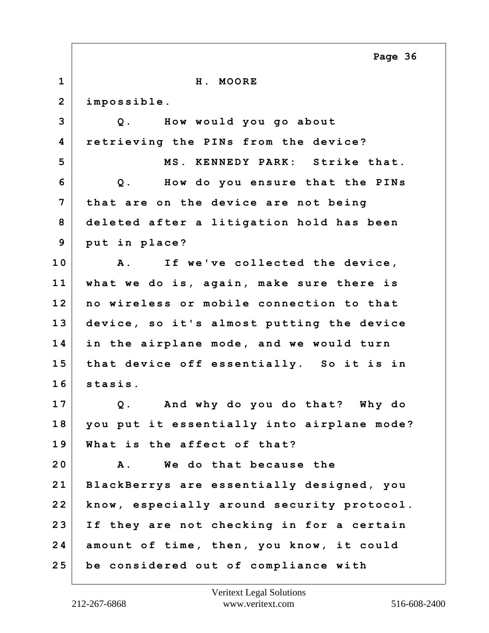|                | Page 36                                      |
|----------------|----------------------------------------------|
| $\mathbf{1}$   | H. MOORE                                     |
| $\overline{2}$ | impossible.                                  |
| 3              | Q. How would you go about                    |
| 4              | retrieving the PINs from the device?         |
| 5              | MS. KENNEDY PARK: Strike that.               |
| 6              | How do you ensure that the PINs<br>$Q$ .     |
| 7              | that are on the device are not being         |
| 8              | deleted after a litigation hold has been     |
| 9              | put in place?                                |
| 10             | If we've collected the device,<br><b>A</b> . |
| 11             | what we do is, again, make sure there is     |
| 12             | no wireless or mobile connection to that     |
| 13             | device, so it's almost putting the device    |
| 14             | in the airplane mode, and we would turn      |
| 15             | that device off essentially. So it is in     |
| 16             | stasis.                                      |
| 17             | Q. And why do you do that?<br>Why do         |
| 18             | you put it essentially into airplane mode?   |
| 19             | What is the affect of that?                  |
| 20             | We do that because the<br><b>A</b> .         |
| 21             | BlackBerrys are essentially designed, you    |
| 22             | know, especially around security protocol.   |
| 23             | If they are not checking in for a certain    |
| 24             | amount of time, then, you know, it could     |
| 25             | be considered out of compliance with         |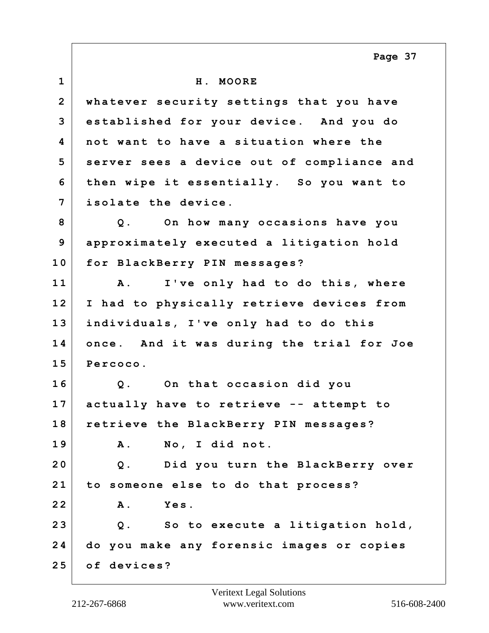**1 H. MOORE 2 whatever security settings that you have 3 established for your device. And you do 4 not want to have a situation where the 5 server sees a device out of compliance and 6 then wipe it essentially. So you want to 7 isolate the device. 8 Q. On how many occasions have you 9 approximately executed a litigation hold 10 for BlackBerry PIN messages? 11 A. I've only had to do this, where 12 I had to physically retrieve devices from 13 individuals, I've only had to do this 14 once. And it was during the trial for Joe 15 Percoco. 16 Q. On that occasion did you 17 actually have to retrieve -- attempt to 18 retrieve the BlackBerry PIN messages? 19 A. No, I did not. 20 Q. Did you turn the BlackBerry over 21 to someone else to do that process? 22 A. Yes. 23 Q. So to execute a litigation hold, 24 do you make any forensic images or copies 25 of devices? Page 37**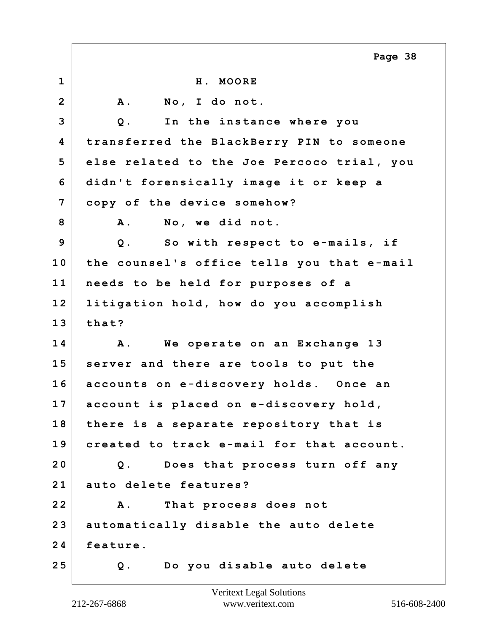|                | Page 38                                    |
|----------------|--------------------------------------------|
| $\mathbf{1}$   | H. MOORE                                   |
| $\overline{2}$ | A. No, I do not.                           |
| 3              | In the instance where you<br>$Q$ .         |
| 4              | transferred the BlackBerry PIN to someone  |
| 5              | else related to the Joe Percoco trial, you |
| 6              | didn't forensically image it or keep a     |
| 7              | copy of the device somehow?                |
| 8              | No, we did not.<br><b>A</b> .              |
| 9              | Q. So with respect to e-mails, if          |
| 10             | the counsel's office tells you that e-mail |
| 11             | needs to be held for purposes of a         |
| 12             | litigation hold, how do you accomplish     |
| 13             | that?                                      |
| 14             | We operate on an Exchange 13<br>Α.         |
| 15             | server and there are tools to put the      |
| 16             | accounts on e-discovery holds. Once an     |
| 17             | account is placed on e-discovery hold,     |
| 18             | there is a separate repository that is     |
| 19             | created to track e-mail for that account.  |
| 20             | Does that process turn off any<br>$Q$ .    |
| 21             | auto delete features?                      |
| 22             | That process does not<br>Α.                |
| 23             | automatically disable the auto delete      |
| 24             | feature.                                   |
| 25             | Do you disable auto delete<br>Q.           |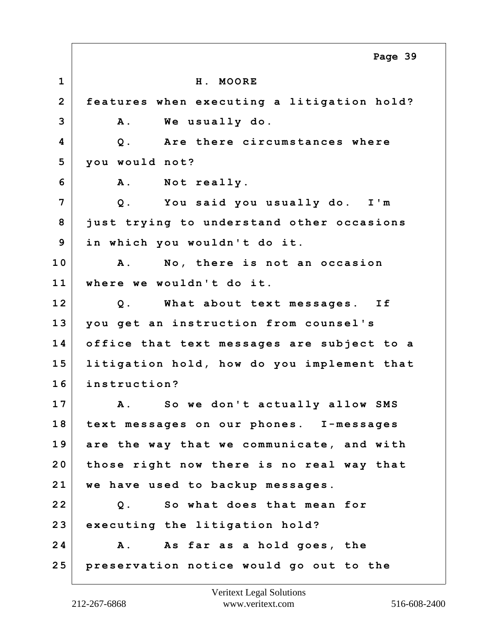**1 H. MOORE 2 features when executing a litigation hold? 3 A. We usually do. 4 Q. Are there circumstances where 5 you would not? 6 A. Not really. 7 Q. You said you usually do. I'm 8 just trying to understand other occasions 9 in which you wouldn't do it. 10 A. No, there is not an occasion 11 where we wouldn't do it. 12 Q. What about text messages. If 13 you get an instruction from counsel's 14 office that text messages are subject to a 15 litigation hold, how do you implement that 16 instruction? 17 A. So we don't actually allow SMS 18 text messages on our phones. I-messages 19 are the way that we communicate, and with 20 those right now there is no real way that 21 we have used to backup messages. 22 Q. So what does that mean for 23 executing the litigation hold? 24 A. As far as a hold goes, the 25 preservation notice would go out to the Page 39**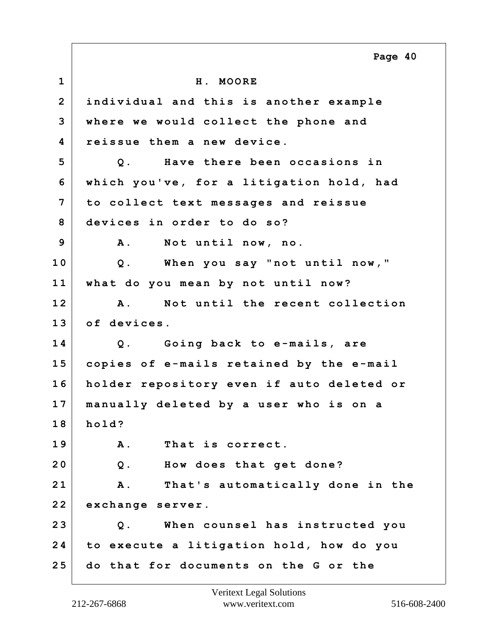**1 H. MOORE 2 individual and this is another example 3 where we would collect the phone and 4 reissue them a new device. 5 Q. Have there been occasions in 6 which you've, for a litigation hold, had 7 to collect text messages and reissue 8 devices in order to do so? 9 A. Not until now, no. 10 Q. When you say "not until now," 11 what do you mean by not until now? 12 A. Not until the recent collection 13 of devices. 14 Q. Going back to e-mails, are 15 copies of e-mails retained by the e-mail 16 holder repository even if auto deleted or 17 manually deleted by a user who is on a 18 hold? 19 A. That is correct. 20 Q. How does that get done? 21 A. That's automatically done in the 22 exchange server. 23 Q. When counsel has instructed you 24 to execute a litigation hold, how do you 25 do that for documents on the G or the Page 40**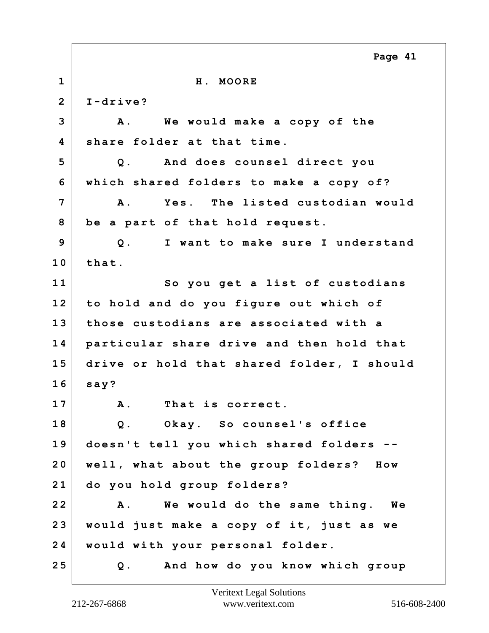|                | Page 41                                       |
|----------------|-----------------------------------------------|
| $\mathbf{1}$   | H. MOORE                                      |
| $\overline{2}$ | $I-drive?$                                    |
| 3              | We would make a copy of the<br>A.             |
| 4              | share folder at that time.                    |
| 5              | And does counsel direct you<br>$Q$ .          |
| 6              | which shared folders to make a copy of?       |
| 7              | Yes. The listed custodian would<br><b>A</b> . |
| 8              | be a part of that hold request.               |
| 9              | I want to make sure I understand<br>$Q$ .     |
| 10             | that.                                         |
| 11             | So you get a list of custodians               |
| 12             | to hold and do you figure out which of        |
| 13             | those custodians are associated with a        |
| 14             | particular share drive and then hold that     |
| 15             | drive or hold that shared folder, I should    |
| 16             | say?                                          |
| 17             | That is correct<br>Α.                         |
| 18             | Okay. So counsel's office<br>$Q$ .            |
| 19             | doesn't tell you which shared folders --      |
| 20             | well, what about the group folders? How       |
| 21             | do you hold group folders?                    |
| 22             | We would do the same thing. We<br><b>A</b> .  |
| 23             | would just make a copy of it, just as we      |
| 24             | would with your personal folder.              |
| 25             | Q. And how do you know which group            |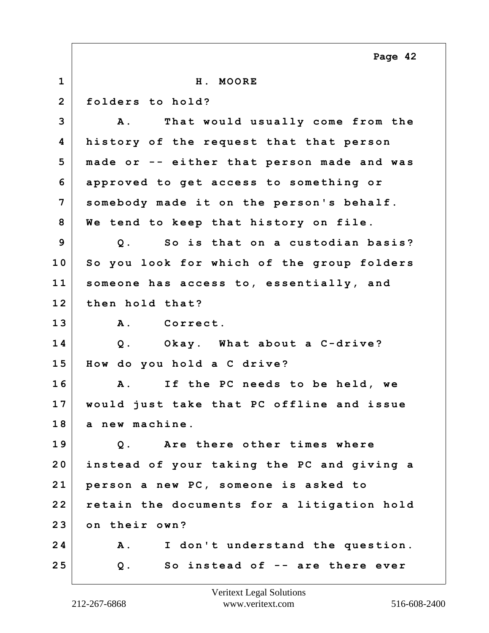**1 H. MOORE 2 folders to hold? 3 A. That would usually come from the 4 history of the request that that person 5 made or -- either that person made and was 6 approved to get access to something or 7 somebody made it on the person's behalf. 8 We tend to keep that history on file. 9 Q. So is that on a custodian basis? 10 So you look for which of the group folders 11 someone has access to, essentially, and 12 then hold that? 13 A. Correct. 14 Q. Okay. What about a C-drive? 15 How do you hold a C drive? 16 A. If the PC needs to be held, we 17 would just take that PC offline and issue 18 a new machine. 19 Q. Are there other times where 20 instead of your taking the PC and giving a 21 person a new PC, someone is asked to 22 retain the documents for a litigation hold 23 on their own? 24 A. I don't understand the question. 25 Q. So instead of -- are there ever Page 42**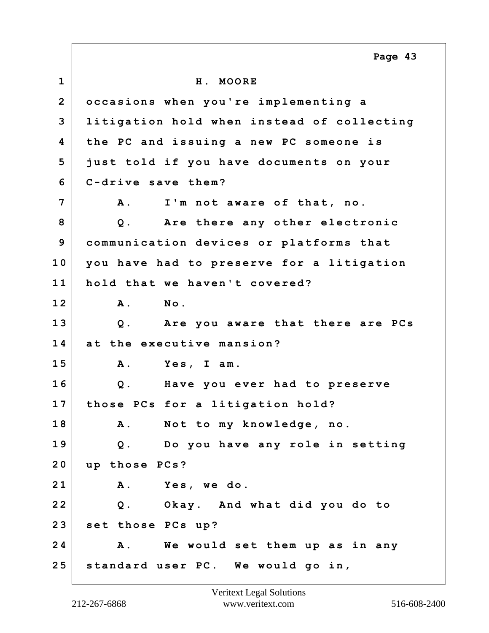**1 H. MOORE 2 occasions when you're implementing a 3 litigation hold when instead of collecting 4 the PC and issuing a new PC someone is 5 just told if you have documents on your 6 C-drive save them? 7 A. I'm not aware of that, no. 8 Q. Are there any other electronic 9 communication devices or platforms that 10 you have had to preserve for a litigation 11 hold that we haven't covered? 12 A. No. 13 Q. Are you aware that there are PCs 14 at the executive mansion? 15 A. Yes, I am. 16 Q. Have you ever had to preserve 17 those PCs for a litigation hold? 18 A. Not to my knowledge, no. 19 Q. Do you have any role in setting 20 up those PCs? 21 A. Yes, we do. 22 Q. Okay. And what did you do to 23 set those PCs up? 24 A. We would set them up as in any 25 standard user PC. We would go in, Page 43**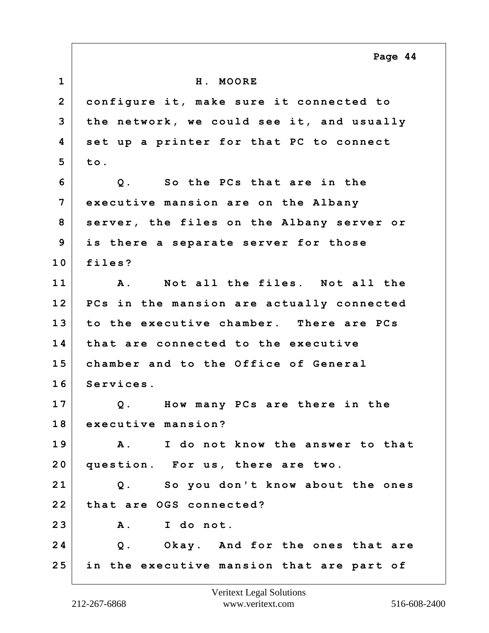**1 H. MOORE 2 configure it, make sure it connected to 3 the network, we could see it, and usually 4 set up a printer for that PC to connect 5 to. 6 Q. So the PCs that are in the 7 executive mansion are on the Albany 8 server, the files on the Albany server or 9 is there a separate server for those 10 files? 11 A. Not all the files. Not all the 12 PCs in the mansion are actually connected 13 to the executive chamber. There are PCs 14 that are connected to the executive 15 chamber and to the Office of General 16 Services. 17 Q. How many PCs are there in the 18 executive mansion? 19 A. I do not know the answer to that 20 question. For us, there are two. 21 Q. So you don't know about the ones 22 that are OGS connected? 23 A. I do not. 24 Q. Okay. And for the ones that are 25 in the executive mansion that are part of Page 44**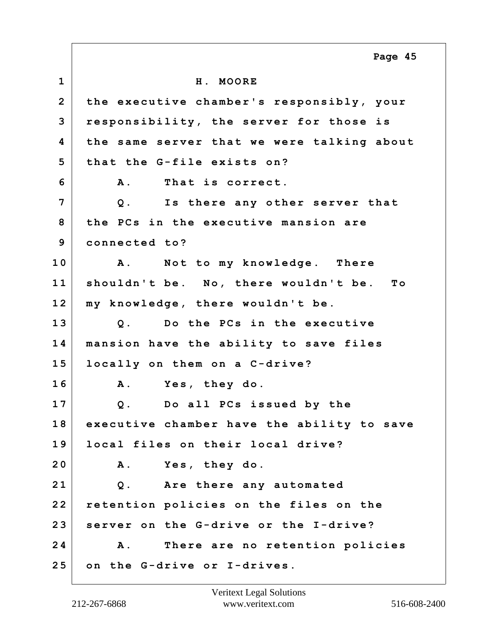**1 H. MOORE 2 the executive chamber's responsibly, your 3 responsibility, the server for those is 4 the same server that we were talking about 5 that the G-file exists on? 6 A. That is correct. 7 Q. Is there any other server that 8 the PCs in the executive mansion are 9 connected to? 10 A. Not to my knowledge. There 11 shouldn't be. No, there wouldn't be. To 12 my knowledge, there wouldn't be. 13 Q. Do the PCs in the executive 14 mansion have the ability to save files 15 locally on them on a C-drive? 16 A. Yes, they do. 17 Q. Do all PCs issued by the 18 executive chamber have the ability to save 19 local files on their local drive? 20 A. Yes, they do. 21 Q. Are there any automated 22 retention policies on the files on the 23 server on the G-drive or the I-drive? 24 A. There are no retention policies 25 on the G-drive or I-drives. Page 45**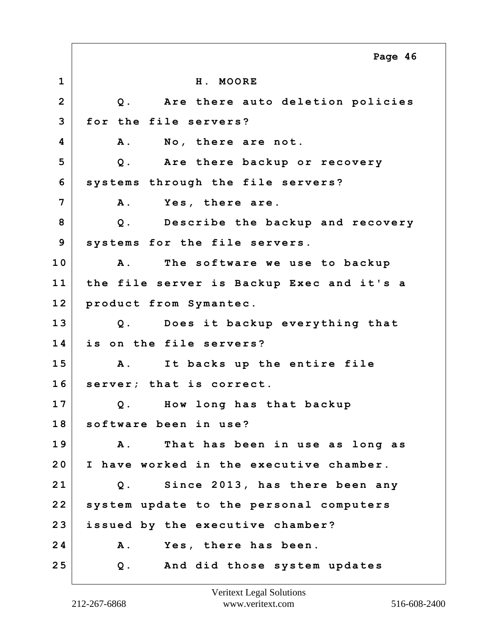**1 H. MOORE 2 Q. Are there auto deletion policies 3 for the file servers? 4 A. No, there are not. 5 Q. Are there backup or recovery 6 systems through the file servers? 7 A. Yes, there are. 8 Q. Describe the backup and recovery 9 systems for the file servers. 10 A. The software we use to backup 11 the file server is Backup Exec and it's a 12 product from Symantec. 13 Q. Does it backup everything that 14 is on the file servers? 15 A. It backs up the entire file 16 server; that is correct. 17 Q. How long has that backup 18 software been in use? 19 A. That has been in use as long as 20 I have worked in the executive chamber. 21 Q. Since 2013, has there been any 22 system update to the personal computers 23 issued by the executive chamber? 24 A. Yes, there has been. 25 Q. And did those system updates Page 46**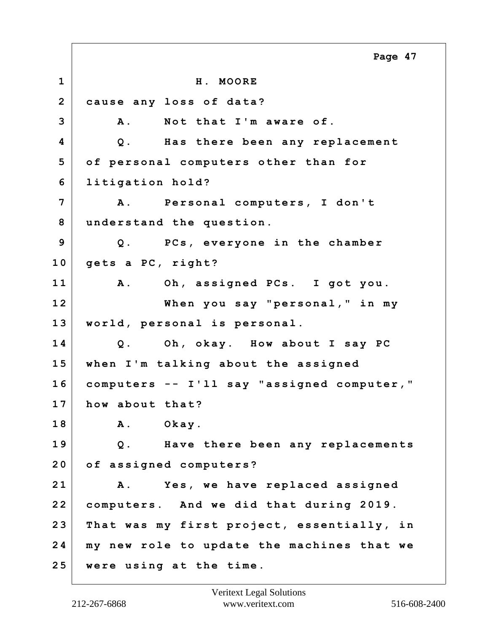**1 H. MOORE 2 cause any loss of data? 3 A. Not that I'm aware of. 4 Q. Has there been any replacement 5 of personal computers other than for 6 litigation hold? 7 A. Personal computers, I don't 8 understand the question. 9 Q. PCs, everyone in the chamber 10 gets a PC, right? 11 A. Oh, assigned PCs. I got you. 12 When you say "personal," in my 13 world, personal is personal. 14 Q. Oh, okay. How about I say PC 15 when I'm talking about the assigned 16 computers -- I'll say "assigned computer," 17 how about that? 18 A. Okay. 19 Q. Have there been any replacements 20 of assigned computers? 21 A. Yes, we have replaced assigned 22 computers. And we did that during 2019. 23 That was my first project, essentially, in 24 my new role to update the machines that we 25 were using at the time. Page 47**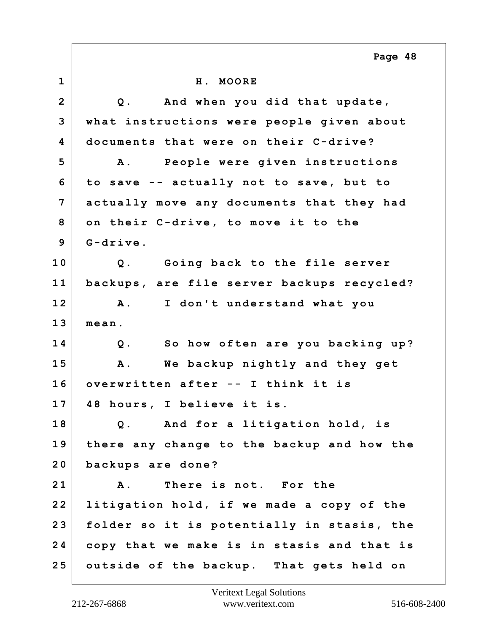**1 H. MOORE 2 Q. And when you did that update, 3 what instructions were people given about 4 documents that were on their C-drive? 5 A. People were given instructions 6 to save -- actually not to save, but to 7 actually move any documents that they had 8 on their C-drive, to move it to the 9 G-drive. 10 Q. Going back to the file server 11 backups, are file server backups recycled? 12 A. I don't understand what you 13 mean. 14 Q. So how often are you backing up? 15 A. We backup nightly and they get 16 overwritten after -- I think it is 17 48 hours, I believe it is. 18 Q. And for a litigation hold, is 19 there any change to the backup and how the 20 backups are done? 21 A. There is not. For the 22 litigation hold, if we made a copy of the 23 folder so it is potentially in stasis, the 24 copy that we make is in stasis and that is 25 outside of the backup. That gets held on Page 48**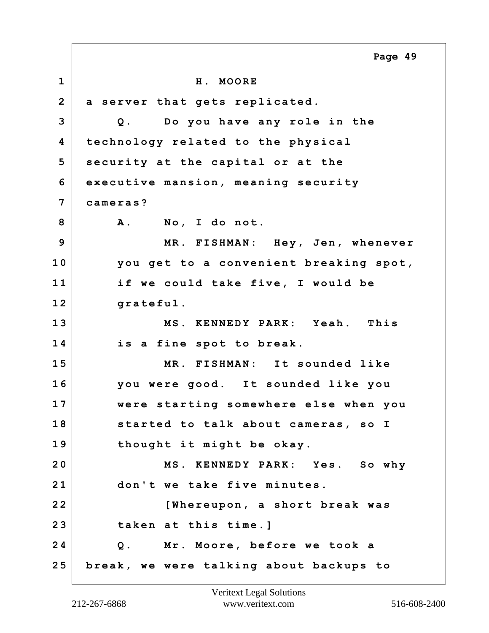**1 H. MOORE 2 a server that gets replicated. 3 Q. Do you have any role in the 4 technology related to the physical 5 security at the capital or at the 6 executive mansion, meaning security 7 cameras? 8 A. No, I do not. 9 MR. FISHMAN: Hey, Jen, whenever 10 you get to a convenient breaking spot, 11 if we could take five, I would be 12 grateful. 13 MS. KENNEDY PARK: Yeah. This 14 is a fine spot to break. 15 MR. FISHMAN: It sounded like 16 you were good. It sounded like you 17 were starting somewhere else when you 18 started to talk about cameras, so I 19 thought it might be okay. 20 MS. KENNEDY PARK: Yes. So why 21 don't we take five minutes. 22 [Whereupon, a short break was 23 taken at this time.] 24 Q. Mr. Moore, before we took a 25 break, we were talking about backups to Page 49**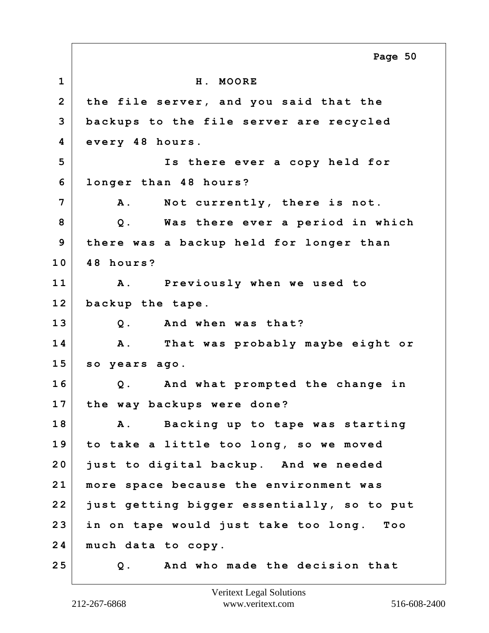**1 H. MOORE 2 the file server, and you said that the 3 backups to the file server are recycled 4 every 48 hours. 5 Is there ever a copy held for 6 longer than 48 hours? 7 A. Not currently, there is not. 8 Q. Was there ever a period in which 9 there was a backup held for longer than 10 48 hours? 11 A. Previously when we used to 12 backup the tape. 13 Q. And when was that? 14 A. That was probably maybe eight or 15 so years ago. 16 Q. And what prompted the change in 17 the way backups were done? 18 A. Backing up to tape was starting 19 to take a little too long, so we moved 20 just to digital backup. And we needed 21 more space because the environment was 22 just getting bigger essentially, so to put 23 in on tape would just take too long. Too 24 much data to copy. 25 Q. And who made the decision that Page 50**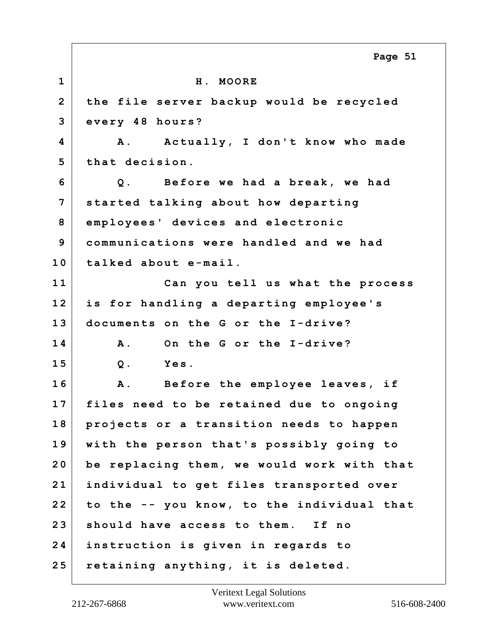|                | Page 51                                    |
|----------------|--------------------------------------------|
| $\mathbf 1$    | H. MOORE                                   |
| $\overline{2}$ | the file server backup would be recycled   |
| 3              | every 48 hours?                            |
| 4              | A. Actually, I don't know who made         |
| 5              | that decision.                             |
| 6              | Before we had a break, we had<br>$Q$ .     |
| 7              | started talking about how departing        |
| 8              | employees' devices and electronic          |
| 9              | communications were handled and we had     |
| 10             | talked about e-mail.                       |
| 11             | Can you tell us what the process           |
| 12             | is for handling a departing employee's     |
| 13             | documents on the G or the I-drive?         |
| 14             | On the G or the I-drive?<br><b>A</b> .     |
| 15             | Yes.<br>$Q$ .                              |
| 16             | A. Before the employee leaves, if          |
| 17             | files need to be retained due to ongoing   |
| 18             | projects or a transition needs to happen   |
| 19             | with the person that's possibly going to   |
| 20             | be replacing them, we would work with that |
| 21             | individual to get files transported over   |
| 22             | to the -- you know, to the individual that |
| 23             | should have access to them. If no          |
| 24             | instruction is given in regards to         |
| 25             | retaining anything, it is deleted.         |

 $\Gamma$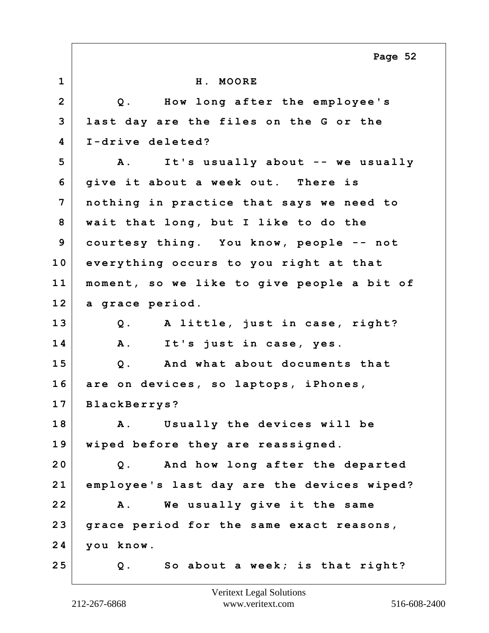**1 H. MOORE 2 Q. How long after the employee's 3 last day are the files on the G or the 4 I-drive deleted? 5 A. It's usually about -- we usually 6 give it about a week out. There is 7 nothing in practice that says we need to 8 wait that long, but I like to do the 9 courtesy thing. You know, people -- not 10 everything occurs to you right at that 11 moment, so we like to give people a bit of 12 a grace period. 13 Q. A little, just in case, right? 14 A. It's just in case, yes. 15 Q. And what about documents that 16 are on devices, so laptops, iPhones, 17 BlackBerrys? 18 A. Usually the devices will be 19 wiped before they are reassigned. 20 Q. And how long after the departed 21 employee's last day are the devices wiped? 22 A. We usually give it the same 23 grace period for the same exact reasons, 24 you know. 25 Q. So about a week; is that right? Page 52**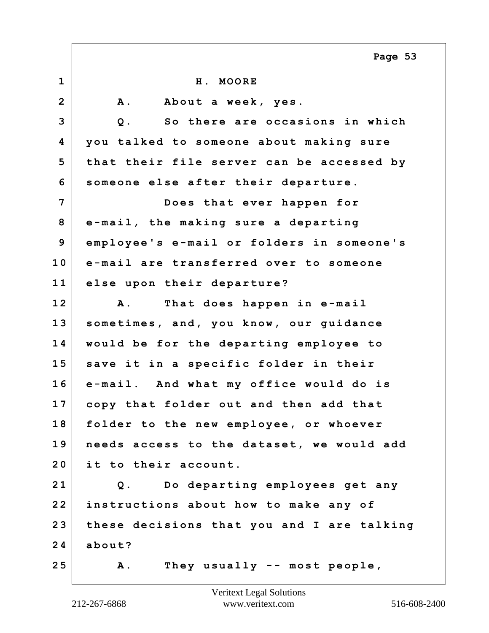|                | Page 53                                      |
|----------------|----------------------------------------------|
| $\mathbf{1}$   | H. MOORE                                     |
| $\overline{2}$ | <b>A</b> .<br>About a week, yes.             |
| 3              | $Q$ .<br>So there are occasions in which     |
| 4              | you talked to someone about making sure      |
| 5              | that their file server can be accessed by    |
| 6              | someone else after their departure.          |
| 7              | Does that ever happen for                    |
| 8              | e-mail, the making sure a departing          |
| 9              | employee's e-mail or folders in someone's    |
| 10             | e-mail are transferred over to someone       |
| 11             | else upon their departure?                   |
| 12             | That does happen in e-mail<br><b>A</b> .     |
| 13             | sometimes, and, you know, our guidance       |
| 14             | would be for the departing employee to       |
| 15             | save it in a specific folder in their        |
| 16             | e-mail. And what my office would do is       |
| 17             | copy that folder out and then add that       |
| 18             | folder to the new employee, or whoever       |
| 19             | needs access to the dataset, we would add    |
| 20             | it to their account.                         |
| 21             | Do departing employees get any<br>$Q$ .      |
| 22             | instructions about how to make any of        |
| 23             | these decisions that you and I are talking   |
| 24             | about?                                       |
| 25             | They usually $--$ most people,<br><b>A</b> . |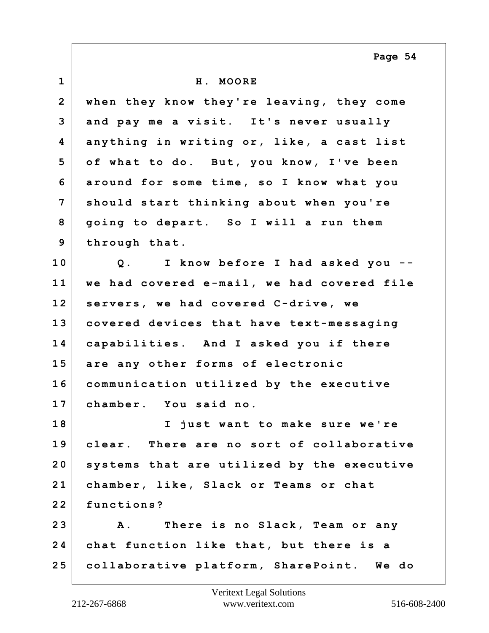**1 H. MOORE 2 when they know they're leaving, they come 3 and pay me a visit. It's never usually 4 anything in writing or, like, a cast list 5 of what to do. But, you know, I've been 6 around for some time, so I know what you 7 should start thinking about when you're 8 going to depart. So I will a run them 9 through that. 10 Q. I know before I had asked you -- 11 we had covered e-mail, we had covered file 12 servers, we had covered C-drive, we 13 covered devices that have text-messaging 14 capabilities. And I asked you if there 15 are any other forms of electronic 16 communication utilized by the executive 17 chamber. You said no. 18 I just want to make sure we're 19 clear. There are no sort of collaborative 20 systems that are utilized by the executive 21 chamber, like, Slack or Teams or chat 22 functions? 23 A. There is no Slack, Team or any 24 chat function like that, but there is a 25 collaborative platform, SharePoint. We do Page 54**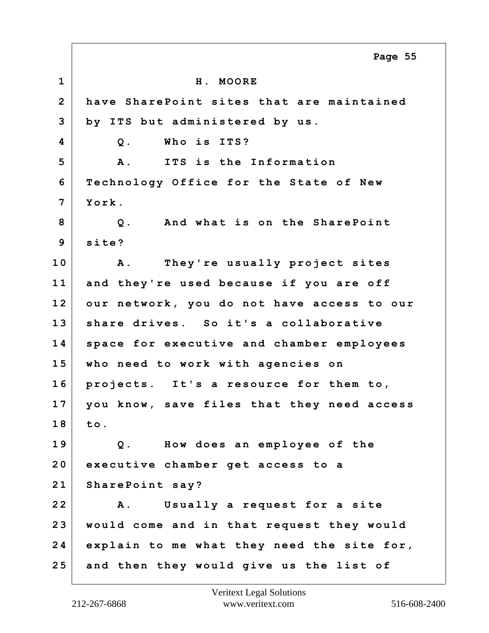**1 H. MOORE 2 have SharePoint sites that are maintained 3 by ITS but administered by us. 4 Q. Who is ITS? 5 A. ITS is the Information 6 Technology Office for the State of New 7 York. 8 Q. And what is on the SharePoint 9 site? 10 A. They're usually project sites 11 and they're used because if you are off 12 our network, you do not have access to our 13 share drives. So it's a collaborative 14 space for executive and chamber employees 15 who need to work with agencies on 16 projects. It's a resource for them to, 17 you know, save files that they need access 18 to. 19 Q. How does an employee of the 20 executive chamber get access to a 21 SharePoint say? 22 A. Usually a request for a site 23 would come and in that request they would 24 explain to me what they need the site for, 25 and then they would give us the list of Page 55**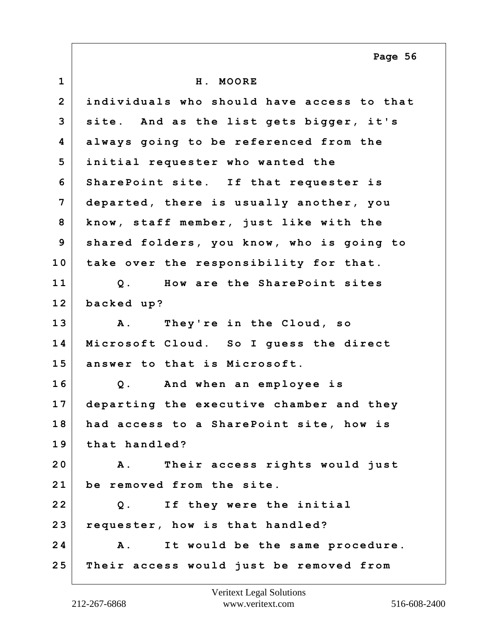**1 H. MOORE 2 individuals who should have access to that 3 site. And as the list gets bigger, it's 4 always going to be referenced from the 5 initial requester who wanted the 6 SharePoint site. If that requester is 7 departed, there is usually another, you 8 know, staff member, just like with the 9 shared folders, you know, who is going to 10 take over the responsibility for that. 11 Q. How are the SharePoint sites 12 backed up? 13 A. They're in the Cloud, so 14 Microsoft Cloud. So I guess the direct 15 answer to that is Microsoft. 16 Q. And when an employee is 17 departing the executive chamber and they 18 had access to a SharePoint site, how is 19 that handled? 20 A. Their access rights would just 21 be removed from the site. 22 Q. If they were the initial 23 requester, how is that handled? 24 A. It would be the same procedure. 25 Their access would just be removed from Page 56**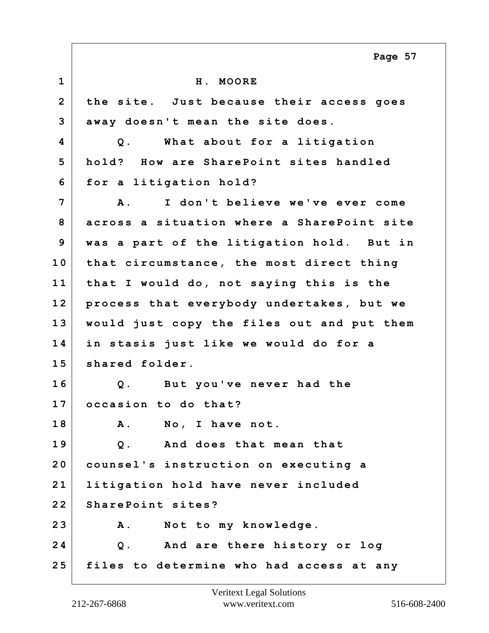**1 H. MOORE 2 the site. Just because their access goes 3 away doesn't mean the site does. 4 Q. What about for a litigation 5 hold? How are SharePoint sites handled 6 for a litigation hold? 7 A. I don't believe we've ever come 8 across a situation where a SharePoint site 9 was a part of the litigation hold. But in 10 that circumstance, the most direct thing 11 that I would do, not saying this is the 12 process that everybody undertakes, but we 13 would just copy the files out and put them 14 in stasis just like we would do for a 15 shared folder. 16 Q. But you've never had the 17 occasion to do that? 18 A. No, I have not. 19 Q. And does that mean that 20 counsel's instruction on executing a 21 litigation hold have never included 22 SharePoint sites? 23 A. Not to my knowledge. 24 Q. And are there history or log 25 files to determine who had access at any Page 57**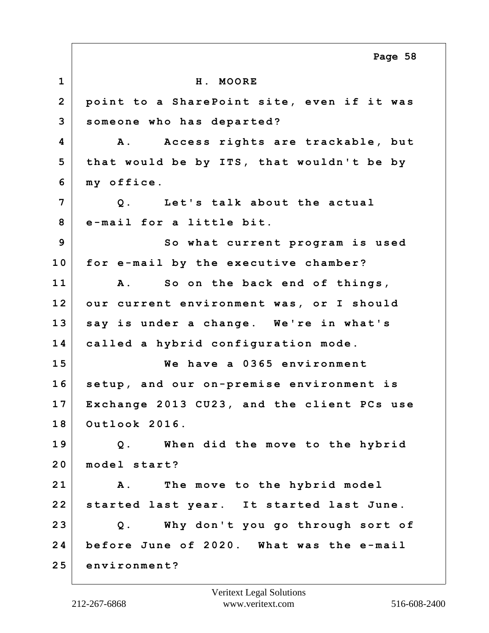**1 H. MOORE 2 point to a SharePoint site, even if it was 3 someone who has departed? 4 A. Access rights are trackable, but 5 that would be by ITS, that wouldn't be by 6 my office. 7 Q. Let's talk about the actual 8 e-mail for a little bit. 9** So what current program is used **10 for e-mail by the executive chamber? 11 A. So on the back end of things, 12 our current environment was, or I should 13 say is under a change. We're in what's 14 called a hybrid configuration mode. 15 We have a 0365 environment 16 setup, and our on-premise environment is 17 Exchange 2013 CU23, and the client PCs use 18 Outlook 2016. 19 Q. When did the move to the hybrid 20 model start? 21 A. The move to the hybrid model 22 started last year. It started last June. 23 Q. Why don't you go through sort of 24 before June of 2020. What was the e-mail 25 environment? Page 58**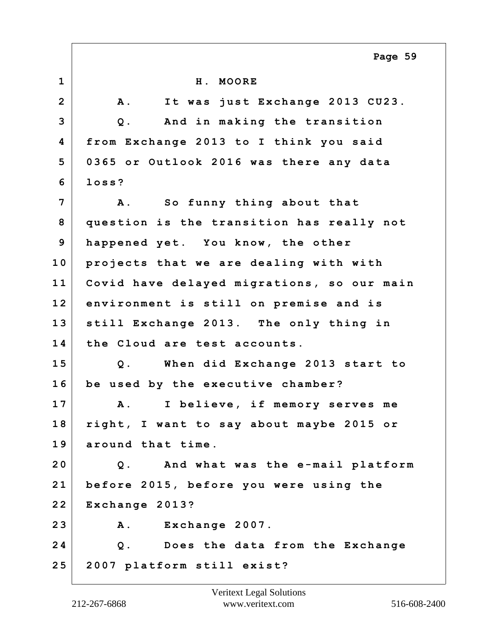**1 H. MOORE 2 A. It was just Exchange 2013 CU23. 3 Q. And in making the transition 4 from Exchange 2013 to I think you said 5 0365 or Outlook 2016 was there any data 6 loss? 7 A. So funny thing about that 8 question is the transition has really not 9 happened yet. You know, the other 10 projects that we are dealing with with 11 Covid have delayed migrations, so our main 12 environment is still on premise and is 13 still Exchange 2013. The only thing in 14 the Cloud are test accounts. 15 Q. When did Exchange 2013 start to 16 be used by the executive chamber? 17 A. I believe, if memory serves me 18 right, I want to say about maybe 2015 or 19 around that time. 20 Q. And what was the e-mail platform 21 before 2015, before you were using the 22 Exchange 2013? 23 A. Exchange 2007. 24 Q. Does the data from the Exchange 25 2007 platform still exist? Page 59**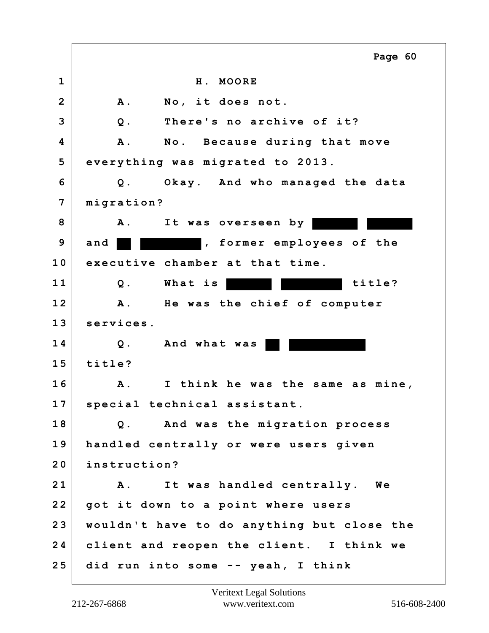|                | Page 60                                        |
|----------------|------------------------------------------------|
| $\mathbf 1$    | H. MOORE                                       |
| $\overline{2}$ | No, it does not.<br><b>A</b> .                 |
| 3              | There's no archive of it?<br>$Q$ .             |
| 4              | A .<br>No. Because during that move            |
| 5              | everything was migrated to 2013.               |
| 6              | Okay. And who managed the data<br>$Q$ .        |
| 7              | migration?                                     |
| 8              | <b>A</b> .<br>It was overseen by               |
| 9              | , former employees of the<br>and               |
| 10             | executive chamber at that time.                |
| 11             | title?<br>What is<br>$Q$ .                     |
| 12             | $\mathbf{A}$ .<br>He was the chief of computer |
| 13             | services.                                      |
| 14             | $Q$ .<br>And what was                          |
| 15             | title?                                         |
| 16             | <b>A</b> .<br>I think he was the same as mine, |
| 17             | special technical assistant.                   |
| 18             | Q. And was the migration process               |
| 19             | handled centrally or were users given          |
| 20             | instruction?                                   |
| 21             | It was handled centrally. We<br>Α.             |
| 22             | got it down to a point where users             |
| 23             | wouldn't have to do anything but close the     |
| 24             | client and reopen the client. I think we       |
| 25             | did run into some -- yeah, I think             |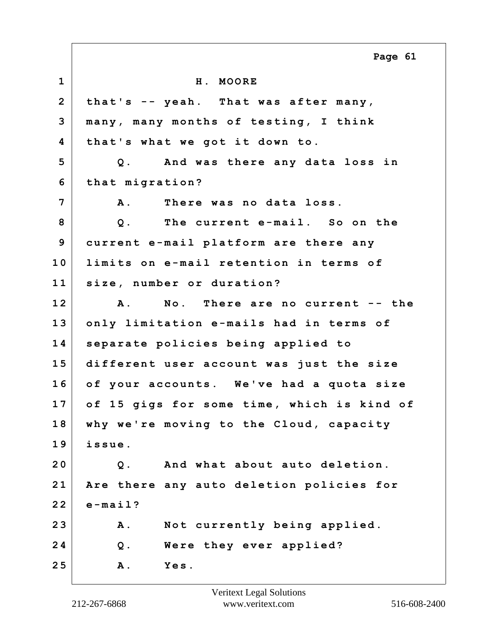|                | Page 61                                    |
|----------------|--------------------------------------------|
| $\mathbf{1}$   | H. MOORE                                   |
| $\overline{2}$ | that's -- yeah. That was after many,       |
| 3              | many, many months of testing, I think      |
| 4              | that's what we got it down to.             |
| 5              | Q. And was there any data loss in          |
| 6              | that migration?                            |
| $\overline{7}$ | There was no data loss.<br><b>A</b> .      |
| 8              | The current e-mail. So on the<br>$Q$ .     |
| 9              | current e-mail platform are there any      |
| 10             | limits on e-mail retention in terms of     |
| 11             | size, number or duration?                  |
| 12             | A. No. There are no current -- the         |
| 13             | only limitation e-mails had in terms of    |
| 14             | separate policies being applied to         |
| 15             | different user account was just the size   |
| 16             | of your accounts. We've had a quota size   |
| 17             | of 15 gigs for some time, which is kind of |
| 18             | why we're moving to the Cloud, capacity    |
| 19             | issue.                                     |
| 20             | And what about auto deletion.<br>$Q$ .     |
| 21             | Are there any auto deletion policies for   |
| 22             | $e$ -mail?                                 |
| 23             | <b>A</b> .<br>Not currently being applied. |
| 24             | Were they ever applied?<br>$Q$ .           |
| 25             | Yes.<br><b>A</b> .                         |

Г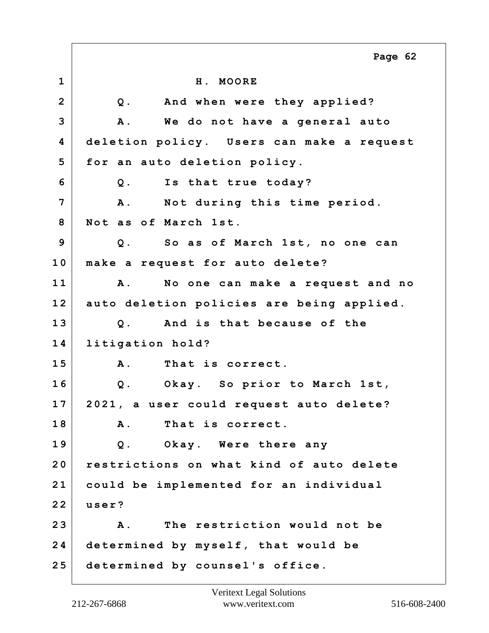**1 H. MOORE 2 Q. And when were they applied? 3 A. We do not have a general auto 4 deletion policy. Users can make a request 5 for an auto deletion policy. 6 Q. Is that true today? 7 A. Not during this time period. 8 Not as of March 1st. 9 Q. So as of March 1st, no one can 10 make a request for auto delete? 11 A. No one can make a request and no 12 auto deletion policies are being applied. 13 Q. And is that because of the 14 litigation hold? 15 A. That is correct. 16 Q. Okay. So prior to March 1st, 17 2021, a user could request auto delete? 18 A. That is correct. 19 Q. Okay. Were there any 20 restrictions on what kind of auto delete 21 could be implemented for an individual 22 user? 23 A. The restriction would not be 24 determined by myself, that would be 25 determined by counsel's office. Page 62**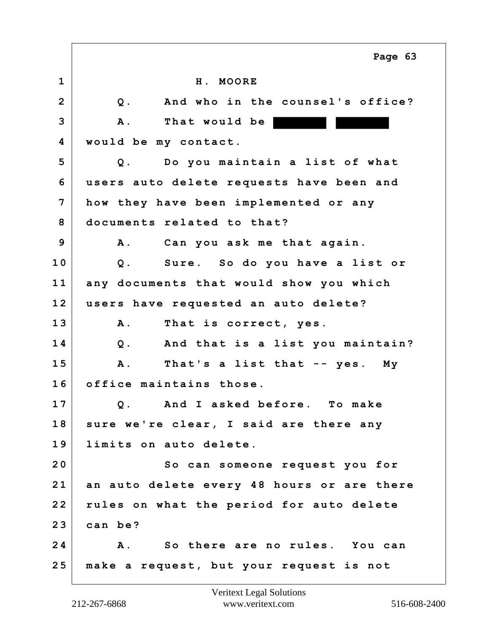|                | Page 63                                      |
|----------------|----------------------------------------------|
| $\mathbf{1}$   | H. MOORE                                     |
| $\overline{2}$ | And who in the counsel's office?<br>$Q$ .    |
| 3              | That would be<br><b>A</b> .                  |
| 4              | would be my contact.                         |
| 5              | Do you maintain a list of what<br>$Q$ .      |
| 6              | users auto delete requests have been and     |
| $\overline{7}$ | how they have been implemented or any        |
| 8              | documents related to that?                   |
| 9              | Can you ask me that again.<br><b>A</b> .     |
| 10             | Q. Sure. So do you have a list or            |
| 11             | any documents that would show you which      |
| 12             | users have requested an auto delete?         |
| 13             | That is correct, yes.<br><b>A</b> .          |
| 14             | Q. And that is a list you maintain?          |
| 15             | A .<br>That's a list that -- yes. My         |
| 16             | office maintains those.                      |
| 17             | Q. And I asked before.<br>To make            |
| 18             | sure we're clear, I said are there any       |
| 19             | limits on auto delete.                       |
| 20             | So can someone request you for               |
| 21             | an auto delete every 48 hours or are there   |
| 22             | rules on what the period for auto delete     |
| 23             | can be?                                      |
| 24             | So there are no rules. You can<br><b>A</b> . |
| 25             | make a request, but your request is not      |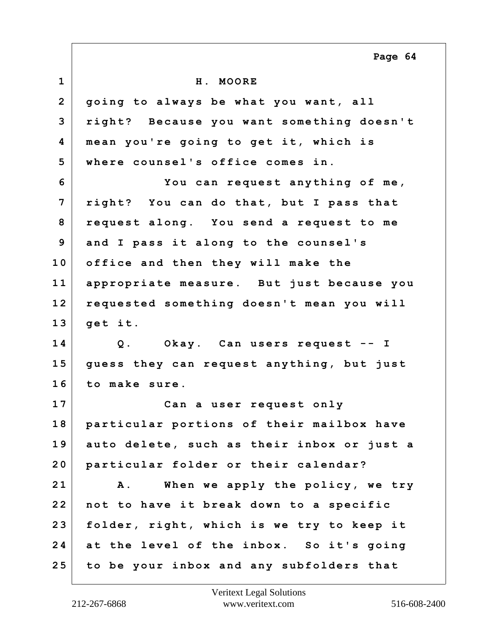**1 H. MOORE 2 going to always be what you want, all 3 right? Because you want something doesn't 4 mean you're going to get it, which is 5 where counsel's office comes in. 6 You can request anything of me, 7 right? You can do that, but I pass that 8 request along. You send a request to me 9 and I pass it along to the counsel's 10 office and then they will make the 11 appropriate measure. But just because you 12 requested something doesn't mean you will 13 get it. 14 Q. Okay. Can users request -- I 15 guess they can request anything, but just 16 to make sure. 17 Can a user request only 18 particular portions of their mailbox have 19 auto delete, such as their inbox or just a 20 particular folder or their calendar? 21 A. When we apply the policy, we try 22 not to have it break down to a specific 23 folder, right, which is we try to keep it 24 at the level of the inbox. So it's going 25 to be your inbox and any subfolders that Page 64**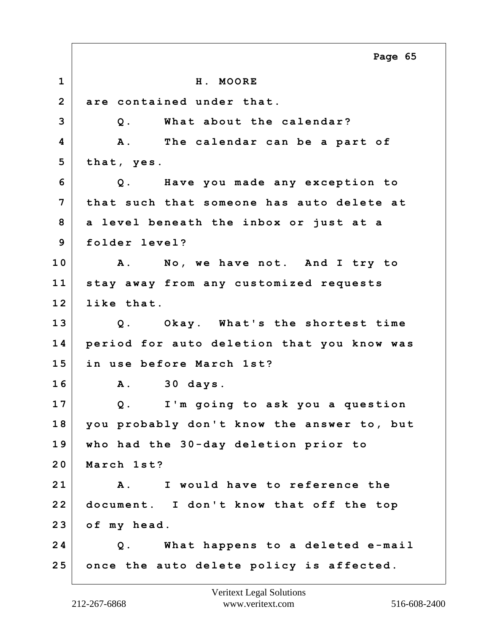**1 H. MOORE 2 are contained under that. 3 Q. What about the calendar? 4 A. The calendar can be a part of 5 that, yes. 6 Q. Have you made any exception to 7 that such that someone has auto delete at 8 a level beneath the inbox or just at a 9 folder level? 10 A. No, we have not. And I try to 11 stay away from any customized requests 12 like that. 13 Q. Okay. What's the shortest time 14 period for auto deletion that you know was 15 in use before March 1st? 16 A. 30 days. 17 Q. I'm going to ask you a question 18 you probably don't know the answer to, but 19 who had the 30-day deletion prior to 20 March 1st? 21 A. I would have to reference the 22 document. I don't know that off the top 23 of my head. 24 Q. What happens to a deleted e-mail 25 once the auto delete policy is affected. Page 65**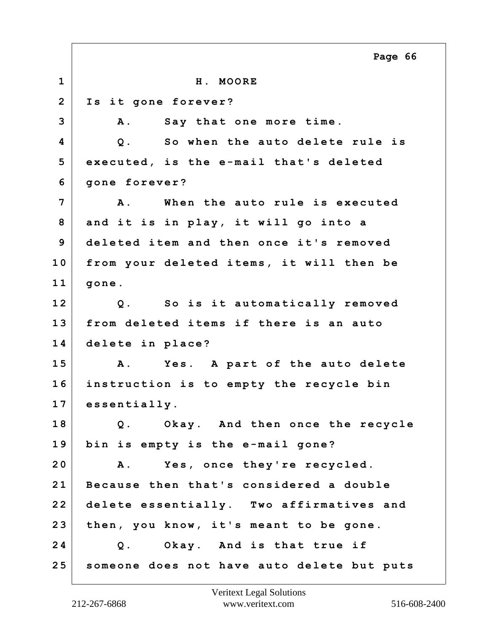|                | Page 66                                    |
|----------------|--------------------------------------------|
| $\mathbf{1}$   | H. MOORE                                   |
| $\overline{2}$ | Is it gone forever?                        |
| 3              | Say that one more time.<br>Α.              |
| 4              | So when the auto delete rule is<br>$Q$ .   |
| 5              | executed, is the e-mail that's deleted     |
| 6              | gone forever?                              |
| $\overline{7}$ | When the auto rule is executed<br>Α.       |
| 8              | and it is in play, it will go into a       |
| 9              | deleted item and then once it's removed    |
| 10             | from your deleted items, it will then be   |
| 11             | gone.                                      |
| 12             | Q. So is it automatically removed          |
| 13             | from deleted items if there is an auto     |
| 14             | delete in place?                           |
| 15             | Yes. A part of the auto delete<br>Α.       |
| 16             | instruction is to empty the recycle bin    |
| 17             | essentially.                               |
| 18             | Q. Okay. And then once the recycle         |
| 19             | bin is empty is the e-mail gone?           |
| 20             | Yes, once they're recycled.<br><b>A</b> .  |
| 21             | Because then that's considered a double    |
| 22             | delete essentially. Two affirmatives and   |
| 23             | then, you know, it's meant to be gone.     |
| 24             | Q. Okay. And is that true if               |
| 25             | someone does not have auto delete but puts |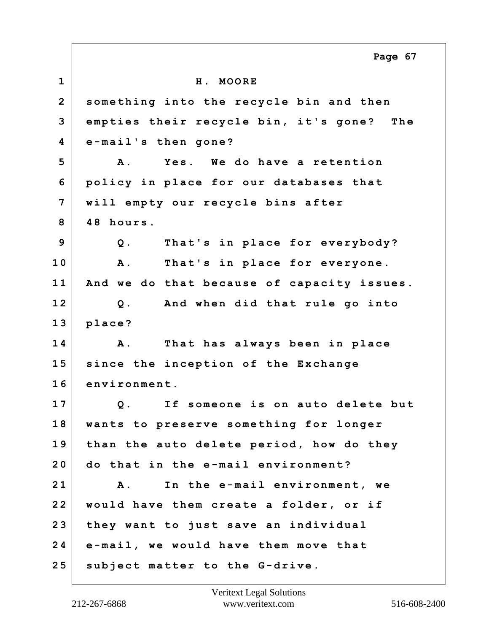**1 H. MOORE 2 something into the recycle bin and then 3 empties their recycle bin, it's gone? The 4 e-mail's then gone? 5 A. Yes. We do have a retention 6 policy in place for our databases that 7 will empty our recycle bins after 8 48 hours. 9 Q. That's in place for everybody? 10 A. That's in place for everyone. 11 And we do that because of capacity issues. 12 Q. And when did that rule go into 13 place? 14 A. That has always been in place 15 since the inception of the Exchange 16 environment. 17 Q. If someone is on auto delete but 18 wants to preserve something for longer 19 than the auto delete period, how do they 20 do that in the e-mail environment? 21 A. In the e-mail environment, we 22 would have them create a folder, or if 23 they want to just save an individual 24 e-mail, we would have them move that 25 subject matter to the G-drive. Page 67**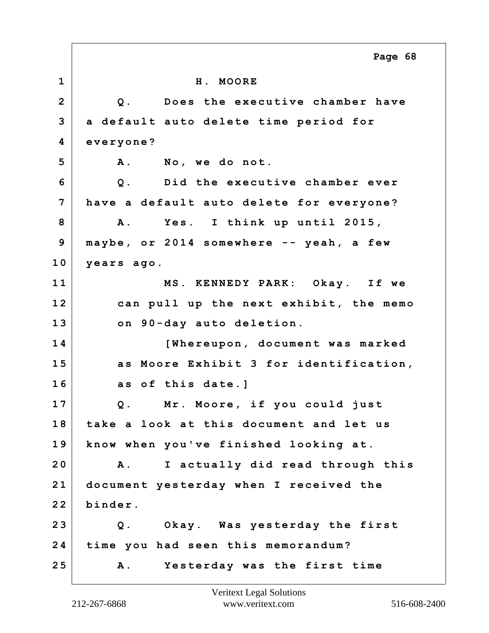|                | Page 68                                        |
|----------------|------------------------------------------------|
| $\mathbf 1$    | H. MOORE                                       |
| $\overline{2}$ | Does the executive chamber have<br>Q.          |
| 3              | a default auto delete time period for          |
| 4              | everyone?                                      |
| 5              | A. No, we donot.                               |
| 6              | Q. Did the executive chamber ever              |
| 7              | have a default auto delete for everyone?       |
| 8              | A. Yes. I think up until 2015,                 |
| 9              | maybe, or 2014 somewhere -- yeah, a few        |
| 10             | years ago.                                     |
| 11             | MS. KENNEDY PARK: Okay. If we                  |
| 12             | can pull up the next exhibit, the memo         |
| 13             | on 90-day auto deletion.                       |
| 14             | [Whereupon, document was marked                |
| 15             | as Moore Exhibit 3 for identification,         |
| 16             | as of this date.]                              |
| 17             | Q. Mr. Moore, if you could just                |
| 18             | take a look at this document and let us        |
| 19             | know when you've finished looking at.          |
| 20             | I actually did read through this<br><b>A</b> . |
| 21             | document yesterday when I received the         |
| 22             | binder.                                        |
| 23             | Q. Okay. Was yesterday the first               |
| 24             | time you had seen this memorandum?             |
| 25             | Yesterday was the first time<br><b>A</b> .     |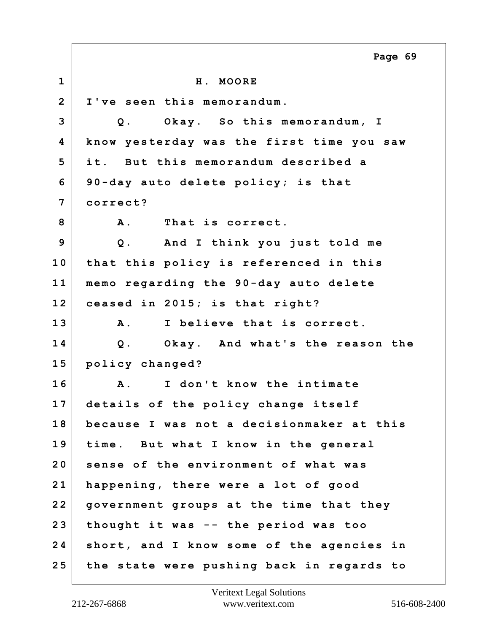**1 H. MOORE 2 I've seen this memorandum. 3 Q. Okay. So this memorandum, I 4 know yesterday was the first time you saw 5 it. But this memorandum described a 6 90-day auto delete policy; is that 7 correct? 8 A. That is correct. 9 Q. And I think you just told me 10 that this policy is referenced in this 11 memo regarding the 90-day auto delete 12 ceased in 2015; is that right? 13 A. I believe that is correct. 14 Q. Okay. And what's the reason the 15 policy changed? 16 A. I don't know the intimate 17 details of the policy change itself 18 because I was not a decisionmaker at this 19 time. But what I know in the general 20 sense of the environment of what was 21 happening, there were a lot of good 22 government groups at the time that they 23 thought it was -- the period was too 24 short, and I know some of the agencies in 25 the state were pushing back in regards to Page 69**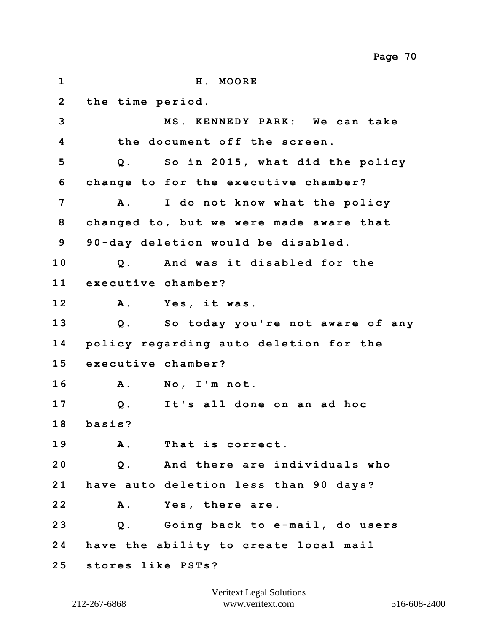**1 H. MOORE 2 the time period. 3 MS. KENNEDY PARK: We can take 4 the document off the screen. 5 Q. So in 2015, what did the policy 6 change to for the executive chamber? 7 A. I do not know what the policy 8 changed to, but we were made aware that 9 90-day deletion would be disabled. 10 Q. And was it disabled for the 11 executive chamber? 12 A. Yes, it was. 13 Q. So today you're not aware of any 14 policy regarding auto deletion for the 15 executive chamber? 16 A. No, I'm not. 17 Q. It's all done on an ad hoc 18 basis? 19 A. That is correct. 20 Q. And there are individuals who 21 have auto deletion less than 90 days? 22 A. Yes, there are. 23 Q. Going back to e-mail, do users 24 have the ability to create local mail 25 stores like PSTs? Page 70**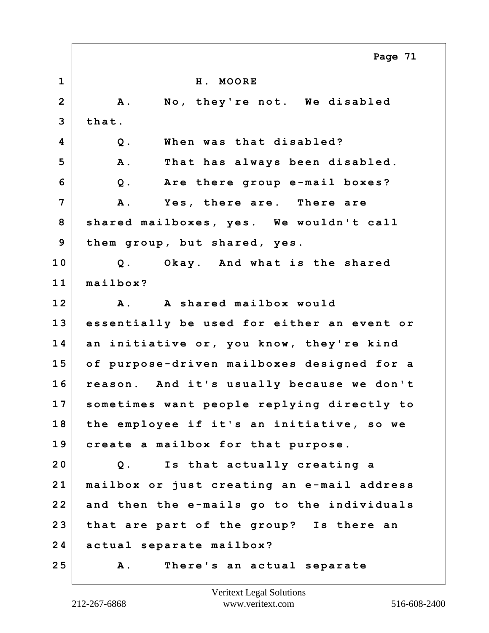|                | Page 71                                    |
|----------------|--------------------------------------------|
| $\mathbf{1}$   | H. MOORE                                   |
| $\overline{2}$ | No, they're not. We disabled<br><b>A</b> . |
| 3              | that.                                      |
| 4              | When was that disabled?<br>$Q$ .           |
| 5              | A .<br>That has always been disabled.      |
| 6              | Are there group e-mail boxes?<br>$Q$ .     |
| 7              | A .<br>Yes, there are. There are           |
| 8              | shared mailboxes, yes. We wouldn't call    |
| 9              | them group, but shared, yes.               |
| 10             | Okay. And what is the shared<br>$Q$ .      |
| 11             | mailbox?                                   |
| 12             | A. A shared mailbox would                  |
| 13             | essentially be used for either an event or |
| 14             | an initiative or, you know, they're kind   |
| 15             | of purpose-driven mailboxes designed for a |
| 16             | reason. And it's usually because we don't  |
| 17             | sometimes want people replying directly to |
| 18             | the employee if it's an initiative, so we  |
| 19             | create a mailbox for that purpose.         |
| 20             | Is that actually creating a<br>$Q$ .       |
| 21             | mailbox or just creating an e-mail address |
| 22             | and then the e-mails go to the individuals |
| 23             | that are part of the group? Is there an    |
| 24             | actual separate mailbox?                   |
| 25             | There's an actual separate<br><b>A</b> .   |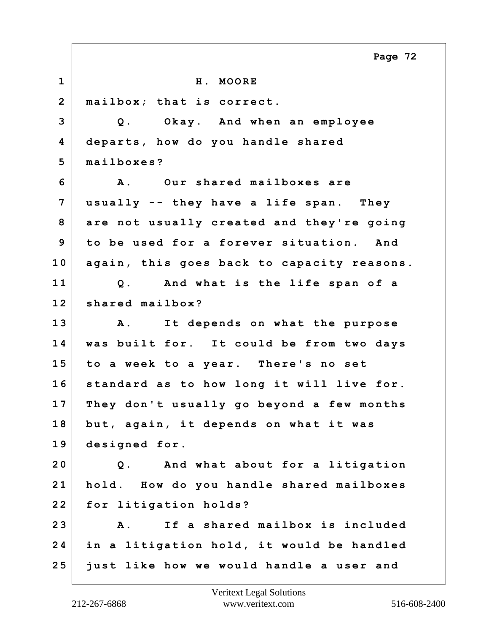**1 H. MOORE 2 mailbox; that is correct. 3 Q. Okay. And when an employee 4 departs, how do you handle shared 5 mailboxes? 6 A. Our shared mailboxes are 7 usually -- they have a life span. They 8 are not usually created and they're going 9 to be used for a forever situation. And 10 again, this goes back to capacity reasons. 11 Q. And what is the life span of a 12 shared mailbox? 13 A. It depends on what the purpose 14 was built for. It could be from two days 15 to a week to a year. There's no set 16 standard as to how long it will live for. 17 They don't usually go beyond a few months 18 but, again, it depends on what it was 19 designed for. 20 Q. And what about for a litigation 21 hold. How do you handle shared mailboxes 22 for litigation holds? 23 A. If a shared mailbox is included 24 in a litigation hold, it would be handled 25 just like how we would handle a user and Page 72**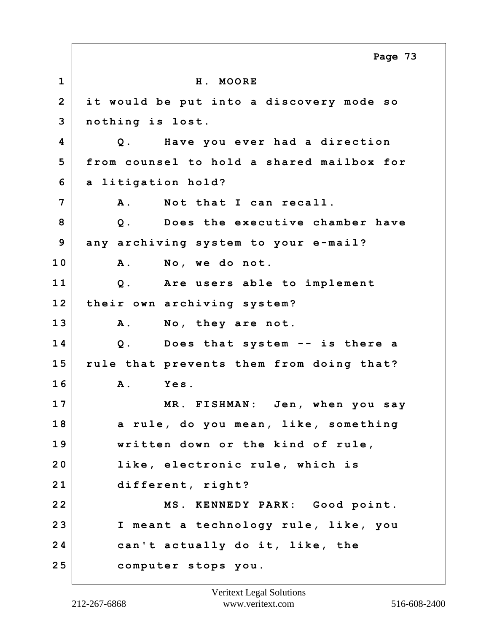|                | Page 73                                   |
|----------------|-------------------------------------------|
| $\mathbf{1}$   | H. MOORE                                  |
| $\overline{2}$ | it would be put into a discovery mode so  |
| 3              | nothing is lost.                          |
| 4              | Q. Have you ever had a direction          |
| 5              | from counsel to hold a shared mailbox for |
| 6              | a litigation hold?                        |
| $\overline{7}$ | <b>A</b> .<br>Not that I can recall.      |
| 8              | Does the executive chamber have<br>$Q$ .  |
| 9              | any archiving system to your e-mail?      |
| 10             | No, we do not.<br><b>A</b> .              |
| 11             | Are users able to implement<br>$Q$ .      |
| 12             | their own archiving system?               |
| 13             | No, they are not.<br>Α.                   |
| 14             | Q. Does that system -- is there a         |
| 15             | rule that prevents them from doing that?  |
| 16             | Yes.<br>Α.                                |
| 17             | MR. FISHMAN:<br>Jen, when you say         |
| 18             | a rule, do you mean, like, something      |
| 19             | written down or the kind of rule,         |
| 20             | like, electronic rule, which is           |
| 21             | different, right?                         |
| 22             | MS. KENNEDY PARK: Good point.             |
| 23             | I meant a technology rule, like, you      |
| 24             | can't actually do it, like, the           |
| 25             | computer stops you.                       |

 $\Gamma$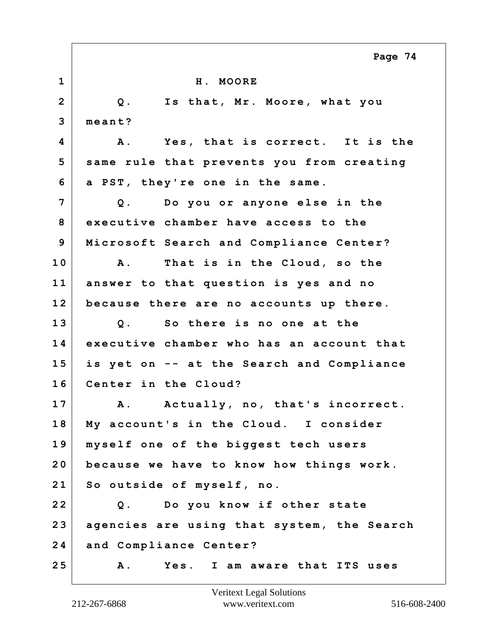|                | Page 74                                        |
|----------------|------------------------------------------------|
| $\mathbf{1}$   | H. MOORE                                       |
| $\overline{2}$ | Q. Is that, Mr. Moore, what you                |
| 3              | $mean t$ ?                                     |
| 4              | Yes, that is correct. It is the<br><b>A</b> .  |
| 5              | same rule that prevents you from creating      |
| 6              | a PST, they're one in the same.                |
| 7              | Q. Do you or anyone else in the                |
| 8              | executive chamber have access to the           |
| 9              | Microsoft Search and Compliance Center?        |
| 10             | That is in the Cloud, so the<br>$\mathbf{A}$ . |
| 11             | answer to that question is yes and no          |
| 12             | because there are no accounts up there.        |
| 13             | Q. So there is no one at the                   |
| 14             | executive chamber who has an account that      |
| 15             | is yet on -- at the Search and Compliance      |
| 16             | Center in the Cloud?                           |
| 17             | Α.<br>Actually, no, that's incorrect.          |
| 18             | My account's in the Cloud. I consider          |
| 19             | myself one of the biggest tech users           |
| 20             | because we have to know how things work.       |
| 21             | So outside of myself, no.                      |
| 22             | Q. Do you know if other state                  |
| 23             | agencies are using that system, the Search     |
| 24             | and Compliance Center?                         |
| 25             | Yes. I am aware that ITS uses<br>Α.            |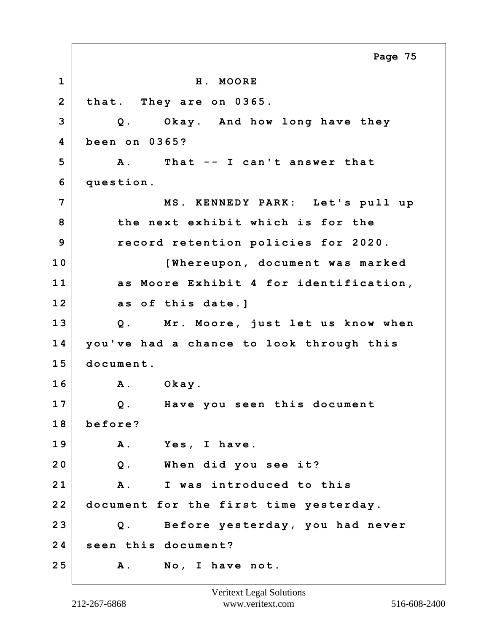**1 H. MOORE 2 that. They are on 0365. 3 Q. Okay. And how long have they 4 been on 0365? 5 A. That -- I can't answer that 6 question. 7 MS. KENNEDY PARK: Let's pull up 8 the next exhibit which is for the 9 record retention policies for 2020. 10 [Whereupon, document was marked 11 as Moore Exhibit 4 for identification, 12 as of this date.] 13 Q. Mr. Moore, just let us know when 14 you've had a chance to look through this 15 document. 16 A. Okay. 17 Q. Have you seen this document 18 before? 19 A. Yes, I have. 20 Q. When did you see it? 21 A. I was introduced to this 22 document for the first time yesterday. 23 Q. Before yesterday, you had never 24 seen this document? 25 A. No, I have not. Page 75**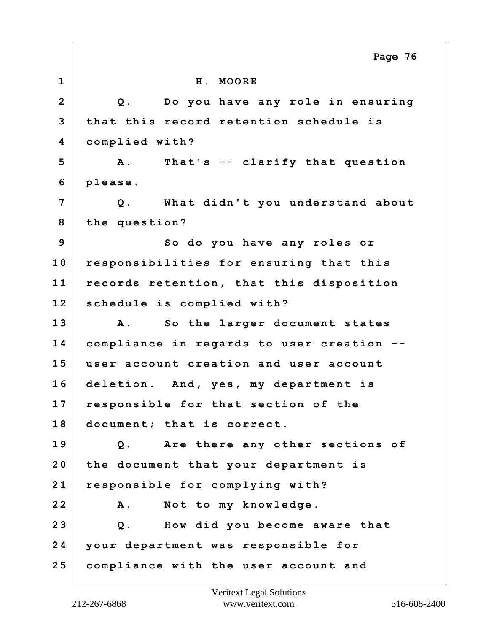**1 H. MOORE 2 Q. Do you have any role in ensuring 3 that this record retention schedule is 4 complied with? 5 A. That's -- clarify that question 6 please. 7 Q. What didn't you understand about 8 the question? 9** So do you have any roles or **10 responsibilities for ensuring that this 11 records retention, that this disposition 12 schedule is complied with? 13 A. So the larger document states 14 compliance in regards to user creation -- 15 user account creation and user account 16 deletion. And, yes, my department is 17 responsible for that section of the 18 document; that is correct. 19 Q. Are there any other sections of 20 the document that your department is 21 responsible for complying with? 22 A. Not to my knowledge. 23 Q. How did you become aware that 24 your department was responsible for 25 compliance with the user account and Page 76**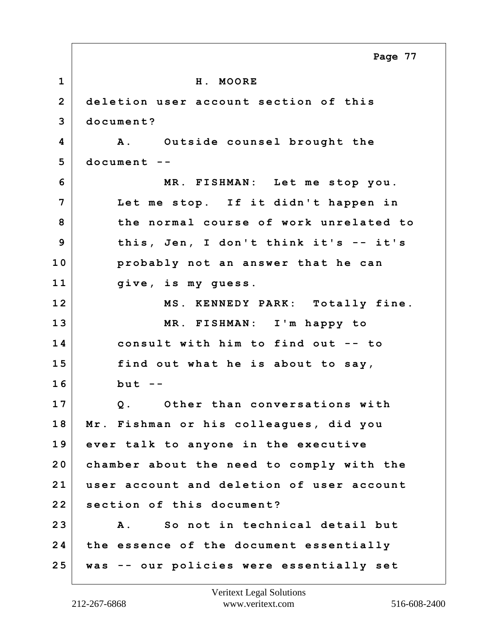**1 H. MOORE 2 deletion user account section of this 3 document? 4 A. Outside counsel brought the 5 document -- 6 MR. FISHMAN: Let me stop you. 7 Let me stop. If it didn't happen in 8 the normal course of work unrelated to 9 this, Jen, I don't think it's -- it's 10 probably not an answer that he can 11 give, is my guess. 12 MS. KENNEDY PARK: Totally fine. 13 MR. FISHMAN: I'm happy to 14 consult with him to find out -- to 15 find out what he is about to say, 16 but -- 17 Q. Other than conversations with 18 Mr. Fishman or his colleagues, did you 19 ever talk to anyone in the executive 20 chamber about the need to comply with the 21 user account and deletion of user account 22 section of this document? 23 A. So not in technical detail but 24 the essence of the document essentially 25 was -- our policies were essentially set Page 77**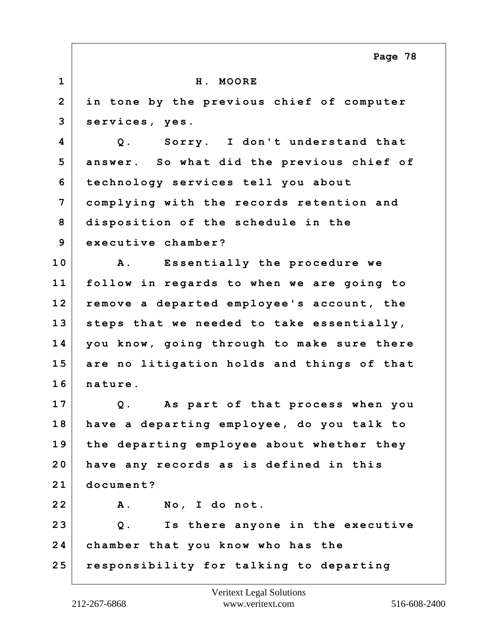**1 H. MOORE 2 in tone by the previous chief of computer 3 services, yes. 4 Q. Sorry. I don't understand that 5 answer. So what did the previous chief of 6 technology services tell you about 7 complying with the records retention and 8 disposition of the schedule in the 9 executive chamber? 10 A. Essentially the procedure we 11 follow in regards to when we are going to 12 remove a departed employee's account, the 13 steps that we needed to take essentially, 14 you know, going through to make sure there 15 are no litigation holds and things of that 16 nature. 17 Q. As part of that process when you 18 have a departing employee, do you talk to 19 the departing employee about whether they 20 have any records as is defined in this 21 document? 22 A. No, I do not. 23 Q. Is there anyone in the executive 24 chamber that you know who has the 25 responsibility for talking to departing Page 78**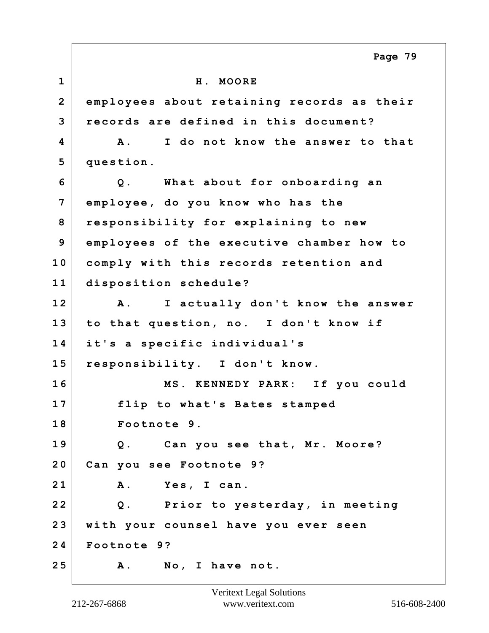**1 H. MOORE 2 employees about retaining records as their 3 records are defined in this document? 4 A. I do not know the answer to that 5 question. 6 Q. What about for onboarding an 7 employee, do you know who has the 8 responsibility for explaining to new 9 employees of the executive chamber how to 10 comply with this records retention and 11 disposition schedule? 12 A. I actually don't know the answer 13 to that question, no. I don't know if 14 it's a specific individual's 15 responsibility. I don't know. 16 MS. KENNEDY PARK: If you could 17 flip to what's Bates stamped 18 Footnote 9. 19 Q. Can you see that, Mr. Moore? 20 Can you see Footnote 9? 21 A. Yes, I can. 22 Q. Prior to yesterday, in meeting 23 with your counsel have you ever seen 24 Footnote 9? 25 A. No, I have not. Page 79**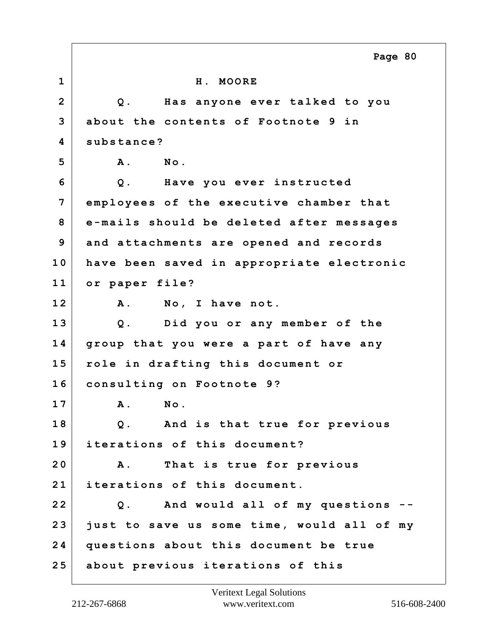|                         | Page 80                                    |
|-------------------------|--------------------------------------------|
| $\mathbf 1$             | H. MOORE                                   |
| $\overline{2}$          | Has anyone ever talked to you<br>$Q$ .     |
| 3                       | about the contents of Footnote 9 in        |
| $\overline{\mathbf{4}}$ | substance?                                 |
| 5                       | $N$ o.<br><b>A</b> .                       |
| 6                       | Have you ever instructed<br>$Q$ .          |
| $\overline{7}$          | employees of the executive chamber that    |
| 8                       | e-mails should be deleted after messages   |
| 9                       | and attachments are opened and records     |
| 10                      | have been saved in appropriate electronic  |
| 11                      | or paper file?                             |
| 12                      | <b>A</b> .<br>No, I have not.              |
| 13                      | Q. Did you or any member of the            |
| 14                      | group that you were a part of have any     |
| 15                      | role in drafting this document or          |
| 16                      | consulting on Footnote 9?                  |
| 17                      | A. No.                                     |
| 18                      | Q. And is that true for previous           |
| 19                      | iterations of this document?               |
| 20                      | That is true for previous<br><b>A</b> .    |
| 21                      | iterations of this document.               |
| 22                      | And would all of my questions --<br>$Q$ .  |
| 23                      | just to save us some time, would all of my |
| 24                      | questions about this document be true      |
| 25                      | about previous iterations of this          |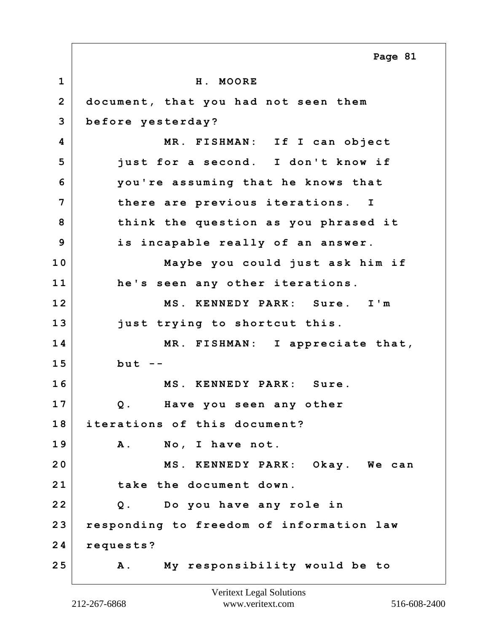|                | Page 81                                     |
|----------------|---------------------------------------------|
| $\mathbf{1}$   | H. MOORE                                    |
| $\overline{2}$ | document, that you had not seen them        |
| 3              | before yesterday?                           |
| 4              | MR. FISHMAN: If I can object                |
| 5              | just for a second. I don't know if          |
| 6              | you're assuming that he knows that          |
| 7              | there are previous iterations. I            |
| 8              | think the question as you phrased it        |
| 9              | is incapable really of an answer.           |
| 10             | Maybe you could just ask him if             |
| 11             | he's seen any other iterations.             |
| 12             | MS. KENNEDY PARK: Sure. I'm                 |
| 13             | just trying to shortcut this.               |
| 14             | MR. FISHMAN: I appreciate that,             |
| 15             | $but --$                                    |
| 16             | MS. KENNEDY PARK: Sure.                     |
| 17             | Have you seen any other<br>Q.               |
| 18             | iterations of this document?                |
| 19             | A. No, I have not.                          |
| 20             | MS. KENNEDY PARK: Okay. We can              |
| 21             | take the document down.                     |
| 22             | Q. Do you have any role in                  |
| 23             | responding to freedom of information law    |
| 24             | requests?                                   |
| 25             | My responsibility would be to<br><b>A</b> . |

Г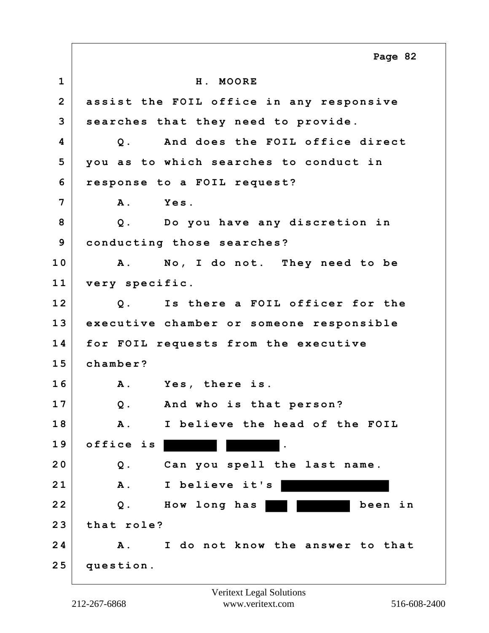|                         | Page 82                                      |
|-------------------------|----------------------------------------------|
| $\mathbf{1}$            | H. MOORE                                     |
| $\overline{2}$          | assist the FOIL office in any responsive     |
| 3                       | searches that they need to provide.          |
| $\overline{\mathbf{4}}$ | And does the FOIL office direct<br>Q.        |
| 5                       | you as to which searches to conduct in       |
| 6                       | response to a FOIL request?                  |
| $\overline{7}$          | Yes.<br><b>A</b> .                           |
| 8                       | Q. Do you have any discretion in             |
| 9                       | conducting those searches?                   |
| 10                      | A. No, I do not. They need to be             |
| 11                      | very specific.                               |
| 12                      | Is there a FOIL officer for the<br>Q.        |
| 13                      | executive chamber or someone responsible     |
| 14                      | for FOIL requests from the executive         |
| 15                      | chamber?                                     |
| 16                      | Yes, there is.<br><b>A</b> .                 |
| 17                      | And who is that person?<br>Q.                |
| 18                      | I believe the head of the FOIL<br><b>A</b> . |
| 19                      | office is                                    |
| 20                      | Can you spell the last name.<br>Q.           |
| 21                      | <b>A</b> .<br>I believe it's                 |
| 22                      | $Q$ .<br>How long has<br>been in             |
| 23                      | that role?                                   |
| 24                      | I do not know the answer to that<br>Α.       |
| 25                      | question.                                    |

Г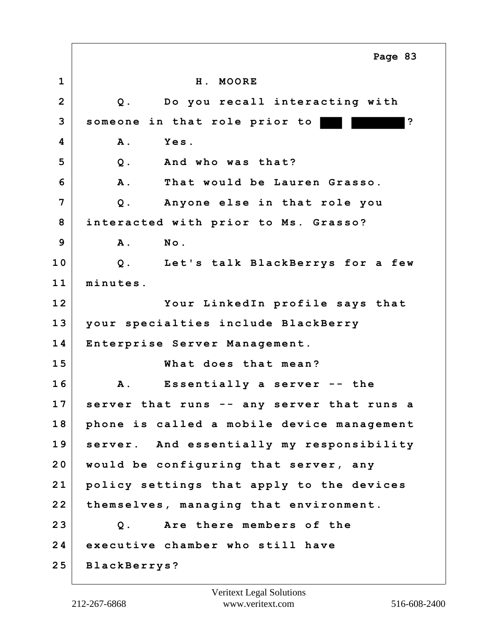**1 H. MOORE 2 Q. Do you recall interacting with 3 someone in that role prior to ? 4 A. Yes. 5 Q. And who was that? 6 A. That would be Lauren Grasso. 7 Q. Anyone else in that role you 8 interacted with prior to Ms. Grasso? 9 A. No. 10 Q. Let's talk BlackBerrys for a few 11 minutes. 12 Your LinkedIn profile says that 13 your specialties include BlackBerry 14 Enterprise Server Management. 15 What does that mean? 16 A. Essentially a server -- the 17 server that runs -- any server that runs a 18 phone is called a mobile device management 19 server. And essentially my responsibility 20 would be configuring that server, any 21 policy settings that apply to the devices 22 themselves, managing that environment. 23 Q. Are there members of the 24 executive chamber who still have 25 BlackBerrys? Page 83**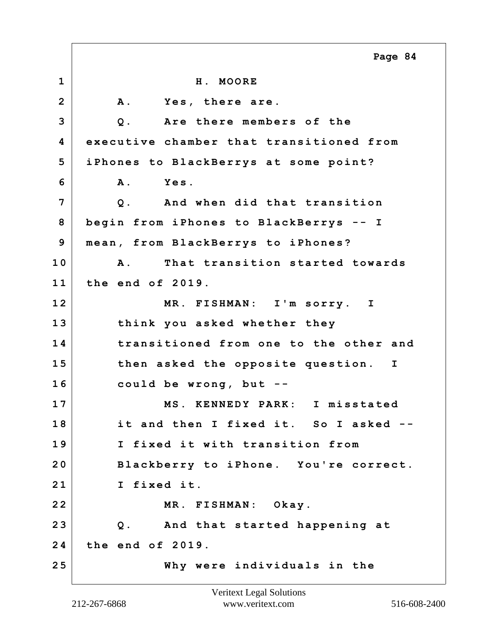**1 H. MOORE 2 A. Yes, there are. 3 Q. Are there members of the 4 executive chamber that transitioned from 5 iPhones to BlackBerrys at some point? 6 A. Yes. 7 Q. And when did that transition 8 begin from iPhones to BlackBerrys -- I 9 mean, from BlackBerrys to iPhones? 10 A. That transition started towards 11 the end of 2019. 12 MR. FISHMAN: I'm sorry. I 13 think you asked whether they 14 transitioned from one to the other and 15 then asked the opposite question. I 16 could be wrong, but -- 17 MS. KENNEDY PARK: I misstated 18 it and then I fixed it. So I asked -- 19 I fixed it with transition from 20 Blackberry to iPhone. You're correct. 21 I fixed it. 22 MR. FISHMAN: Okay. 23 Q. And that started happening at 24 the end of 2019. 25 Why were individuals in the Page 84**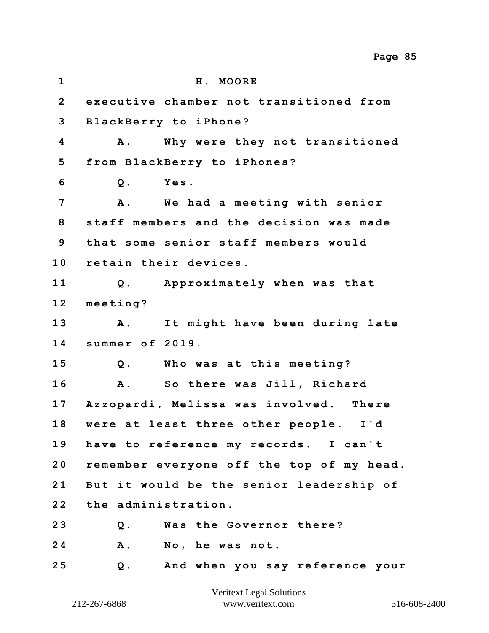**1 H. MOORE 2 executive chamber not transitioned from 3 BlackBerry to iPhone? 4 A. Why were they not transitioned 5 from BlackBerry to iPhones? 6 Q. Yes. 7 A. We had a meeting with senior 8 staff members and the decision was made 9 that some senior staff members would 10 retain their devices. 11 Q. Approximately when was that 12 meeting? 13 A. It might have been during late 14 summer of 2019. 15 Q. Who was at this meeting? 16 A. So there was Jill, Richard 17 Azzopardi, Melissa was involved. There 18 were at least three other people. I'd 19 have to reference my records. I can't 20 remember everyone off the top of my head. 21 But it would be the senior leadership of 22 the administration. 23 Q. Was the Governor there? 24 A. No, he was not. 25 Q. And when you say reference your Page 85**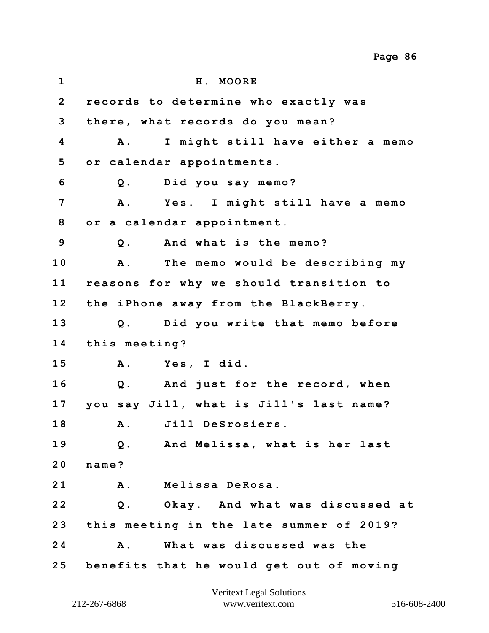**1 H. MOORE 2 records to determine who exactly was 3 there, what records do you mean? 4 A. I might still have either a memo 5 or calendar appointments. 6 Q. Did you say memo? 7 A. Yes. I might still have a memo 8 or a calendar appointment. 9 Q. And what is the memo? 10 A. The memo would be describing my 11 reasons for why we should transition to 12 the iPhone away from the BlackBerry. 13 Q. Did you write that memo before 14 this meeting? 15 A. Yes, I did. 16 Q. And just for the record, when 17 you say Jill, what is Jill's last name? 18 A. Jill DeSrosiers. 19 Q. And Melissa, what is her last 20 name? 21 A. Melissa DeRosa. 22 Q. Okay. And what was discussed at 23 this meeting in the late summer of 2019? 24 A. What was discussed was the 25 benefits that he would get out of moving Page 86**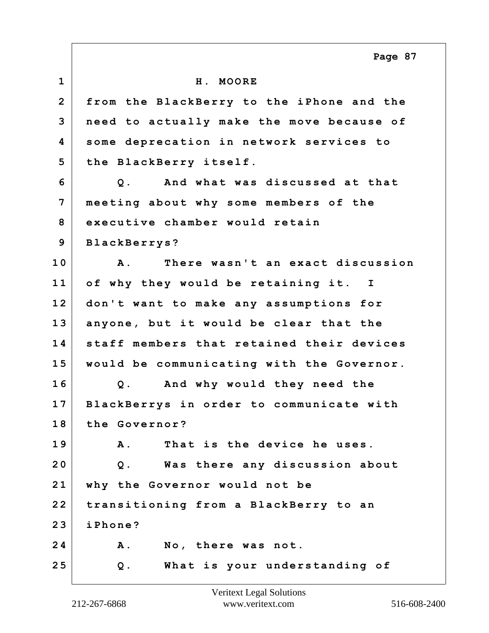**1 H. MOORE 2 from the BlackBerry to the iPhone and the 3 need to actually make the move because of 4 some deprecation in network services to 5 the BlackBerry itself. 6 Q. And what was discussed at that 7 meeting about why some members of the 8 executive chamber would retain 9 BlackBerrys? 10 A. There wasn't an exact discussion 11 of why they would be retaining it. I 12 don't want to make any assumptions for 13 anyone, but it would be clear that the 14 staff members that retained their devices 15 would be communicating with the Governor. 16 Q. And why would they need the 17 BlackBerrys in order to communicate with 18 the Governor? 19 A. That is the device he uses. 20 Q. Was there any discussion about 21 why the Governor would not be 22 transitioning from a BlackBerry to an 23 iPhone? 24 A. No, there was not. 25 Q. What is your understanding of Page 87**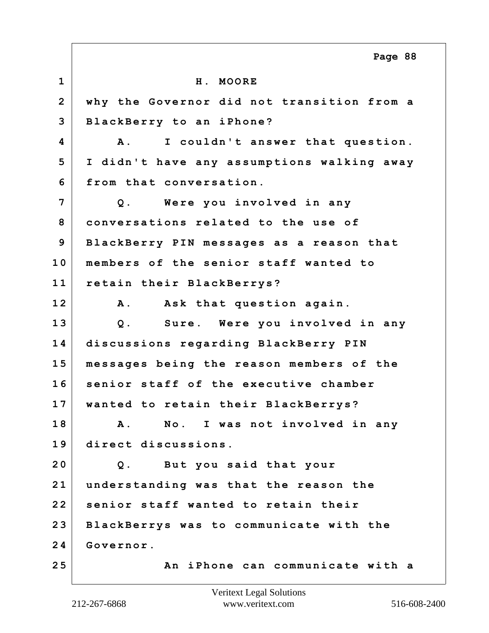**1 H. MOORE 2 why the Governor did not transition from a 3 BlackBerry to an iPhone? 4 A. I couldn't answer that question. 5 I didn't have any assumptions walking away 6 from that conversation. 7 Q. Were you involved in any 8 conversations related to the use of 9 BlackBerry PIN messages as a reason that 10 members of the senior staff wanted to 11 retain their BlackBerrys? 12 A. Ask that question again. 13 Q. Sure. Were you involved in any 14 discussions regarding BlackBerry PIN 15 messages being the reason members of the 16 senior staff of the executive chamber 17 wanted to retain their BlackBerrys? 18 A. No. I was not involved in any 19 direct discussions. 20 Q. But you said that your 21 understanding was that the reason the 22 senior staff wanted to retain their 23 BlackBerrys was to communicate with the 24 Governor. 25 An iPhone can communicate with a Page 88**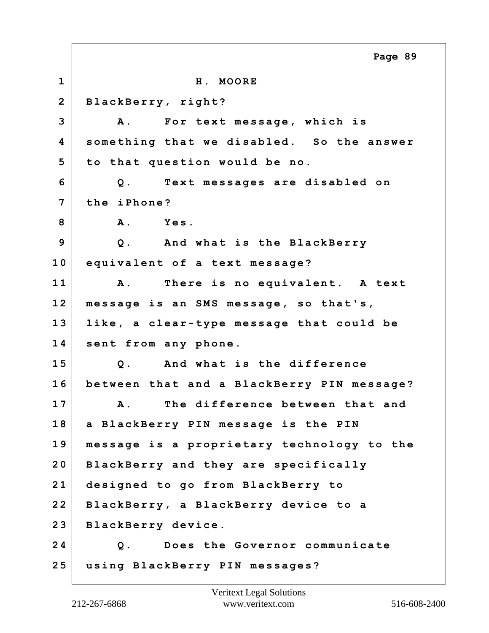**1 H. MOORE 2 BlackBerry, right? 3 A. For text message, which is 4 something that we disabled. So the answer 5 to that question would be no. 6 Q. Text messages are disabled on 7 the iPhone? 8 A. Yes. 9 Q. And what is the BlackBerry 10 equivalent of a text message? 11 A. There is no equivalent. A text 12 message is an SMS message, so that's, 13 like, a clear-type message that could be 14 sent from any phone. 15 Q. And what is the difference 16 between that and a BlackBerry PIN message? 17 A. The difference between that and 18 a BlackBerry PIN message is the PIN 19 message is a proprietary technology to the 20 BlackBerry and they are specifically 21 designed to go from BlackBerry to 22 BlackBerry, a BlackBerry device to a 23 BlackBerry device. 24 Q. Does the Governor communicate 25 using BlackBerry PIN messages? Page 89**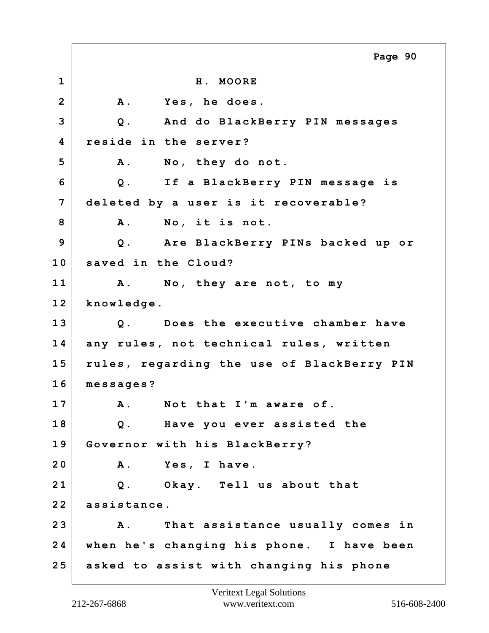**1 H. MOORE 2 A. Yes, he does. 3 Q. And do BlackBerry PIN messages 4 reside in the server? 5 A. No, they do not. 6 Q. If a BlackBerry PIN message is 7 deleted by a user is it recoverable? 8 A. No, it is not. 9 Q. Are BlackBerry PINs backed up or 10 saved in the Cloud? 11 A. No, they are not, to my 12 knowledge. 13 Q. Does the executive chamber have 14 any rules, not technical rules, written 15 rules, regarding the use of BlackBerry PIN 16 messages? 17 A. Not that I'm aware of. 18 Q. Have you ever assisted the 19 Governor with his BlackBerry? 20 A. Yes, I have. 21 Q. Okay. Tell us about that 22 assistance. 23 A. That assistance usually comes in 24 when he's changing his phone. I have been 25 asked to assist with changing his phone Page 90**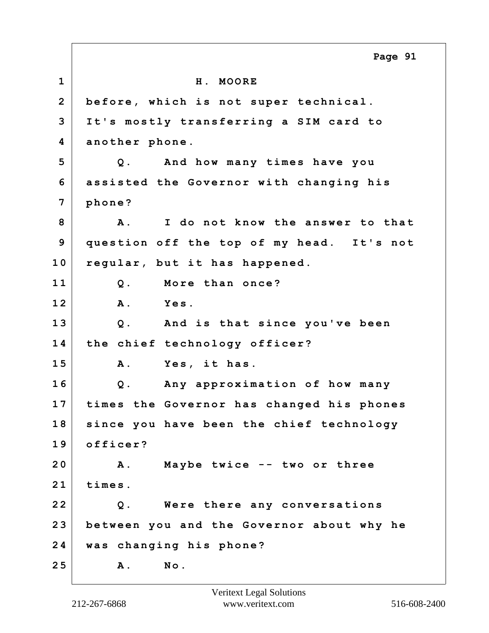**1 H. MOORE 2 before, which is not super technical. 3 It's mostly transferring a SIM card to 4 another phone. 5 Q. And how many times have you 6 assisted the Governor with changing his 7 phone? 8 A. I do not know the answer to that 9 question off the top of my head. It's not 10 regular, but it has happened. 11 Q. More than once? 12 A. Yes. 13 Q. And is that since you've been 14 the chief technology officer? 15 A. Yes, it has. 16 Q. Any approximation of how many 17 times the Governor has changed his phones 18 since you have been the chief technology 19 officer? 20 A. Maybe twice -- two or three 21 times. 22 Q. Were there any conversations 23 between you and the Governor about why he 24 was changing his phone? 25 A. No. Page 91**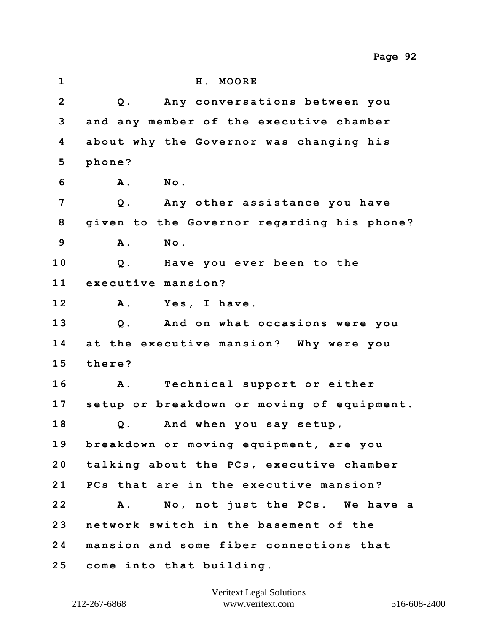|                | Page 92                                    |
|----------------|--------------------------------------------|
| $\mathbf 1$    | H. MOORE                                   |
| $\overline{2}$ | Any conversations between you<br>$Q$ .     |
| 3              | and any member of the executive chamber    |
| 4              | about why the Governor was changing his    |
| 5              | phone?                                     |
| 6              | <b>A</b> .<br>No.                          |
| 7              | $Q$ .<br>Any other assistance you have     |
| 8              | given to the Governor regarding his phone? |
| 9              | <b>A</b> .<br>No.                          |
| 10             | Have you ever been to the<br>$Q$ .         |
| 11             | executive mansion?                         |
| 12             | Yes, I have.<br><b>A</b> .                 |
| 13             | Q. And on what occasions were you          |
| 14             | at the executive mansion? Why were you     |
| 15             | there?                                     |
| 16             | Technical support or either<br><b>A</b> .  |
| 17             | setup or breakdown or moving of equipment. |
| 18             | Q. And when you say setup,                 |
| 19             | breakdown or moving equipment, are you     |
| 20             | talking about the PCs, executive chamber   |
| 21             | PCs that are in the executive mansion?     |
| 22             | No, not just the PCs. We have a<br>Α.      |
| 23             | network switch in the basement of the      |
| 24             | mansion and some fiber connections that    |
| 25             | come into that building.                   |

 $\Gamma$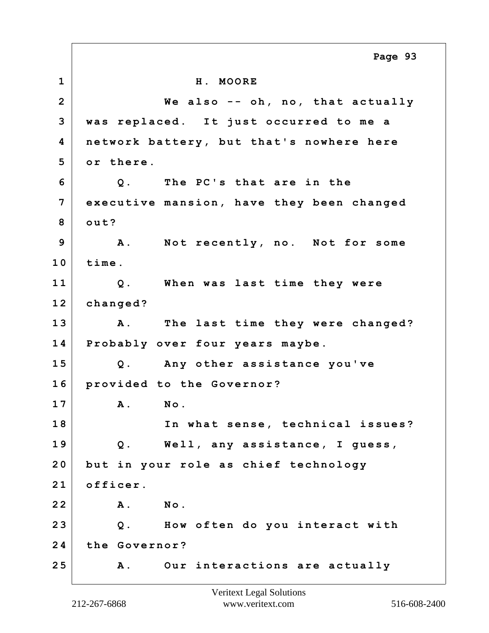**1 H. MOORE 2 We also -- oh, no, that actually 3 was replaced. It just occurred to me a 4 network battery, but that's nowhere here 5 or there. 6 Q. The PC's that are in the 7 executive mansion, have they been changed 8 out? 9 A. Not recently, no. Not for some 10 time. 11 Q. When was last time they were 12 changed? 13 A. The last time they were changed? 14 Probably over four years maybe. 15 Q. Any other assistance you've 16 provided to the Governor? 17 A. No. 18 In what sense, technical issues? 19 Q. Well, any assistance, I guess, 20 but in your role as chief technology 21 officer. 22 A. No. 23 Q. How often do you interact with 24 the Governor? 25 A. Our interactions are actually Page 93**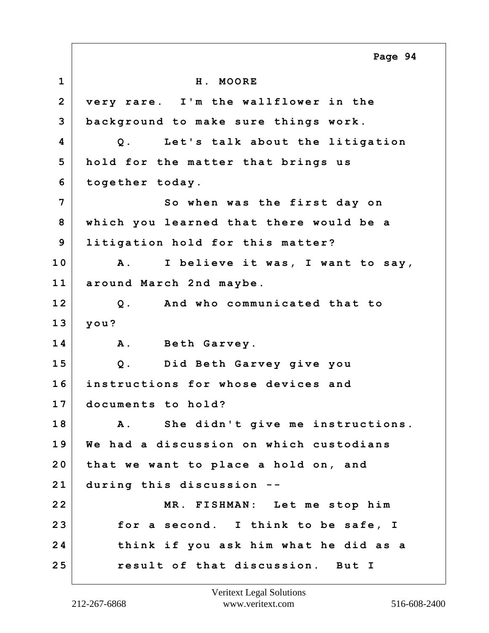**1 H. MOORE 2 very rare. I'm the wallflower in the 3 background to make sure things work. 4 Q. Let's talk about the litigation 5 hold for the matter that brings us 6 together today. 7** So when was the first day on **8 which you learned that there would be a 9 litigation hold for this matter? 10 A. I believe it was, I want to say, 11 around March 2nd maybe. 12 Q. And who communicated that to 13 you? 14 A. Beth Garvey. 15 Q. Did Beth Garvey give you 16 instructions for whose devices and 17 documents to hold? 18 A. She didn't give me instructions. 19 We had a discussion on which custodians 20 that we want to place a hold on, and 21 during this discussion -- 22 MR. FISHMAN: Let me stop him 23 for a second. I think to be safe, I 24 think if you ask him what he did as a 25 result of that discussion. But I Page 94**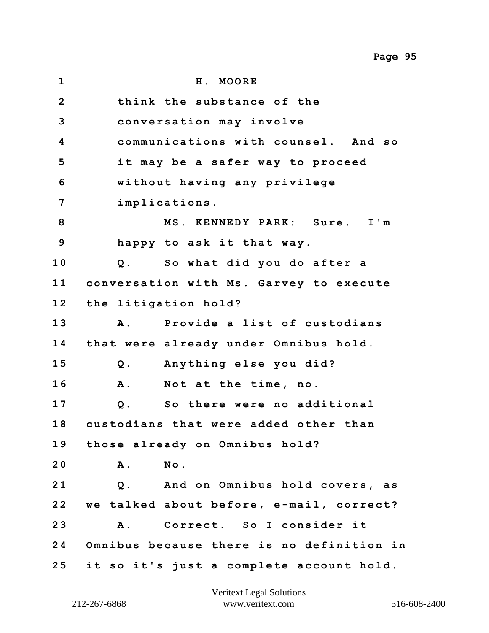**1 H. MOORE 2 think the substance of the 3 conversation may involve 4 communications with counsel. And so 5 it may be a safer way to proceed 6 without having any privilege 7 implications. 8 MS. KENNEDY PARK: Sure. I'm 9 happy to ask it that way. 10 Q. So what did you do after a 11 conversation with Ms. Garvey to execute 12 the litigation hold? 13 A. Provide a list of custodians 14 that were already under Omnibus hold. 15 Q. Anything else you did? 16 A. Not at the time, no. 17 Q. So there were no additional 18 custodians that were added other than 19 those already on Omnibus hold? 20 A. No. 21 Q. And on Omnibus hold covers, as 22 we talked about before, e-mail, correct? 23 A. Correct. So I consider it 24 Omnibus because there is no definition in 25 it so it's just a complete account hold. Page 95**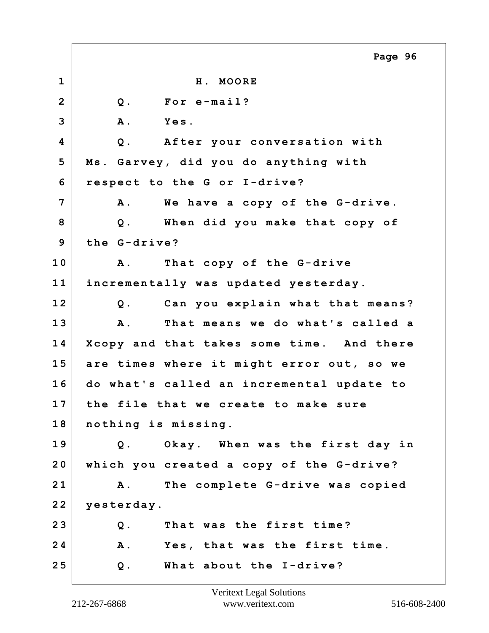|                | Page 96                                        |
|----------------|------------------------------------------------|
| $\mathbf{1}$   | H. MOORE                                       |
| $\overline{2}$ | For e-mail?<br>$Q$ .                           |
| 3              | A.<br>Yes.                                     |
| 4              | After your conversation with<br>$Q$ .          |
| 5              | Ms. Garvey, did you do anything with           |
| 6              | respect to the G or I-drive?                   |
| 7              | We have a copy of the G-drive.<br><b>A</b> .   |
| 8              | When did you make that copy of<br>$Q$ .        |
| 9              | the G-drive?                                   |
| 10             | That copy of the G-drive<br>$\mathbf{A}$ .     |
| 11             | incrementally was updated yesterday.           |
| 12             | Can you explain what that means?<br>$Q$ .      |
| 13             | That means we do what's called a<br><b>A</b> . |
| 14             | Xcopy and that takes some time. And there      |
| 15             | are times where it might error out, so we      |
| 16             | do what's called an incremental update to      |
| 17             | the file that we create to make sure           |
| 18             | nothing is missing.                            |
| 19             | Okay. When was the first day in<br>$Q$ .       |
| 20             | which you created a copy of the G-drive?       |
| 21             | The complete G-drive was copied<br><b>A</b> .  |
| 22             | yesterday.                                     |
| 23             | $Q$ .<br>That was the first time?              |
| 24             | Yes, that was the first time.<br><b>A</b> .    |
| 25             | What about the I-drive?<br>$Q$ .               |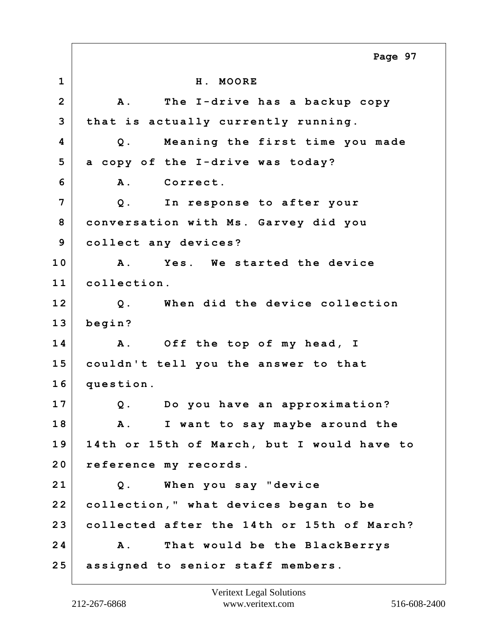**1 H. MOORE 2 A. The I-drive has a backup copy 3 that is actually currently running. 4 Q. Meaning the first time you made 5 a copy of the I-drive was today? 6 A. Correct. 7 Q. In response to after your 8 conversation with Ms. Garvey did you 9 collect any devices? 10 A. Yes. We started the device 11 collection. 12 Q. When did the device collection 13 begin? 14 A. Off the top of my head, I 15 couldn't tell you the answer to that 16 question. 17 Q. Do you have an approximation? 18 A. I want to say maybe around the 19 14th or 15th of March, but I would have to 20 reference my records. 21 Q. When you say "device 22 collection," what devices began to be 23 collected after the 14th or 15th of March? 24 A. That would be the BlackBerrys 25 assigned to senior staff members. Page 97**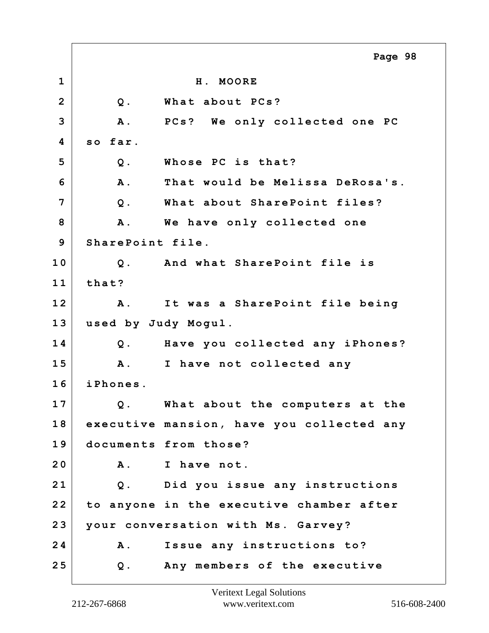**1 H. MOORE 2 Q. What about PCs? 3 A. PCs? We only collected one PC 4 so far. 5 Q. Whose PC is that? 6 A. That would be Melissa DeRosa's. 7 Q. What about SharePoint files?** 8 A. We have only collected one **9 SharePoint file. 10 Q. And what SharePoint file is 11 that? 12 A. It was a SharePoint file being 13 used by Judy Mogul. 14 Q. Have you collected any iPhones? 15 A. I have not collected any 16 iPhones. 17 Q. What about the computers at the 18 executive mansion, have you collected any 19 documents from those? 20 A. I have not. 21 Q. Did you issue any instructions 22 to anyone in the executive chamber after 23 your conversation with Ms. Garvey? 24 A. Issue any instructions to? 25 Q. Any members of the executive Page 98**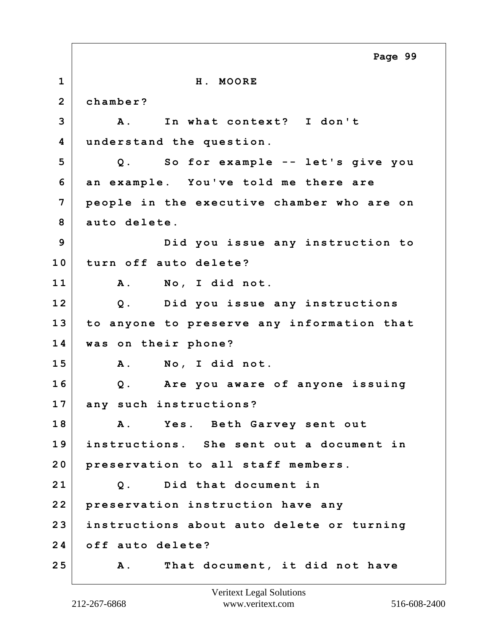**1 H. MOORE 2 chamber? 3 A. In what context? I don't 4 understand the question. 5 Q. So for example -- let's give you 6 an example. You've told me there are 7 people in the executive chamber who are on 8 auto delete. 9 Did you issue any instruction to 10 turn off auto delete? 11 A. No, I did not. 12 Q. Did you issue any instructions 13 to anyone to preserve any information that 14 was on their phone? 15 A. No, I did not. 16 Q. Are you aware of anyone issuing 17 any such instructions? 18 A. Yes. Beth Garvey sent out 19 instructions. She sent out a document in 20 preservation to all staff members. 21 Q. Did that document in 22 preservation instruction have any 23 instructions about auto delete or turning 24 off auto delete? 25 A. That document, it did not have Page 99**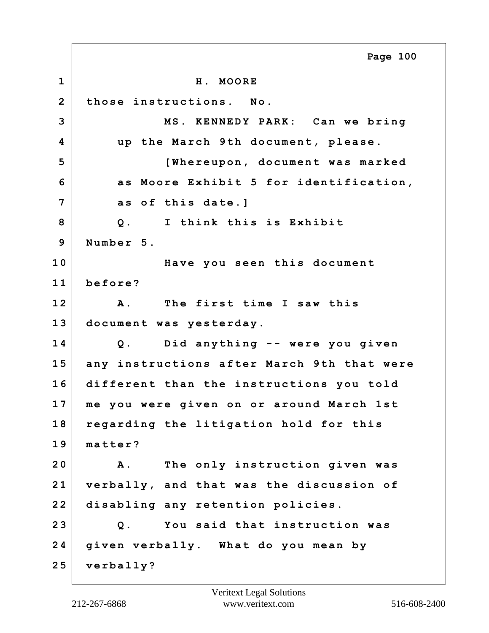**1 H. MOORE 2 those instructions. No. 3 MS. KENNEDY PARK: Can we bring 4 up the March 9th document, please. 5 [Whereupon, document was marked 6 as Moore Exhibit 5 for identification, 7 as of this date.] 8 Q. I think this is Exhibit 9 Number 5. 10 Have you seen this document 11 before? 12 A. The first time I saw this 13 document was yesterday. 14 Q. Did anything -- were you given 15 any instructions after March 9th that were 16 different than the instructions you told 17 me you were given on or around March 1st 18 regarding the litigation hold for this 19 matter? 20 A. The only instruction given was 21 verbally, and that was the discussion of 22 disabling any retention policies. 23 Q. You said that instruction was 24 given verbally. What do you mean by 25 verbally? Page 100**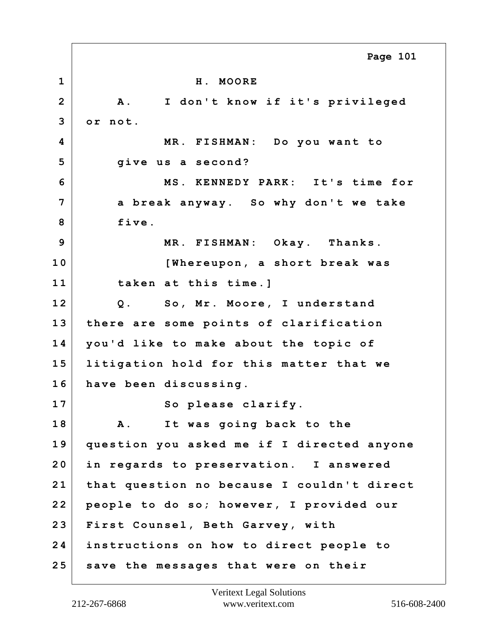**1 H. MOORE 2 A. I don't know if it's privileged 3 or not. 4 MR. FISHMAN: Do you want to 5 give us a second? 6 MS. KENNEDY PARK: It's time for 7 a break anyway. So why don't we take 8 five. 9 MR. FISHMAN: Okay. Thanks. 10 [Whereupon, a short break was 11 taken at this time.] 12 Q. So, Mr. Moore, I understand 13 there are some points of clarification 14 you'd like to make about the topic of 15 litigation hold for this matter that we 16 have been discussing.** 17 So please clarify. **18 A. It was going back to the 19 question you asked me if I directed anyone 20 in regards to preservation. I answered 21 that question no because I couldn't direct 22 people to do so; however, I provided our 23 First Counsel, Beth Garvey, with 24 instructions on how to direct people to 25 save the messages that were on their Page 101**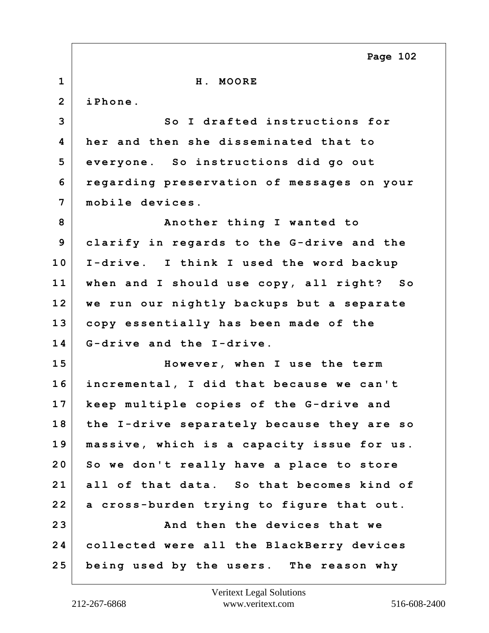|                | Page 102                                   |
|----------------|--------------------------------------------|
| $\mathbf{1}$   | H. MOORE                                   |
| $\overline{2}$ | iPhone.                                    |
| 3              | So I drafted instructions for              |
| 4              | her and then she disseminated that to      |
| 5              | everyone. So instructions did go out       |
| 6              | regarding preservation of messages on your |
| $\overline{7}$ | mobile devices.                            |
| 8              | Another thing I wanted to                  |
| 9              | clarify in regards to the G-drive and the  |
| 10             | I-drive. I think I used the word backup    |
| 11             | when and I should use copy, all right? So  |
| 12             | we run our nightly backups but a separate  |
| 13             | copy essentially has been made of the      |
| 14             | G-drive and the I-drive.                   |
| 15             | However, when I use the term               |
| 16             | incremental, I did that because we can't   |
| 17             | keep multiple copies of the G-drive and    |
| 18             | the I-drive separately because they are so |
| 19             | massive, which is a capacity issue for us. |
| 20             | So we don't really have a place to store   |
| 21             | all of that data. So that becomes kind of  |
| 22             | a cross-burden trying to figure that out.  |
| 23             | And then the devices that we               |
| 24             | collected were all the BlackBerry devices  |
| 25             | being used by the users. The reason why    |

 $\Gamma$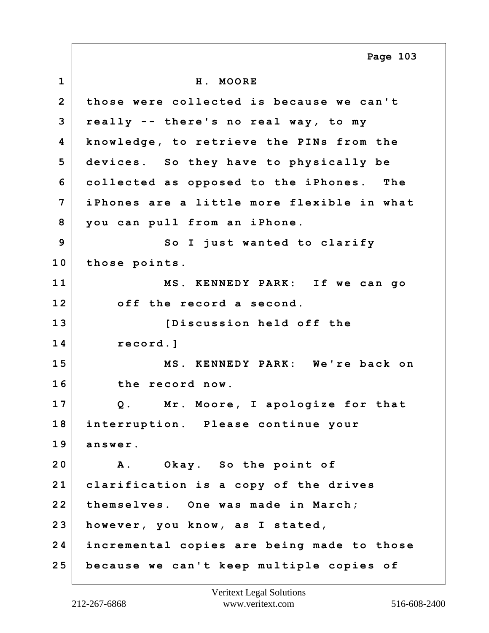**1 H. MOORE 2 those were collected is because we can't 3 really -- there's no real way, to my 4 knowledge, to retrieve the PINs from the 5 devices. So they have to physically be 6 collected as opposed to the iPhones. The 7 iPhones are a little more flexible in what 8 you can pull from an iPhone. 9** So I just wanted to clarify **10 those points. 11 MS. KENNEDY PARK: If we can go 12 off the record a second. 13 [Discussion held off the 14 record.] 15 MS. KENNEDY PARK: We're back on 16 the record now. 17 Q. Mr. Moore, I apologize for that 18 interruption. Please continue your 19 answer. 20 A. Okay. So the point of 21 clarification is a copy of the drives 22 themselves. One was made in March; 23 however, you know, as I stated, 24 incremental copies are being made to those 25 because we can't keep multiple copies of Page 103**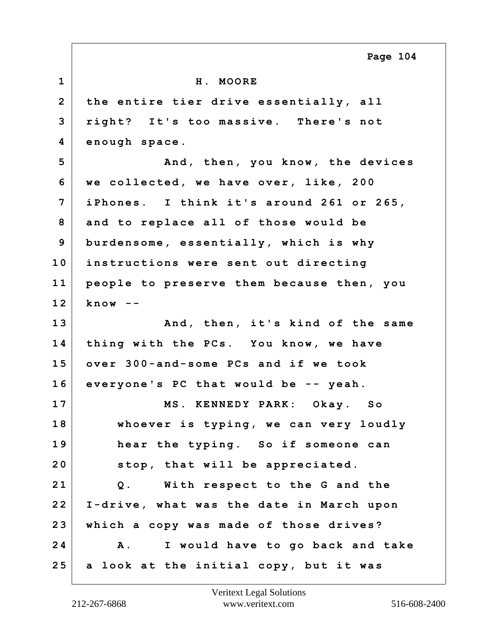**1 H. MOORE 2 the entire tier drive essentially, all 3 right? It's too massive. There's not 4 enough space. 5 And, then, you know, the devices 6 we collected, we have over, like, 200 7 iPhones. I think it's around 261 or 265, 8 and to replace all of those would be 9 burdensome, essentially, which is why 10 instructions were sent out directing 11 people to preserve them because then, you 12 know -- 13 And, then, it's kind of the same 14 thing with the PCs. You know, we have 15 over 300-and-some PCs and if we took 16 everyone's PC that would be -- yeah. 17 MS. KENNEDY PARK: Okay. So 18 whoever is typing, we can very loudly 19 hear the typing. So if someone can 20 stop, that will be appreciated. 21 Q. With respect to the G and the**

**22 I-drive, what was the date in March upon 23 which a copy was made of those drives? 24 A. I would have to go back and take 25 a look at the initial copy, but it was**

**Page 104**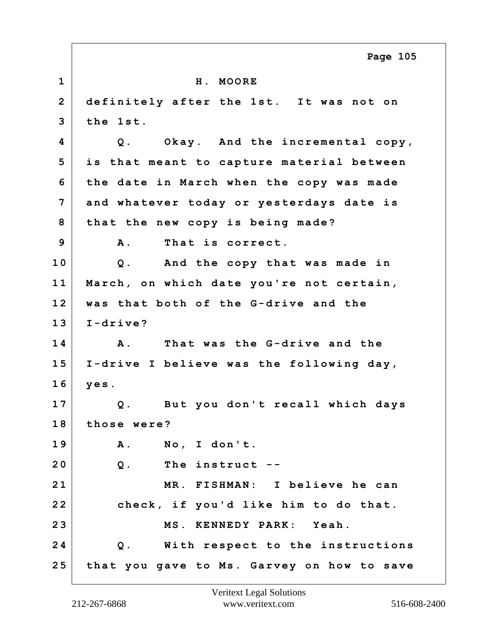|                | Page 105                                   |
|----------------|--------------------------------------------|
| $\mathbf 1$    | H. MOORE                                   |
| $\overline{2}$ | definitely after the 1st. It was not on    |
| 3              | the 1st.                                   |
| 4              | Okay. And the incremental copy,<br>$Q$ .   |
| 5              | is that meant to capture material between  |
| 6              | the date in March when the copy was made   |
| 7              | and whatever today or yesterdays date is   |
| 8              | that the new copy is being made?           |
| 9              | That is correct.<br><b>A</b> .             |
| 10             | And the copy that was made in<br>$Q$ .     |
| 11             | March, on which date you're not certain,   |
| 12             | was that both of the G-drive and the       |
| 13             | $I-drive?$                                 |
| 14             | That was the G-drive and the<br><b>A</b> . |
| 15             | I-drive I believe was the following day,   |
| 16             | yes.                                       |
| 17             | But you don't recall which days<br>$Q$ .   |
| 18             | those were?                                |
| 19             | No, I don't.<br>A.                         |
| 20             | $Q$ .<br>The instruct --                   |
| 21             | MR. FISHMAN: I believe he can              |
| 22             | check, if you'd like him to do that.       |
| 23             | MS. KENNEDY PARK: Yeah.                    |
| 24             | Q. With respect to the instructions        |
| 25             | that you gave to Ms. Garvey on how to save |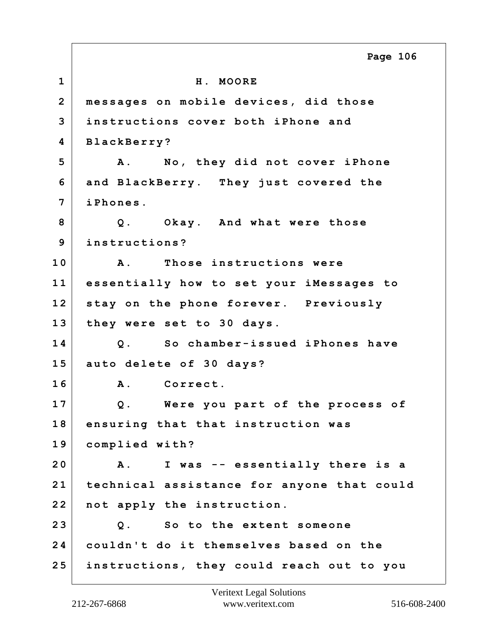**1 H. MOORE 2 messages on mobile devices, did those 3 instructions cover both iPhone and 4 BlackBerry? 5 A. No, they did not cover iPhone 6 and BlackBerry. They just covered the 7 iPhones. 8 Q. Okay. And what were those 9 instructions? 10 A. Those instructions were 11 essentially how to set your iMessages to 12 stay on the phone forever. Previously 13 they were set to 30 days. 14 Q. So chamber-issued iPhones have 15 auto delete of 30 days? 16 A. Correct. 17 Q. Were you part of the process of 18 ensuring that that instruction was 19 complied with? 20 A. I was -- essentially there is a 21 technical assistance for anyone that could 22 not apply the instruction. 23 Q. So to the extent someone 24 couldn't do it themselves based on the 25 instructions, they could reach out to you Page 106**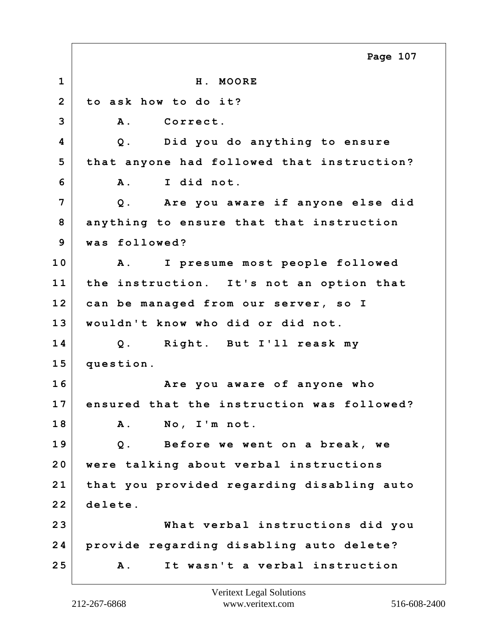**1 H. MOORE 2 to ask how to do it? 3 A. Correct. 4 Q. Did you do anything to ensure 5 that anyone had followed that instruction? 6 A. I did not. 7 Q. Are you aware if anyone else did 8 anything to ensure that that instruction 9 was followed? 10 A. I presume most people followed 11 the instruction. It's not an option that 12 can be managed from our server, so I 13 wouldn't know who did or did not. 14 Q. Right. But I'll reask my 15 question. 16 Are you aware of anyone who 17 ensured that the instruction was followed? 18 A. No, I'm not. 19 Q. Before we went on a break, we 20 were talking about verbal instructions 21 that you provided regarding disabling auto 22 delete. 23 What verbal instructions did you 24 provide regarding disabling auto delete? 25 A. It wasn't a verbal instruction Page 107**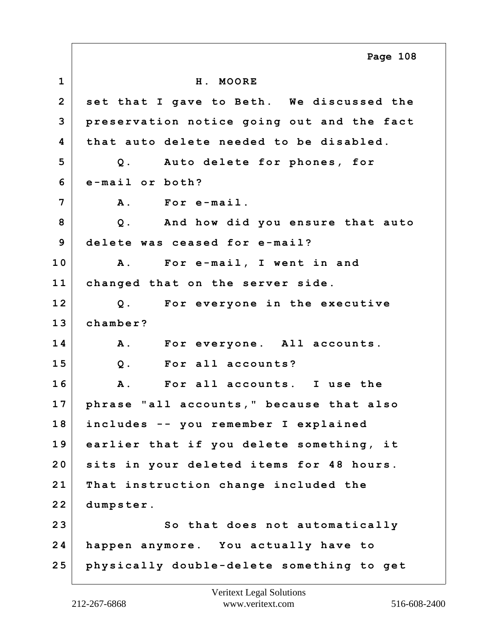**1 H. MOORE 2 set that I gave to Beth. We discussed the 3 preservation notice going out and the fact 4 that auto delete needed to be disabled. 5 Q. Auto delete for phones, for 6 e-mail or both? 7 A. For e-mail. 8 Q. And how did you ensure that auto 9 delete was ceased for e-mail? 10 A. For e-mail, I went in and 11 changed that on the server side. 12 Q. For everyone in the executive 13 chamber? 14 A. For everyone. All accounts. 15 Q. For all accounts? 16 A. For all accounts. I use the 17 phrase "all accounts," because that also 18 includes -- you remember I explained 19 earlier that if you delete something, it 20 sits in your deleted items for 48 hours. 21 That instruction change included the 22 dumpster. 23 So that does not automatically 24 happen anymore. You actually have to 25 physically double-delete something to get Page 108**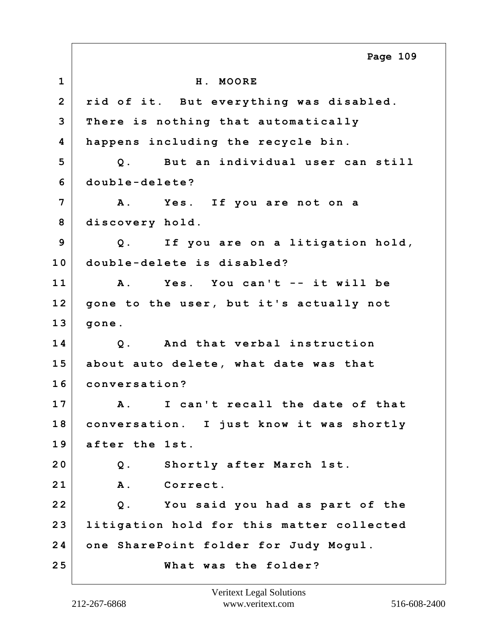**1 H. MOORE 2 rid of it. But everything was disabled. 3 There is nothing that automatically 4 happens including the recycle bin. 5 Q. But an individual user can still 6 double-delete? 7 A. Yes. If you are not on a 8 discovery hold. 9 Q. If you are on a litigation hold, 10 double-delete is disabled? 11 A. Yes. You can't -- it will be 12 gone to the user, but it's actually not 13 gone. 14 Q. And that verbal instruction 15 about auto delete, what date was that 16 conversation? 17 A. I can't recall the date of that 18 conversation. I just know it was shortly 19 after the 1st. 20 Q. Shortly after March 1st. 21 A. Correct. 22 Q. You said you had as part of the 23 litigation hold for this matter collected 24 one SharePoint folder for Judy Mogul. 25 What was the folder? Page 109**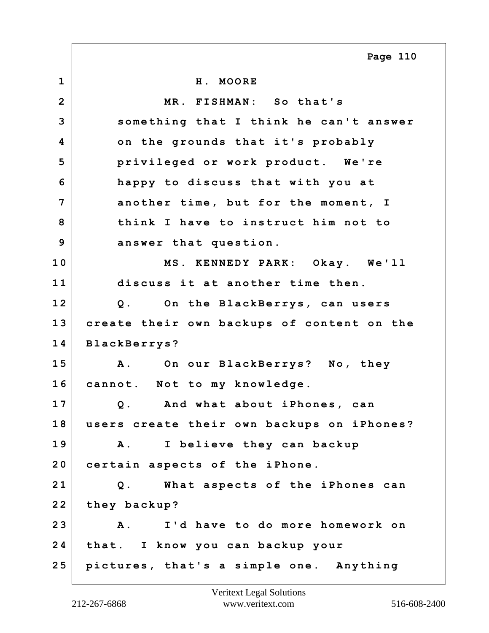**1 H. MOORE 2 MR. FISHMAN: So that's 3 something that I think he can't answer 4 on the grounds that it's probably 5 privileged or work product. We're 6 happy to discuss that with you at 7 another time, but for the moment, I 8 think I have to instruct him not to 9 answer that question. 10 MS. KENNEDY PARK: Okay. We'll 11 discuss it at another time then. 12 Q. On the BlackBerrys, can users 13 create their own backups of content on the 14 BlackBerrys? 15 A. On our BlackBerrys? No, they 16 cannot. Not to my knowledge. 17 Q. And what about iPhones, can 18 users create their own backups on iPhones? 19 A. I believe they can backup 20 certain aspects of the iPhone. 21 Q. What aspects of the iPhones can 22 they backup? 23 A. I'd have to do more homework on 24 that. I know you can backup your 25 pictures, that's a simple one. Anything Page 110**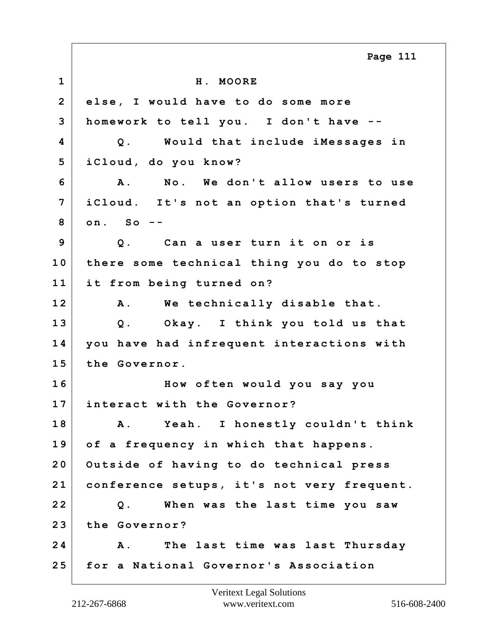**1 H. MOORE 2 else, I would have to do some more 3 homework to tell you. I don't have -- 4 Q. Would that include iMessages in 5 iCloud, do you know? 6 A. No. We don't allow users to use 7 iCloud. It's not an option that's turned 8 on. So -- 9 Q. Can a user turn it on or is 10 there some technical thing you do to stop 11 it from being turned on? 12 A. We technically disable that. 13 Q. Okay. I think you told us that 14 you have had infrequent interactions with 15 the Governor. 16 How often would you say you 17 interact with the Governor? 18 A. Yeah. I honestly couldn't think 19 of a frequency in which that happens. 20 Outside of having to do technical press 21 conference setups, it's not very frequent. 22 Q. When was the last time you saw 23 the Governor? 24 A. The last time was last Thursday 25 for a National Governor's Association Page 111**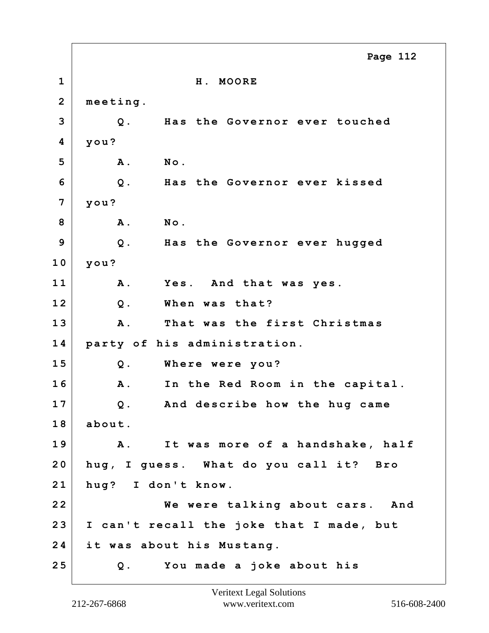**1 H. MOORE 2 meeting. 3 Q. Has the Governor ever touched 4 you? 5 A. No. 6 Q. Has the Governor ever kissed 7 you? 8 A. No. 9 Q. Has the Governor ever hugged 10 you? 11 A. Yes. And that was yes. 12 Q. When was that? 13 A. That was the first Christmas 14 party of his administration. 15 Q. Where were you? 16 A. In the Red Room in the capital. 17 Q. And describe how the hug came 18 about. 19 A. It was more of a handshake, half 20 hug, I guess. What do you call it? Bro 21 hug? I don't know. 22 We were talking about cars. And 23 I can't recall the joke that I made, but 24 it was about his Mustang. 25 Q. You made a joke about his Page 112**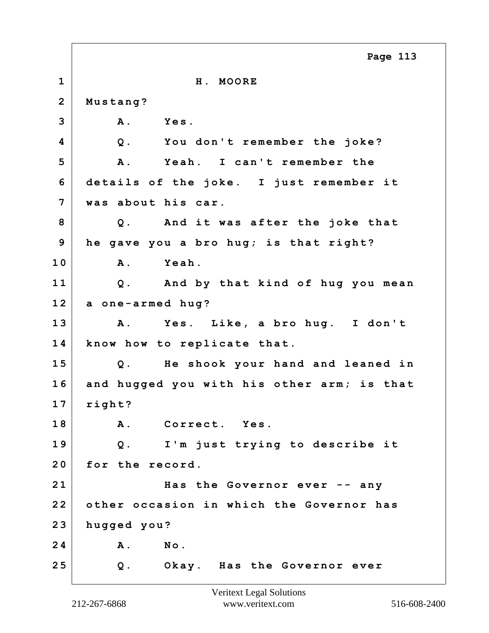|                | Page 113                                   |
|----------------|--------------------------------------------|
| $\mathbf{1}$   | H. MOORE                                   |
| $\overline{2}$ | Mustang?                                   |
| 3              | A. Yes.                                    |
| 4              | Q. You don't remember the joke?            |
| 5              | A. Yeah. I can't remember the              |
| 6              | details of the joke. I just remember it    |
| $\overline{7}$ | was about his car.                         |
| 8              | Q. And it was after the joke that          |
| 9              | he gave you a bro hug; is that right?      |
| 10             | Yeah.<br><b>A</b> .                        |
| 11             | Q. And by that kind of hug you mean        |
| 12             | a one-armed hug?                           |
| 13             | A. Yes. Like, a bro hug. I don't           |
| 14             | know how to replicate that.                |
| 15             | He shook your hand and leaned in<br>Q.     |
| 16             | and hugged you with his other arm; is that |
| 17             | right?                                     |
| 18             | A. Correct. Yes.                           |
| 19             | I'm just trying to describe it<br>$Q$ .    |
| 20             | for the record.                            |
| 21             | Has the Governor ever -- any               |
| 22             | other occasion in which the Governor has   |
| 23             | hugged you?                                |
| 24             | A. No.                                     |
| 25             | Q. Okay. Has the Governor ever             |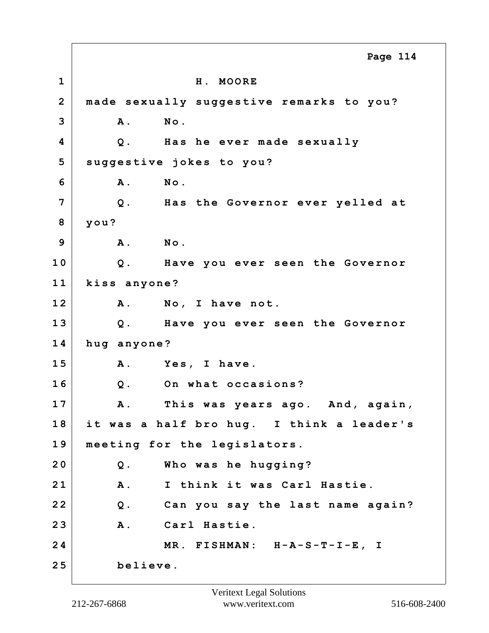**1 H. MOORE 2 made sexually suggestive remarks to you? 3 A. No. 4 Q. Has he ever made sexually 5 suggestive jokes to you? 6 A. No. 7 Q. Has the Governor ever yelled at 8 you? 9 A. No. 10 Q. Have you ever seen the Governor 11 kiss anyone? 12 A. No, I have not. 13 Q. Have you ever seen the Governor 14 hug anyone? 15 A. Yes, I have. 16 Q. On what occasions? 17 A. This was years ago. And, again, 18 it was a half bro hug. I think a leader's 19 meeting for the legislators. 20 Q. Who was he hugging? 21 A. I think it was Carl Hastie. 22 Q. Can you say the last name again? 23 A. Carl Hastie. 24 MR. FISHMAN: H-A-S-T-I-E, I 25 believe. Page 114**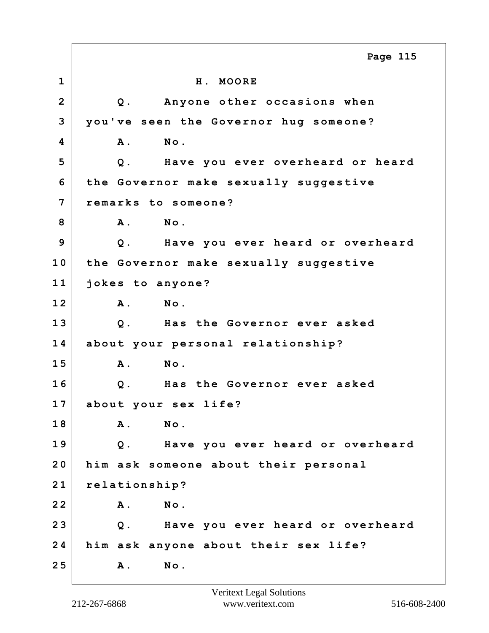**1 H. MOORE 2 Q. Anyone other occasions when 3 you've seen the Governor hug someone? 4 A. No. 5 Q. Have you ever overheard or heard 6 the Governor make sexually suggestive 7 remarks to someone? 8 A. No. 9 Q. Have you ever heard or overheard 10 the Governor make sexually suggestive 11 jokes to anyone? 12 A. No. 13 Q. Has the Governor ever asked 14 about your personal relationship? 15 A. No. 16 Q. Has the Governor ever asked 17 about your sex life? 18 A. No. 19 Q. Have you ever heard or overheard 20 him ask someone about their personal 21 relationship? 22 A. No. 23 Q. Have you ever heard or overheard 24 him ask anyone about their sex life? 25 A. No. Page 115**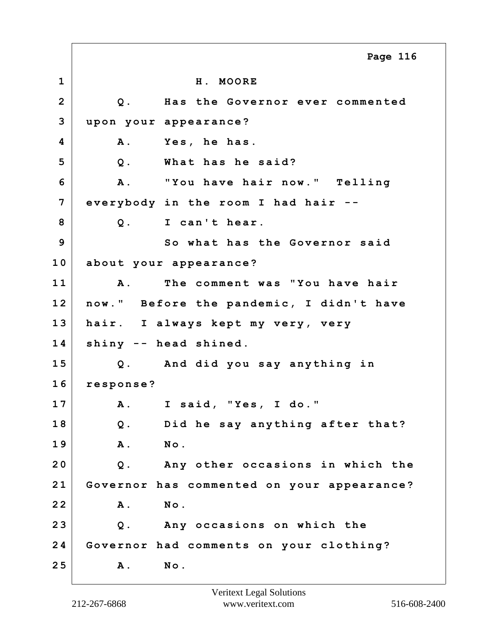**1 H. MOORE 2 Q. Has the Governor ever commented 3 upon your appearance? 4 A. Yes, he has. 5 Q. What has he said? 6 A. "You have hair now." Telling 7 everybody in the room I had hair -- 8 Q. I can't hear. 9** So what has the Governor said **10 about your appearance? 11 A. The comment was "You have hair 12 now." Before the pandemic, I didn't have 13 hair. I always kept my very, very 14 shiny -- head shined. 15 Q. And did you say anything in 16 response? 17 A. I said, "Yes, I do." 18 Q. Did he say anything after that? 19 A. No. 20 Q. Any other occasions in which the 21 Governor has commented on your appearance? 22 A. No. 23 Q. Any occasions on which the 24 Governor had comments on your clothing? 25 A. No. Page 116**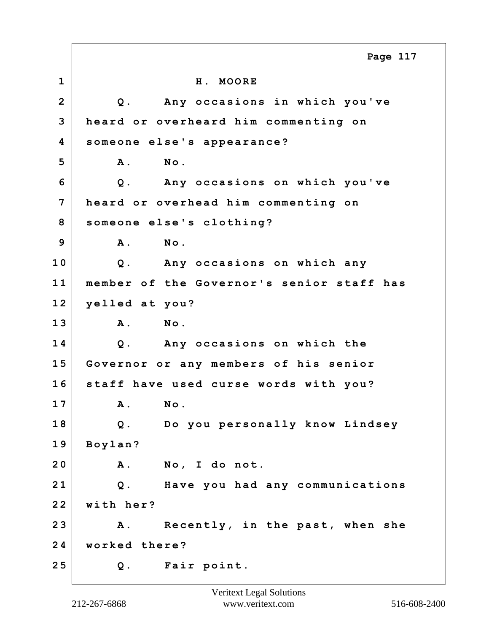|                | Page 117                                      |
|----------------|-----------------------------------------------|
| $\mathbf 1$    | H. MOORE                                      |
| $\overline{2}$ | Any occasions in which you've<br>$Q$ .        |
| 3              | heard or overheard him commenting on          |
| 4              | someone else's appearance?                    |
| 5              | <b>A</b> .<br>No.                             |
| 6              | Any occasions on which you've<br>$Q$ .        |
| 7              | heard or overhead him commenting on           |
| 8              | someone else's clothing?                      |
| 9              | No.<br><b>A</b> .                             |
| 10             | Any occasions on which any<br>$Q$ .           |
| 11             | member of the Governor's senior staff has     |
| 12             | yelled at you?                                |
| 13             | No.<br><b>A</b> .                             |
| 14             | Q. Any occasions on which the                 |
| 15             | Governor or any members of his senior         |
| 16             | staff have used curse words with you?         |
| 17             | $\texttt{No}$ .<br>Α.                         |
| 18             | Q. Do you personally know Lindsey             |
| 19             | Boylan?                                       |
| 20             | <b>A</b> .<br>No, I do not.                   |
| 21             | $Q$ .<br>Have you had any communications      |
| 22             | with her?                                     |
| 23             | Recently, in the past, when she<br><b>A</b> . |
| 24             | worked there?                                 |
| 25             | Fair point.<br>$Q$ .                          |

Г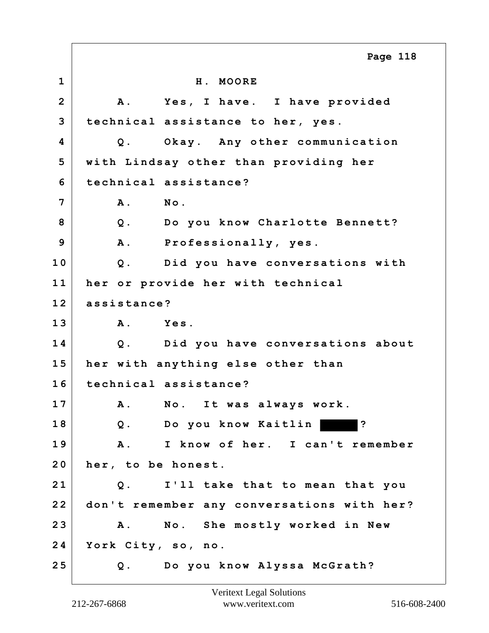**1 H. MOORE 2 A. Yes, I have. I have provided 3 technical assistance to her, yes. 4 Q. Okay. Any other communication 5 with Lindsay other than providing her 6 technical assistance? 7 A. No. 8 Q. Do you know Charlotte Bennett? 9 A. Professionally, yes. 10 Q. Did you have conversations with 11 her or provide her with technical 12 assistance? 13 A. Yes. 14 Q. Did you have conversations about 15 her with anything else other than 16 technical assistance? 17 A. No. It was always work. 18 Q. Do you know Kaitlin ? 19 A. I know of her. I can't remember 20 her, to be honest. 21 Q. I'll take that to mean that you 22 don't remember any conversations with her? 23 A. No. She mostly worked in New 24 York City, so, no. 25 Q. Do you know Alyssa McGrath? Page 118**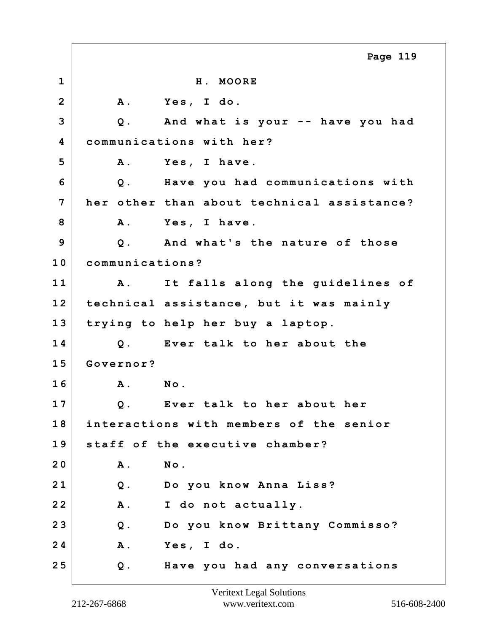**1 H. MOORE 2 A. Yes, I do. 3 Q. And what is your -- have you had 4 communications with her? 5 A. Yes, I have. 6 Q. Have you had communications with 7 her other than about technical assistance?** 8 A. Yes, I have. **9 Q. And what's the nature of those 10 communications? 11 A. It falls along the guidelines of 12 technical assistance, but it was mainly 13 trying to help her buy a laptop. 14 Q. Ever talk to her about the 15 Governor? 16 A. No. 17 Q. Ever talk to her about her 18 interactions with members of the senior 19 staff of the executive chamber? 20 A. No. 21 Q. Do you know Anna Liss? 22 A. I do not actually. 23 Q. Do you know Brittany Commisso? 24 A. Yes, I do. 25 Q. Have you had any conversations Page 119**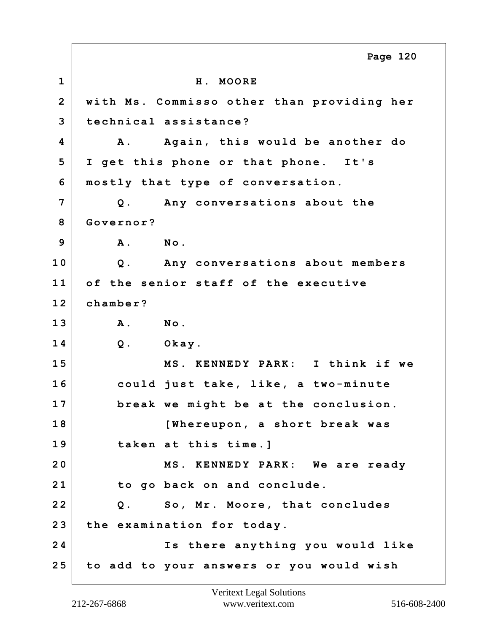**1 H. MOORE 2 with Ms. Commisso other than providing her 3 technical assistance? 4 A. Again, this would be another do 5 I get this phone or that phone. It's 6 mostly that type of conversation. 7 Q. Any conversations about the 8 Governor? 9 A. No. 10 Q. Any conversations about members 11 of the senior staff of the executive 12 chamber? 13 A. No. 14 Q. Okay. 15 MS. KENNEDY PARK: I think if we 16 could just take, like, a two-minute 17 break we might be at the conclusion. 18 [Whereupon, a short break was 19 taken at this time.] 20 MS. KENNEDY PARK: We are ready 21 to go back on and conclude. 22 Q. So, Mr. Moore, that concludes 23 the examination for today. 24 Is there anything you would like 25 to add to your answers or you would wish Page 120**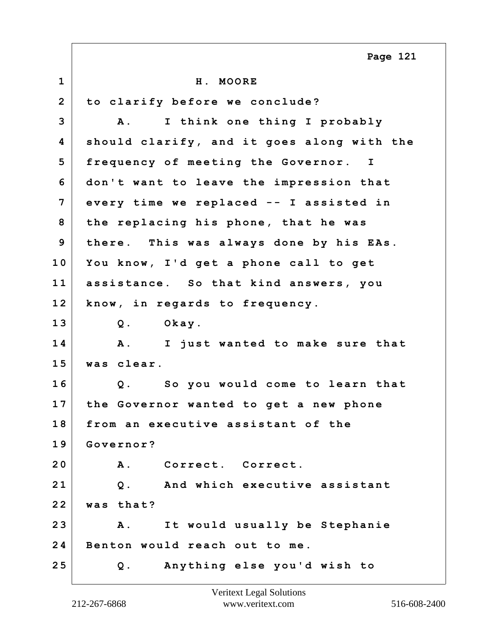**1 H. MOORE 2 to clarify before we conclude? 3 A. I think one thing I probably 4 should clarify, and it goes along with the 5 frequency of meeting the Governor. I 6 don't want to leave the impression that 7 every time we replaced -- I assisted in 8 the replacing his phone, that he was 9 there. This was always done by his EAs. 10 You know, I'd get a phone call to get 11 assistance. So that kind answers, you 12 know, in regards to frequency. 13 Q. Okay. 14 A. I just wanted to make sure that 15 was clear. 16 Q. So you would come to learn that 17 the Governor wanted to get a new phone 18 from an executive assistant of the 19 Governor? 20 A. Correct. Correct. 21 Q. And which executive assistant 22 was that? 23 A. It would usually be Stephanie 24 Benton would reach out to me. 25 Q. Anything else you'd wish to Page 121**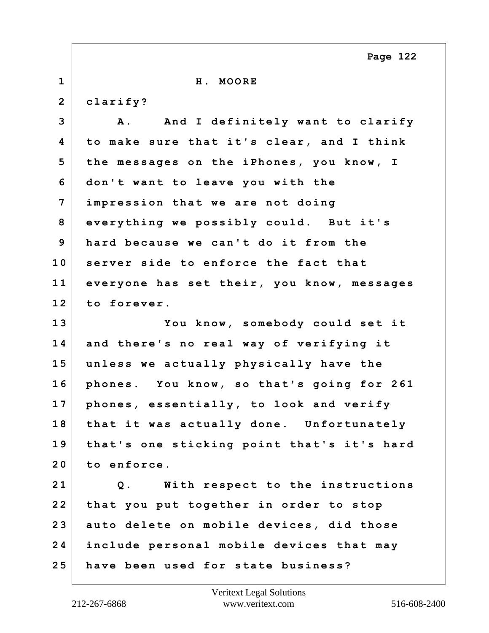**1 H. MOORE 2 clarify?** 3 A. And I definitely want to clarify **4 to make sure that it's clear, and I think 5 the messages on the iPhones, you know, I 6 don't want to leave you with the 7 impression that we are not doing 8 everything we possibly could. But it's 9 hard because we can't do it from the 10 server side to enforce the fact that 11 everyone has set their, you know, messages 12 to forever. 13 You know, somebody could set it 14 and there's no real way of verifying it 15 unless we actually physically have the 16 phones. You know, so that's going for 261 17 phones, essentially, to look and verify 18 that it was actually done. Unfortunately 19 that's one sticking point that's it's hard 20 to enforce. 21 Q. With respect to the instructions 22 that you put together in order to stop 23 auto delete on mobile devices, did those 24 include personal mobile devices that may 25 have been used for state business? Page 122**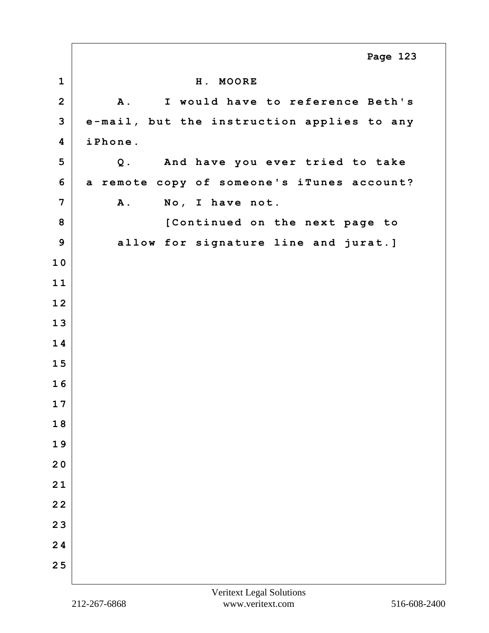|                         | Page 123                                       |
|-------------------------|------------------------------------------------|
| $\mathbf 1$             | H. MOORE                                       |
| $\overline{2}$          | I would have to reference Beth's<br><b>A</b> . |
| 3                       | e-mail, but the instruction applies to any     |
| $\overline{\mathbf{4}}$ | iPhone.                                        |
| 5                       | And have you ever tried to take<br>$Q$ .       |
| 6                       | a remote copy of someone's iTunes account?     |
| 7                       | No, I have not.<br>A.                          |
| 8                       | [Continued on the next page to                 |
| 9                       | allow for signature line and jurat.]           |
| 10                      |                                                |
| 11                      |                                                |
| 12                      |                                                |
| 13                      |                                                |
| 14                      |                                                |
| 15                      |                                                |
| 16                      |                                                |
| 17                      |                                                |
| 18                      |                                                |
| 19                      |                                                |
| 20                      |                                                |
| 21                      |                                                |
| 22                      |                                                |
| 23                      |                                                |
| 24                      |                                                |
| 25                      |                                                |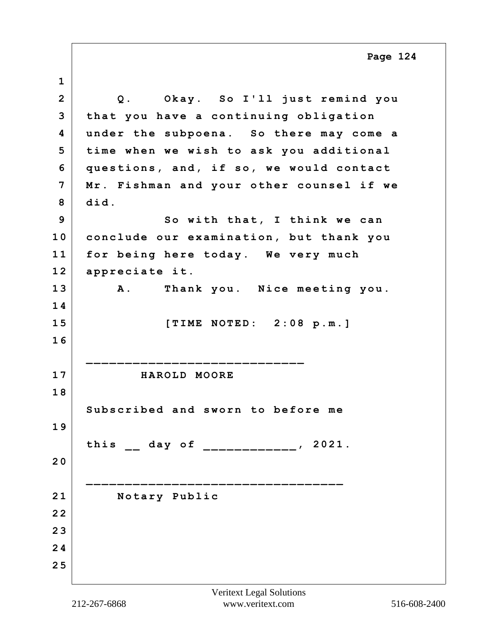**1 2 Q. Okay. So I'll just remind you 3 that you have a continuing obligation 4 under the subpoena. So there may come a 5 time when we wish to ask you additional 6 questions, and, if so, we would contact 7 Mr. Fishman and your other counsel if we 8 did. 9 So with that, I think we can 10 conclude our examination, but thank you 11 for being here today. We very much 12 appreciate it. 13 A. Thank you. Nice meeting you. 1 4 15 [TIME NOTED: 2:08 p.m.] 1 6 \_\_\_\_\_\_\_\_\_\_\_\_\_\_\_\_\_\_\_\_\_\_\_\_\_\_\_\_ 17 HAROLD MOORE 1 8 Subscribed and sworn to before me 1 9 this \_\_ day of \_\_\_\_\_\_\_\_\_\_\_\_, 2021. 2 0 \_\_\_\_\_\_\_\_\_\_\_\_\_\_\_\_\_\_\_\_\_\_\_\_\_\_\_\_\_\_\_\_\_ 21 Notary Public 2 2 2 3 2 4 2 5 Page 124**